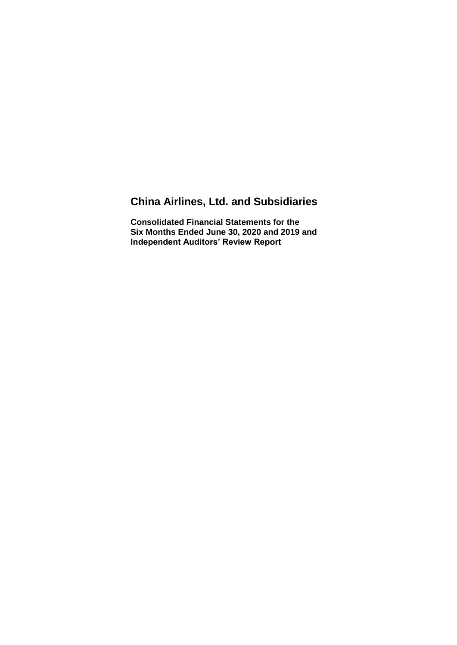# **China Airlines, Ltd. and Subsidiaries**

**Consolidated Financial Statements for the Six Months Ended June 30, 2020 and 2019 and Independent Auditors' Review Report**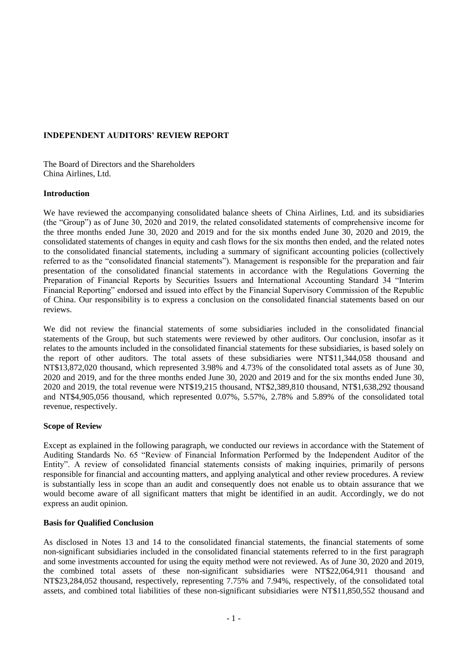## **INDEPENDENT AUDITORS' REVIEW REPORT**

The Board of Directors and the Shareholders China Airlines, Ltd.

#### **Introduction**

We have reviewed the accompanying consolidated balance sheets of China Airlines, Ltd. and its subsidiaries (the "Group") as of June 30, 2020 and 2019, the related consolidated statements of comprehensive income for the three months ended June 30, 2020 and 2019 and for the six months ended June 30, 2020 and 2019, the consolidated statements of changes in equity and cash flows for the six months then ended, and the related notes to the consolidated financial statements, including a summary of significant accounting policies (collectively referred to as the "consolidated financial statements"). Management is responsible for the preparation and fair presentation of the consolidated financial statements in accordance with the Regulations Governing the Preparation of Financial Reports by Securities Issuers and International Accounting Standard 34 "Interim Financial Reporting" endorsed and issued into effect by the Financial Supervisory Commission of the Republic of China. Our responsibility is to express a conclusion on the consolidated financial statements based on our reviews.

We did not review the financial statements of some subsidiaries included in the consolidated financial statements of the Group, but such statements were reviewed by other auditors. Our conclusion, insofar as it relates to the amounts included in the consolidated financial statements for these subsidiaries, is based solely on the report of other auditors. The total assets of these subsidiaries were NT\$11,344,058 thousand and NT\$13,872,020 thousand, which represented 3.98% and 4.73% of the consolidated total assets as of June 30, 2020 and 2019, and for the three months ended June 30, 2020 and 2019 and for the six months ended June 30, 2020 and 2019, the total revenue were NT\$19,215 thousand, NT\$2,389,810 thousand, NT\$1,638,292 thousand and NT\$4,905,056 thousand, which represented 0.07%, 5.57%, 2.78% and 5.89% of the consolidated total revenue, respectively.

#### **Scope of Review**

Except as explained in the following paragraph, we conducted our reviews in accordance with the Statement of Auditing Standards No. 65 "Review of Financial Information Performed by the Independent Auditor of the Entity". A review of consolidated financial statements consists of making inquiries, primarily of persons responsible for financial and accounting matters, and applying analytical and other review procedures. A review is substantially less in scope than an audit and consequently does not enable us to obtain assurance that we would become aware of all significant matters that might be identified in an audit. Accordingly, we do not express an audit opinion.

#### **Basis for Qualified Conclusion**

As disclosed in Notes 13 and 14 to the consolidated financial statements, the financial statements of some non-significant subsidiaries included in the consolidated financial statements referred to in the first paragraph and some investments accounted for using the equity method were not reviewed. As of June 30, 2020 and 2019, the combined total assets of these non-significant subsidiaries were NT\$22,064,911 thousand and NT\$23,284,052 thousand, respectively, representing 7.75% and 7.94%, respectively, of the consolidated total assets, and combined total liabilities of these non-significant subsidiaries were NT\$11,850,552 thousand and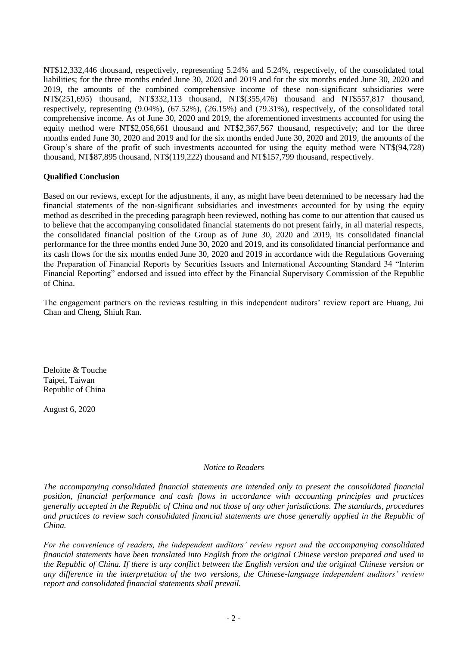NT\$12,332,446 thousand, respectively, representing 5.24% and 5.24%, respectively, of the consolidated total liabilities; for the three months ended June 30, 2020 and 2019 and for the six months ended June 30, 2020 and 2019, the amounts of the combined comprehensive income of these non-significant subsidiaries were NT\$(251,695) thousand, NT\$332,113 thousand, NT\$(355,476) thousand and NT\$557,817 thousand, respectively, representing (9.04%), (67.52%), (26.15%) and (79.31%), respectively, of the consolidated total comprehensive income. As of June 30, 2020 and 2019, the aforementioned investments accounted for using the equity method were NT\$2,056,661 thousand and NT\$2,367,567 thousand, respectively; and for the three months ended June 30, 2020 and 2019 and for the six months ended June 30, 2020 and 2019, the amounts of the Group's share of the profit of such investments accounted for using the equity method were NT\$(94,728) thousand, NT\$87,895 thousand, NT\$(119,222) thousand and NT\$157,799 thousand, respectively.

#### **Qualified Conclusion**

Based on our reviews, except for the adjustments, if any, as might have been determined to be necessary had the financial statements of the non-significant subsidiaries and investments accounted for by using the equity method as described in the preceding paragraph been reviewed, nothing has come to our attention that caused us to believe that the accompanying consolidated financial statements do not present fairly, in all material respects, the consolidated financial position of the Group as of June 30, 2020 and 2019, its consolidated financial performance for the three months ended June 30, 2020 and 2019, and its consolidated financial performance and its cash flows for the six months ended June 30, 2020 and 2019 in accordance with the Regulations Governing the Preparation of Financial Reports by Securities Issuers and International Accounting Standard 34 "Interim Financial Reporting" endorsed and issued into effect by the Financial Supervisory Commission of the Republic of China.

The engagement partners on the reviews resulting in this independent auditors' review report are Huang, Jui Chan and Cheng, Shiuh Ran.

Deloitte & Touche Taipei, Taiwan Republic of China

August 6, 2020

#### *Notice to Readers*

*The accompanying consolidated financial statements are intended only to present the consolidated financial position, financial performance and cash flows in accordance with accounting principles and practices generally accepted in the Republic of China and not those of any other jurisdictions. The standards, procedures and practices to review such consolidated financial statements are those generally applied in the Republic of China.*

*For the convenience of readers, the independent auditors' review report and the accompanying consolidated financial statements have been translated into English from the original Chinese version prepared and used in the Republic of China. If there is any conflict between the English version and the original Chinese version or any difference in the interpretation of the two versions, the Chinese-language independent auditors' review report and consolidated financial statements shall prevail.*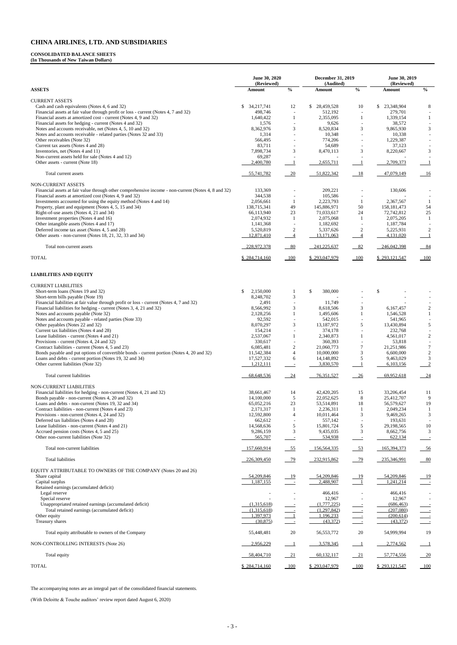#### **CONSOLIDATED BALANCE SHEETS**

**(In Thousands of New Taiwan Dollars)**

|                                                                                                                                                         | June 30, 2020<br>(Reviewed) |                                              | <b>December 31, 2019</b><br>(Audited) |                                            | June 30, 2019<br>(Reviewed) |                                    |
|---------------------------------------------------------------------------------------------------------------------------------------------------------|-----------------------------|----------------------------------------------|---------------------------------------|--------------------------------------------|-----------------------------|------------------------------------|
| <b>ASSETS</b>                                                                                                                                           | Amount                      | $\frac{0}{0}$                                | Amount                                | $\frac{0}{0}$                              | Amount                      | $\mathbf{0}_{\mathbf{0}}^{\prime}$ |
| <b>CURRENT ASSETS</b>                                                                                                                                   |                             |                                              |                                       |                                            |                             |                                    |
| Cash and cash equivalents (Notes 4, 6 and 32)                                                                                                           | 34,217,741<br>\$            | 12                                           | \$<br>28,459,528                      | 10                                         | 23,348,904<br>S.            | 8                                  |
| Financial assets at fair value through profit or loss - current (Notes 4, 7 and 32)<br>Financial assets at amortized cost - current (Notes 4, 9 and 32) | 498,746<br>1,640,422        | $\overline{\phantom{a}}$<br>1                | 512,192<br>2,355,095                  | $\overline{\phantom{a}}$<br>1              | 279,701<br>1,339,154        | 1                                  |
| Financial assets for hedging - current (Notes 4 and 32)                                                                                                 | 1,576                       |                                              | 9,626                                 |                                            | 38,572                      |                                    |
| Notes and accounts receivable, net (Notes 4, 5, 10 and 32)                                                                                              | 8,362,976                   | 3                                            | 8,520,834                             | 3                                          | 9,865,930                   | 3                                  |
| Notes and accounts receivable - related parties (Notes 32 and 33)<br>Other receivables (Note 32)                                                        | 1,314<br>566,495            |                                              | 10,348<br>774,206                     | $\overline{a}$<br>$\overline{a}$           | 10,338<br>1,229,387         |                                    |
| Current tax assets (Notes 4 and 28)                                                                                                                     | 83,711                      |                                              | 54,689                                | $\sim$                                     | 37,123                      |                                    |
| Inventories, net (Notes 4 and 11)                                                                                                                       | 7,898,734                   | $\mathfrak{Z}$                               | 8,470,113                             | 3                                          | 8,220,667                   | 3                                  |
| Non-current assets held for sale (Notes 4 and 12)<br>Other assets - current (Note 18)                                                                   | 69,287<br>2,400,780         |                                              | 2,655,711                             |                                            | 2,709,373                   | $\mathbf{1}$                       |
| Total current assets                                                                                                                                    | 55,741,782                  | $-20$                                        | 51,822,342                            | 18                                         | 47,079,149                  | 16                                 |
| <b>NON-CURRENT ASSETS</b>                                                                                                                               |                             |                                              |                                       |                                            |                             |                                    |
| Financial assets at fair value through other comprehensive income - non-current (Notes 4, 8 and 32)                                                     | 133,369                     |                                              | 209,221                               |                                            | 130,606                     |                                    |
| Financial assets at amortized cost (Notes 4, 9 and 32)<br>Investments accounted for using the equity method (Notes 4 and 14)                            | 344,538<br>2,056,661        | $\overline{\phantom{a}}$<br>-1               | 105,586<br>2,223,793                  | 1                                          | 2,367,567                   | -1                                 |
| Property, plant and equipment (Notes 4, 5, 15 and 34)                                                                                                   | 138,715,341                 | 49                                           | 145,886,971                           | 50                                         | 158, 181, 473               | 54                                 |
| Right-of-use assets (Notes 4, 21 and 34)                                                                                                                | 66,113,940                  | 23                                           | 71,033,617                            | 24                                         | 72,742,812                  | 25                                 |
| Investment properties (Notes 4 and 16)                                                                                                                  | 2,074,932                   | -1                                           | 2,075,068                             | 1                                          | 2,075,205                   | -1                                 |
| Other intangible assets (Notes 4 and 17)<br>Deferred income tax asset (Notes 4, 5 and 28)                                                               | 1,141,368<br>5,520,819      | $\overline{\phantom{a}}$<br>$\boldsymbol{2}$ | 1,182,692<br>5,337,626                | $\overline{\phantom{a}}$<br>$\overline{c}$ | 1,187,784<br>5,225,931      | 2                                  |
| Other assets - non-current (Notes 18, 21, 32, 33 and 34)                                                                                                | 12,871,410                  | $\overline{4}$                               | 13,171,063                            | $\overline{4}$                             | 4,131,020                   | $\mathbf{1}$                       |
| Total non-current assets                                                                                                                                | 228,972,378                 | $-80$                                        | 241,225,637                           | $-82$                                      | 246,042,398                 | 84                                 |
| <b>TOTAL</b>                                                                                                                                            | \$284,714,160               | $\underline{\underline{\hspace{1cm}100}}$    | \$293,047,979                         | $\underline{\underline{100}}$              | \$293,121,547               |                                    |
| <b>LIABILITIES AND EQUITY</b>                                                                                                                           |                             |                                              |                                       |                                            |                             |                                    |
| <b>CURRENT LIABILITIES</b>                                                                                                                              |                             |                                              |                                       |                                            |                             |                                    |
| Short-term loans (Notes 19 and 32)                                                                                                                      | 2,150,000<br>\$             | -1                                           | \$<br>380,000                         |                                            | \$                          |                                    |
| Short-term bills payable (Note 19)                                                                                                                      | 8,248,702                   | 3                                            |                                       |                                            |                             |                                    |
| Financial liabilities at fair value through profit or loss - current (Notes 4, 7 and 32)                                                                | 2,491                       |                                              | 11,749                                |                                            |                             |                                    |
| Financial liabilities for hedging - current (Notes 3, 4, 21 and 32)                                                                                     | 8,566,992                   | 3                                            | 8,618,506<br>1,495,606                | 3                                          | 6,167,457                   | $\overline{c}$                     |
| Notes and accounts payable (Note 32)<br>Notes and accounts payable - related parties (Note 33)                                                          | 2,128,256<br>92,592         | $\mathbf{1}$<br>$\overline{\phantom{a}}$     | 542,015                               | $\mathbf{1}$<br>$\overline{\phantom{a}}$   | 1,546,528<br>541,965        | $\mathbf{1}$                       |
| Other payables (Notes 22 and 32)                                                                                                                        | 8,070,297                   | 3                                            | 13,187,972                            | 5                                          | 13,430,894                  | 5                                  |
| Current tax liabilities (Notes 4 and 28)                                                                                                                | 154,214                     |                                              | 374,178                               |                                            | 232,768                     |                                    |
| Lease liabilities - current (Notes 4 and 21)                                                                                                            | 2,537,067                   | 1                                            | 2,340,873                             | 1                                          | 4,561,017                   | $\overline{2}$                     |
| Provisions - current (Notes 4, 24 and 32)<br>Contract liabilities - current (Notes 4, 5 and 23)                                                         | 330,617<br>6,085,481        | $\sqrt{2}$                                   | 360,393<br>21,060,773                 | 7                                          | 53,818<br>21,251,986        | $\tau$                             |
| Bonds payable and put options of convertible bonds - current portion (Notes 4, 20 and 32)                                                               | 11,542,384                  | $\overline{4}$                               | 10,000,000                            | $\mathfrak{Z}$                             | 6,600,000                   | $\sqrt{2}$                         |
| Loans and debts - current portion (Notes 19, 32 and 34)                                                                                                 | 17,527,332                  | 6                                            | 14,148,892                            | 5                                          | 9,463,029                   | $\mathfrak{Z}$                     |
| Other current liabilities (Note 32)                                                                                                                     | 1,212,111                   | $\sim$                                       | 3,830,570                             |                                            | 6,103,156                   | $\overline{2}$                     |
| Total current liabilities                                                                                                                               | 68,648,536                  | $-24$                                        | 76,351,527                            | $\frac{26}{5}$                             | 69,952,618                  | $\frac{24}{2}$                     |
| NON-CURRENT LIABILITIES                                                                                                                                 |                             |                                              |                                       |                                            |                             |                                    |
| Financial liabilities for hedging - non-current (Notes 4, 21 and 32)                                                                                    | 38,661,467                  | 14                                           | 42,420,205                            | 15                                         | 33,206,454                  | 11                                 |
| Bonds payable - non-current (Notes 4, 20 and 32)<br>Loans and debts - non-current (Notes 19, 32 and 34)                                                 | 14,100,000<br>65,052,216    | $\mathfrak{S}$<br>23                         | 22,052,625<br>53,514,891              | $\,$ 8 $\,$<br>18                          | 25,412,707<br>56,579,627    | 9<br>19                            |
| Contract liabilities - non-current (Notes 4 and 23)                                                                                                     | 2,171,317                   | $\mathbf{1}$                                 | 2,236,311                             |                                            | 2,049,234                   |                                    |
| Provisions - non-current (Notes 4, 24 and 32)                                                                                                           | 12,592,800                  | $\overline{4}$                               | 10,011,464                            | 3                                          | 9,469,265                   | 3                                  |
| Deferred tax liabilities (Notes 4 and 28)                                                                                                               | 662,612                     |                                              | 557,142                               | $\overline{a}$                             | 193,631                     |                                    |
| Lease liabilities - non-current (Notes 4 and 21)<br>Accrued pension costs (Notes 4, 5 and 25)                                                           | 14,568,636<br>9,286,159     | $\sqrt{5}$<br>$\mathfrak{Z}$                 | 15,801,724<br>9,435,035               | $\sqrt{5}$<br>3                            | 29,198,565<br>8,662,756     | $10\,$<br>3                        |
| Other non-current liabilities (Note 32)                                                                                                                 | 565,707                     | $\equiv$                                     | 534,938                               | $\overline{a}$                             | 622,134                     |                                    |
| Total non-current liabilities                                                                                                                           | 157,660,914                 | $-55$                                        | 156,564,335                           | $-53$                                      | 165,394,373                 | $-56$                              |
| Total liabilities                                                                                                                                       | 226,309,450                 | $-79$                                        | 232,915,862                           | 79                                         | 235,346,991                 | 80                                 |
| EQUITY ATTRIBUTABLE TO OWNERS OF THE COMPANY (Notes 20 and 26)                                                                                          |                             |                                              |                                       |                                            |                             |                                    |
| Share capital                                                                                                                                           | 54,209,846                  | $\frac{19}{1}$                               | 54,209,846                            | <u>19</u>                                  | 54,209,846                  | <u> 19</u>                         |
| Capital surplus<br>Retained earnings (accumulated deficit)                                                                                              | 1,187,155                   |                                              | 2,488,907                             | $\blacksquare$                             | 1,241,214                   | $\equiv$                           |
| Legal reserve                                                                                                                                           |                             |                                              | 466,416                               |                                            | 466,416                     |                                    |
| Special reserve                                                                                                                                         |                             |                                              | 12,967                                |                                            | 12,967                      |                                    |
| Unappropriated retained earnings (accumulated deficit)                                                                                                  | (1,315,618)                 |                                              | (1,777,225)                           |                                            | (686, 463)                  |                                    |
| Total retained earnings (accumulated deficit)<br>Other equity                                                                                           | (1,315,618)<br>1,397,973    | $\blacksquare$                               | (1.297.842)<br>1,196,233              |                                            | (207,080)<br>(200, 614)     |                                    |
| Treasury shares                                                                                                                                         | (30, 875)                   | $\sim$ $-$                                   | (43,372)                              |                                            | (43,372)                    |                                    |
| Total equity attributable to owners of the Company                                                                                                      | 55,448,481                  | 20                                           | 56, 553, 772                          | 20                                         | 54,999,994                  | 19                                 |
| NON-CONTROLLING INTERESTS (Note 26)                                                                                                                     | 2,956,229                   |                                              | 3,578,345                             |                                            | 2,774,562                   |                                    |
| Total equity                                                                                                                                            | 58,404,710                  | 21                                           | 60,132,117                            | <u>21</u>                                  | 57,774,556                  | 20                                 |
| <b>TOTAL</b>                                                                                                                                            | \$284,714,160               | 100                                          | \$293,047,979                         | 100                                        | \$293,121,547               | 100                                |

The accompanying notes are an integral part of the consolidated financial statements.

(With Deloitte & Touche auditors' review report dated August 6, 2020)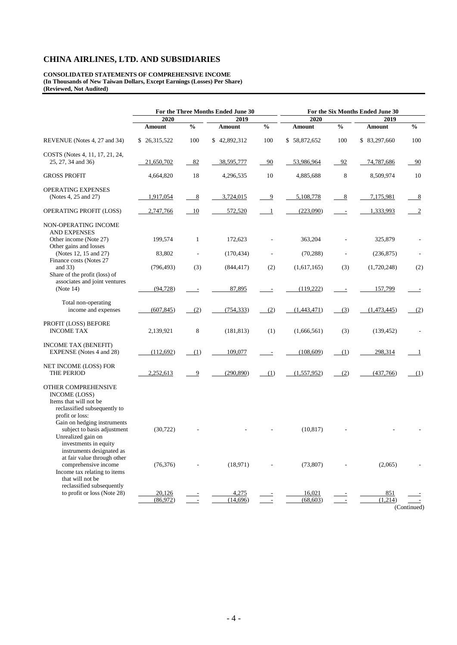#### **CONSOLIDATED STATEMENTS OF COMPREHENSIVE INCOME (In Thousands of New Taiwan Dollars, Except Earnings (Losses) Per Share) (Reviewed, Not Audited)**

|                                                                                                                                                         | For the Three Months Ended June 30 |               |              |                          | For the Six Months Ended June 30 |               |              |                |  |
|---------------------------------------------------------------------------------------------------------------------------------------------------------|------------------------------------|---------------|--------------|--------------------------|----------------------------------|---------------|--------------|----------------|--|
|                                                                                                                                                         | 2020                               |               | 2019         |                          | 2020                             |               | 2019         |                |  |
|                                                                                                                                                         | <b>Amount</b>                      | $\frac{0}{0}$ | Amount       | $\frac{0}{0}$            | <b>Amount</b>                    | $\frac{0}{0}$ | Amount       | $\frac{6}{10}$ |  |
| REVENUE (Notes 4, 27 and 34)                                                                                                                            | \$26,315,522                       | 100           | \$42,892,312 | 100                      | \$58,872,652                     | 100           | \$83,297,660 | 100            |  |
| COSTS (Notes 4, 11, 17, 21, 24,<br>25, 27, 34 and 36)                                                                                                   | 21,650,702                         | 82            | 38,595,777   | 90                       | 53,986,964                       | 92            | 74,787,686   | 90             |  |
| <b>GROSS PROFIT</b>                                                                                                                                     | 4,664,820                          | 18            | 4,296,535    | 10                       | 4,885,688                        | 8             | 8,509,974    | 10             |  |
| OPERATING EXPENSES<br>(Notes 4, 25 and 27)                                                                                                              | 1,917,054                          | 8             | 3,724,015    | $\overline{9}$           | 5,108,778                        | $\frac{8}{2}$ | 7,175,981    | 8              |  |
| OPERATING PROFIT (LOSS)                                                                                                                                 | 2,747,766                          | 10            | 572,520      | -1                       | (223,090)                        |               | 1,333,993    | 2              |  |
| NON-OPERATING INCOME<br><b>AND EXPENSES</b><br>Other income (Note 27)<br>Other gains and losses                                                         | 199,574                            | $\mathbf{1}$  | 172,623      |                          | 363,204                          |               | 325,879      |                |  |
| (Notes 12, 15 and 27)                                                                                                                                   | 83,802                             |               | (170, 434)   |                          | (70, 288)                        |               | (236, 875)   |                |  |
| Finance costs (Notes 27<br>and $33)$<br>Share of the profit (loss) of                                                                                   | (796, 493)                         | (3)           | (844, 417)   | (2)                      | (1,617,165)                      | (3)           | (1,720,248)  | (2)            |  |
| associates and joint ventures<br>(Note 14)                                                                                                              | (94, 728)                          | ÷,            | 87,895       | $\overline{\phantom{a}}$ | (119, 222)                       |               | 157,799      |                |  |
| Total non-operating<br>income and expenses                                                                                                              | (607, 845)                         | (2)           | (754, 333)   | (2)                      | (1,443,471)                      | (3)           | (1,473,445)  | (2)            |  |
| PROFIT (LOSS) BEFORE<br><b>INCOME TAX</b>                                                                                                               | 2,139,921                          | 8             | (181, 813)   | (1)                      | (1,666,561)                      | (3)           | (139, 452)   |                |  |
| <b>INCOME TAX (BENEFIT)</b><br>EXPENSE (Notes 4 and 28)                                                                                                 | (112, 692)                         | (1)           | 109,077      |                          | (108, 609)                       | (1)           | 298,314      | 1              |  |
| NET INCOME (LOSS) FOR<br>THE PERIOD                                                                                                                     | 2,252,613                          | 9             | (290, 890)   | (1)                      | (1, 557, 952)                    | (2)           | (437,766)    | (1)            |  |
| OTHER COMPREHENSIVE<br><b>INCOME (LOSS)</b><br>Items that will not be<br>reclassified subsequently to<br>profit or loss:<br>Gain on hedging instruments |                                    |               |              |                          |                                  |               |              |                |  |
| subject to basis adjustment<br>Unrealized gain on<br>investments in equity<br>instruments designated as<br>at fair value through other                  | (30, 722)                          |               |              |                          | (10, 817)                        |               |              |                |  |
| comprehensive income<br>Income tax relating to items<br>that will not be<br>reclassified subsequently                                                   | (76, 376)                          |               | (18,971)     |                          | (73, 807)                        |               | (2,065)      |                |  |
| to profit or loss (Note 28)                                                                                                                             | 20,126                             |               | 4,275        |                          | 16,021                           |               | 851          |                |  |
|                                                                                                                                                         | (86,972)                           |               | (14,696)     |                          | (68, 603)                        |               | (1,214)      |                |  |
|                                                                                                                                                         |                                    |               |              |                          |                                  |               |              | (Continued)    |  |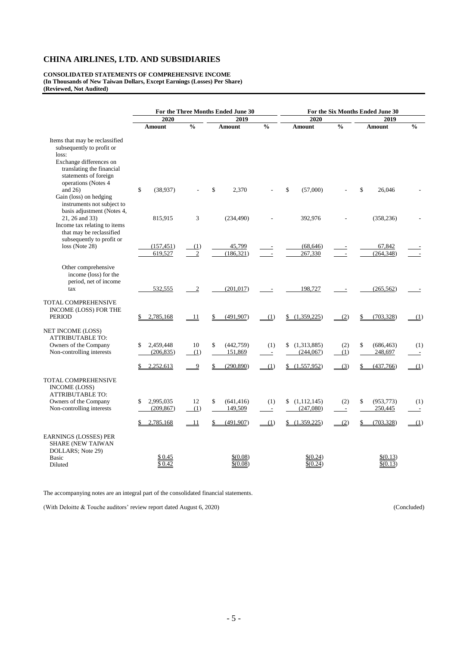#### **CONSOLIDATED STATEMENTS OF COMPREHENSIVE INCOME (In Thousands of New Taiwan Dollars, Except Earnings (Losses) Per Share) (Reviewed, Not Audited)**

|                                                                                                                                                                              | For the Three Months Ended June 30         |                       |                                                 | For the Six Months Ended June 30       |                                               |                                        |                                           |                                 |  |
|------------------------------------------------------------------------------------------------------------------------------------------------------------------------------|--------------------------------------------|-----------------------|-------------------------------------------------|----------------------------------------|-----------------------------------------------|----------------------------------------|-------------------------------------------|---------------------------------|--|
|                                                                                                                                                                              | 2020                                       |                       | 2019                                            |                                        |                                               |                                        | 2019                                      |                                 |  |
|                                                                                                                                                                              | Amount                                     | $\frac{0}{0}$         | Amount                                          | $\frac{0}{0}$                          | Amount                                        | $\frac{0}{0}$                          | Amount                                    | $\frac{0}{0}$                   |  |
| Items that may be reclassified<br>subsequently to profit or<br>loss:<br>Exchange differences on<br>translating the financial<br>statements of foreign<br>operations (Notes 4 |                                            |                       |                                                 |                                        |                                               |                                        |                                           |                                 |  |
| and $26$ )<br>Gain (loss) on hedging<br>instruments not subject to                                                                                                           | \$<br>(38,937)                             |                       | \$<br>2,370                                     |                                        | \$<br>(57,000)                                |                                        | \$<br>26.046                              |                                 |  |
| basis adjustment (Notes 4,<br>21, 26 and 33)<br>Income tax relating to items<br>that may be reclassified<br>subsequently to profit or                                        | 815,915                                    | 3                     | (234, 490)                                      |                                        | 392,976                                       |                                        | (358, 236)                                |                                 |  |
| loss (Note 28)                                                                                                                                                               | (157, 451)<br>619,527                      | (1)<br>$\overline{2}$ | 45,799<br>(186, 321)                            |                                        | (68, 646)<br>267,330                          |                                        | 67,842<br>(264, 348)                      |                                 |  |
| Other comprehensive<br>income (loss) for the<br>period, net of income<br>tax                                                                                                 | 532,555                                    | $\boldsymbol{2}$      | (201, 017)                                      |                                        | 198,727                                       |                                        | (265, 562)                                |                                 |  |
| TOTAL COMPREHENSIVE<br>INCOME (LOSS) FOR THE<br><b>PERIOD</b>                                                                                                                | 2,785,168                                  | 11                    | (491, 907)                                      | (1)                                    | \$<br>(1,359,225)                             | (2)                                    | (703, 328)                                | (1)                             |  |
| NET INCOME (LOSS)<br><b>ATTRIBUTABLE TO:</b><br>Owners of the Company<br>Non-controlling interests                                                                           | 2,459,448<br>\$<br>(206, 835)              | 10<br>(1)             | (442, 759)<br>\$<br>151,869                     | (1)<br>$\sim$                          | (1,313,885)<br>\$<br>(244, 067)               | (2)<br>(1)                             | \$<br>(686, 463)<br>248,697               | (1)<br>$\overline{\phantom{a}}$ |  |
|                                                                                                                                                                              | 2,252,613                                  | 9                     | (290, 890)                                      | (1)                                    | \$<br>(1,557,952)                             | (3)                                    | (437,766)                                 | (1)                             |  |
| TOTAL COMPREHENSIVE<br><b>INCOME (LOSS)</b><br><b>ATTRIBUTABLE TO:</b><br>Owners of the Company<br>Non-controlling interests                                                 | 2,995,035<br>\$<br>(209, 867)<br>2,785,168 | 12<br>(1)<br>11       | (641, 416)<br>\$<br>149,509<br>(491, 907)<br>\$ | (1)<br>$\overline{\phantom{a}}$<br>(1) | \$<br>(1,112,145)<br>(247,080)<br>(1,359,225) | (2)<br>$\overline{\phantom{a}}$<br>(2) | \$<br>(953, 773)<br>250,445<br>(703, 328) | (1)<br>$\sim$<br>(1)            |  |
| EARNINGS (LOSSES) PER<br><b>SHARE (NEW TAIWAN</b><br>DOLLARS; Note 29)<br>Basic<br>Diluted                                                                                   | \$0.45<br>\$0.42                           |                       | \$(0.08)<br>\$(0.08)                            |                                        | \$(0.24)<br>\$(0.24)                          |                                        | \$(0.13)<br>\$(0.13)                      |                                 |  |

The accompanying notes are an integral part of the consolidated financial statements.

(With Deloitte & Touche auditors' review report dated August 6, 2020) (Concluded)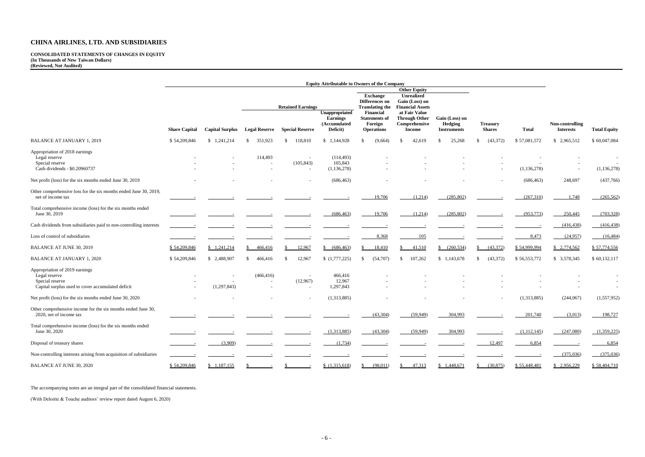#### **CONSOLIDATED STATEMENTS OF CHANGES IN EQUITY (In Thousands of New Taiwan Dollars) (Reviewed, Not Audited)**

|                                                                                                                         | <b>Equity Attributable to Owners of the Company</b> |             |                                                                    |                          |                                                                                                                            |                                                               |                                                                                             |                                                                         |                                                 |                                  |              |                                                      |
|-------------------------------------------------------------------------------------------------------------------------|-----------------------------------------------------|-------------|--------------------------------------------------------------------|--------------------------|----------------------------------------------------------------------------------------------------------------------------|---------------------------------------------------------------|---------------------------------------------------------------------------------------------|-------------------------------------------------------------------------|-------------------------------------------------|----------------------------------|--------------|------------------------------------------------------|
|                                                                                                                         | <b>Share Capital</b><br><b>Capital Surplus</b>      |             |                                                                    | <b>Retained Earnings</b> | <b>Other Equity</b><br><b>Exchange</b><br><b>Unrealized</b><br>Gain (Loss) on<br>Differences on<br><b>Financial Assets</b> |                                                               |                                                                                             |                                                                         |                                                 |                                  |              |                                                      |
|                                                                                                                         |                                                     |             |                                                                    |                          | <b>Legal Reserve</b><br><b>Special Reserve</b>                                                                             | Unappropriated<br><b>Earnings</b><br>(Accumulated<br>Deficit) | <b>Translating the</b><br>Financial<br><b>Statements of</b><br>Foreign<br><b>Operations</b> | at Fair Value<br><b>Through Other</b><br>Comprehensive<br><b>Income</b> | Gain (Loss) on<br>Hedging<br><b>Instruments</b> | <b>Treasury</b><br><b>Shares</b> | <b>Total</b> | Non-controlling<br><b>Interests</b>                  |
| <b>BALANCE AT JANUARY 1, 2019</b>                                                                                       | \$54,209,846                                        | \$1,241,214 | 351,923<br>-S                                                      | 118,810<br><sup>\$</sup> | \$1,144,928                                                                                                                | (9,664)<br>S                                                  | 42,619<br>-S                                                                                | 25,268<br>-S                                                            | (43, 372)                                       | \$57,081,572                     | \$2,965,512  | \$60,047,084                                         |
| Appropriation of 2018 earnings<br>Legal reserve<br>Special reserve<br>Cash dividends - \$0.20960737                     |                                                     |             | 114,493<br>$\overline{\phantom{a}}$                                | (105, 843)               | (114, 493)<br>105,843<br>(1, 136, 278)                                                                                     |                                                               |                                                                                             |                                                                         |                                                 | (1, 136, 278)                    |              | (1, 136, 278)                                        |
| Net profit (loss) for the six months ended June 30, 2019                                                                |                                                     |             |                                                                    |                          | (686, 463)                                                                                                                 |                                                               |                                                                                             |                                                                         |                                                 | (686, 463)                       | 248,697      | (437,766)                                            |
| Other comprehensive loss for the six months ended June 30, 2019,<br>net of income tax                                   |                                                     |             |                                                                    |                          |                                                                                                                            | 19,706                                                        | (1,214)                                                                                     | (285, 802)                                                              |                                                 | (267,310)                        | 1,748        | (265, 562)                                           |
| Total comprehensive income (loss) for the six months ended<br>June 30, 2019                                             |                                                     |             |                                                                    |                          | (686, 463)                                                                                                                 | 19,706                                                        | (1,214)                                                                                     | (285, 802)                                                              |                                                 | (953, 773)                       | 250,445      | (703, 328)                                           |
| Cash dividends from subsidiaries paid to non-controlling interests                                                      |                                                     |             |                                                                    |                          |                                                                                                                            |                                                               |                                                                                             |                                                                         |                                                 |                                  | (416, 438)   | (416, 438)                                           |
| Loss of control of subsidiaries                                                                                         |                                                     |             |                                                                    |                          |                                                                                                                            | 8,368                                                         | 105                                                                                         |                                                                         |                                                 | 8,473                            | (24,957)     | (16, 484)                                            |
| <b>BALANCE AT JUNE 30, 2019</b>                                                                                         | \$54,209,846                                        | \$1,241,214 | 466,416                                                            | 12,967                   | (686, 463)                                                                                                                 | 18,410                                                        | 41,510                                                                                      | $\frac{\$ (260,534)}$                                                   | (43,372)                                        | \$54,999,994                     | \$2,774,562  | \$57,774,556                                         |
| <b>BALANCE AT JANUARY 1, 2020</b>                                                                                       | \$54,209,846                                        | \$2,488,907 | 466,416<br><sup>S</sup>                                            | 12,967<br>S.             | (1,777,225)                                                                                                                | (54,707)                                                      | 107,262<br>\$                                                                               | \$1,143,678                                                             | (43,372)                                        | \$56,553,772                     | \$ 3,578,345 | \$60,132,117                                         |
| Appropriation of 2019 earnings<br>Legal reserve<br>Special reserve<br>Capital surplus used to cover accumulated deficit |                                                     | (1,297,843) | (466, 416)<br>$\overline{\phantom{a}}$<br>$\overline{\phantom{a}}$ | (12,967)                 | 466,416<br>12,967<br>1,297,843                                                                                             |                                                               |                                                                                             |                                                                         |                                                 |                                  |              | $\overline{\phantom{a}}$<br>$\overline{\phantom{a}}$ |
| Net profit (loss) for the six months ended June 30, 2020                                                                |                                                     |             |                                                                    |                          | (1,313,885)                                                                                                                |                                                               |                                                                                             |                                                                         |                                                 | (1,313,885)                      | (244,067)    | (1,557,952)                                          |
| Other comprehensive income for the six months ended June 30,<br>2020, net of income tax                                 |                                                     |             |                                                                    |                          |                                                                                                                            | (43,304)                                                      | (59,949)                                                                                    | 304,993                                                                 |                                                 | 201,740                          | (3,013)      | 198,727                                              |
| Total comprehensive income (loss) for the six months ended<br>June 30, 2020                                             |                                                     |             |                                                                    |                          | (1,313,885)                                                                                                                | (43,304)                                                      | (59,949)                                                                                    | 304,993                                                                 |                                                 | (1,112,145)                      | (247,080)    | (1,359,225)                                          |
| Disposal of treasury shares                                                                                             |                                                     | (3,909)     |                                                                    |                          | (1,734)                                                                                                                    |                                                               |                                                                                             |                                                                         | 12,497                                          | 6,854                            |              | 6,854                                                |
| Non-controlling interests arising from acquisition of subsidiaries                                                      |                                                     |             |                                                                    |                          |                                                                                                                            |                                                               |                                                                                             |                                                                         |                                                 |                                  | (375,036)    | (375,036)                                            |
| <b>BALANCE AT JUNE 30, 2020</b>                                                                                         | \$54,209,846                                        | \$1,187,155 |                                                                    |                          | (1,315,618)                                                                                                                | (98,011)<br><sup>S</sup>                                      | 47,313<br>S.                                                                                | \$1,448,671                                                             | (30,875)                                        | \$55,448,481                     | \$2,956,229  | \$58,404,710                                         |

The accompanying notes are an integral part of the consolidated financial statements.

(With Deloitte & Touche auditors' review report dated August 6, 2020)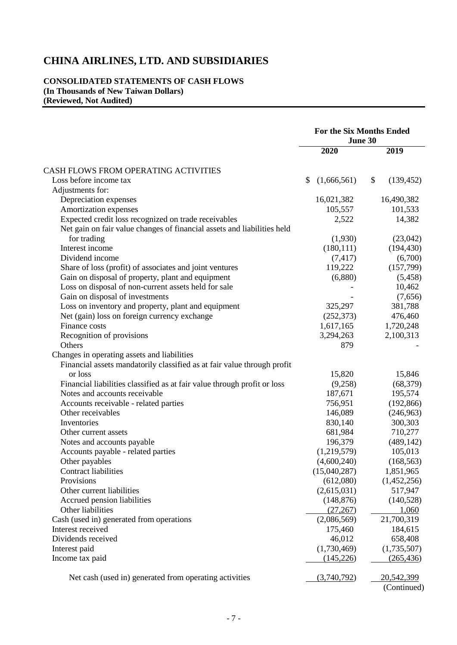## **CONSOLIDATED STATEMENTS OF CASH FLOWS (In Thousands of New Taiwan Dollars) (Reviewed, Not Audited)**

|                                                                          | <b>For the Six Months Ended</b><br>June 30 |                           |  |
|--------------------------------------------------------------------------|--------------------------------------------|---------------------------|--|
|                                                                          | 2020                                       | 2019                      |  |
| CASH FLOWS FROM OPERATING ACTIVITIES                                     |                                            |                           |  |
| Loss before income tax                                                   | \$<br>(1,666,561)                          | \$<br>(139, 452)          |  |
| Adjustments for:                                                         |                                            |                           |  |
| Depreciation expenses                                                    | 16,021,382                                 | 16,490,382                |  |
| Amortization expenses                                                    | 105,557                                    | 101,533                   |  |
| Expected credit loss recognized on trade receivables                     | 2,522                                      | 14,382                    |  |
| Net gain on fair value changes of financial assets and liabilities held  |                                            |                           |  |
| for trading                                                              | (1,930)                                    | (23,042)                  |  |
| Interest income                                                          | (180, 111)                                 | (194, 430)                |  |
| Dividend income                                                          | (7, 417)                                   | (6,700)                   |  |
| Share of loss (profit) of associates and joint ventures                  | 119,222                                    | (157,799)                 |  |
| Gain on disposal of property, plant and equipment                        | (6,880)                                    | (5,458)                   |  |
| Loss on disposal of non-current assets held for sale                     |                                            | 10,462                    |  |
| Gain on disposal of investments                                          |                                            | (7,656)                   |  |
| Loss on inventory and property, plant and equipment                      | 325,297                                    | 381,788                   |  |
| Net (gain) loss on foreign currency exchange                             | (252, 373)                                 | 476,460                   |  |
| Finance costs                                                            |                                            |                           |  |
|                                                                          | 1,617,165                                  | 1,720,248                 |  |
| Recognition of provisions<br>Others                                      | 3,294,263<br>879                           | 2,100,313                 |  |
|                                                                          |                                            |                           |  |
| Changes in operating assets and liabilities                              |                                            |                           |  |
| Financial assets mandatorily classified as at fair value through profit  |                                            |                           |  |
| or loss                                                                  | 15,820                                     | 15,846                    |  |
| Financial liabilities classified as at fair value through profit or loss | (9,258)                                    | (68, 379)                 |  |
| Notes and accounts receivable                                            | 187,671                                    | 195,574                   |  |
| Accounts receivable - related parties                                    | 756,951                                    | (192, 866)                |  |
| Other receivables                                                        | 146,089                                    | (246,963)                 |  |
| Inventories                                                              | 830,140                                    | 300,303                   |  |
| Other current assets                                                     | 681,984                                    | 710,277                   |  |
| Notes and accounts payable                                               | 196,379                                    | (489, 142)                |  |
| Accounts payable - related parties                                       | (1,219,579)                                | 105,013                   |  |
| Other payables                                                           | (4,600,240)                                | (168, 563)                |  |
| <b>Contract liabilities</b>                                              | (15,040,287)                               | 1,851,965                 |  |
| Provisions                                                               | (612,080)                                  | (1,452,256)               |  |
| Other current liabilities                                                | (2,615,031)                                | 517,947                   |  |
| Accrued pension liabilities                                              | (148, 876)                                 | (140, 528)                |  |
| Other liabilities                                                        | (27, 267)                                  | 1,060                     |  |
| Cash (used in) generated from operations                                 | (2,086,569)                                | 21,700,319                |  |
| Interest received                                                        | 175,460                                    | 184,615                   |  |
| Dividends received                                                       | 46,012                                     | 658,408                   |  |
| Interest paid                                                            | (1,730,469)                                | (1,735,507)               |  |
| Income tax paid                                                          | (145, 226)                                 | (265, 436)                |  |
|                                                                          |                                            |                           |  |
| Net cash (used in) generated from operating activities                   | (3,740,792)                                | 20,542,399<br>(Continued) |  |
|                                                                          |                                            |                           |  |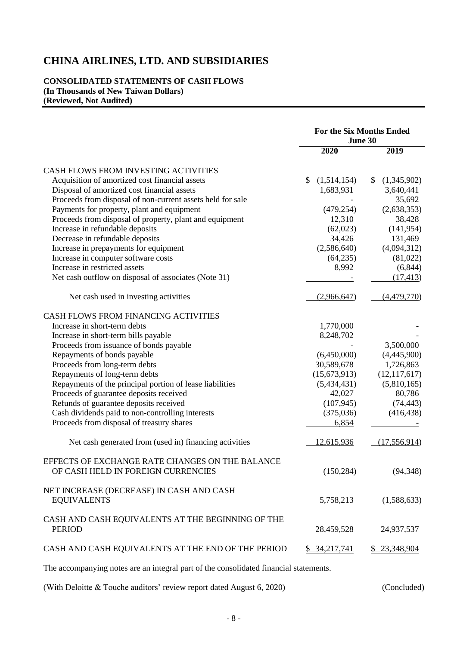## **CONSOLIDATED STATEMENTS OF CASH FLOWS (In Thousands of New Taiwan Dollars) (Reviewed, Not Audited)**

|                                                                    | <b>For the Six Months Ended</b><br>June 30 |                             |  |
|--------------------------------------------------------------------|--------------------------------------------|-----------------------------|--|
|                                                                    | 2020                                       | 2019                        |  |
| CASH FLOWS FROM INVESTING ACTIVITIES                               |                                            |                             |  |
| Acquisition of amortized cost financial assets                     | \$<br>(1,514,154)                          | $\mathbb{S}$<br>(1,345,902) |  |
| Disposal of amortized cost financial assets                        | 1,683,931                                  | 3,640,441                   |  |
| Proceeds from disposal of non-current assets held for sale         |                                            | 35,692                      |  |
| Payments for property, plant and equipment                         | (479, 254)                                 | (2,638,353)                 |  |
| Proceeds from disposal of property, plant and equipment            | 12,310                                     | 38,428                      |  |
| Increase in refundable deposits                                    | (62,023)                                   | (141, 954)                  |  |
| Decrease in refundable deposits                                    | 34,426                                     | 131,469                     |  |
| Increase in prepayments for equipment                              | (2,586,640)                                | (4,094,312)                 |  |
| Increase in computer software costs                                | (64,235)                                   | (81,022)                    |  |
| Increase in restricted assets                                      | 8,992                                      | (6, 844)                    |  |
| Net cash outflow on disposal of associates (Note 31)               |                                            | (17, 413)                   |  |
| Net cash used in investing activities                              | (2,966,647)                                | (4,479,770)                 |  |
| CASH FLOWS FROM FINANCING ACTIVITIES                               |                                            |                             |  |
| Increase in short-term debts                                       | 1,770,000                                  |                             |  |
| Increase in short-term bills payable                               | 8,248,702                                  |                             |  |
| Proceeds from issuance of bonds payable                            |                                            | 3,500,000                   |  |
| Repayments of bonds payable                                        | (6,450,000)                                | (4,445,900)                 |  |
| Proceeds from long-term debts                                      | 30,589,678                                 | 1,726,863                   |  |
| Repayments of long-term debts                                      | (15,673,913)                               | (12, 117, 617)              |  |
| Repayments of the principal portion of lease liabilities           | (5,434,431)                                | (5,810,165)                 |  |
| Proceeds of guarantee deposits received                            | 42,027                                     | 80,786                      |  |
| Refunds of guarantee deposits received                             | (107, 945)                                 | (74, 443)                   |  |
| Cash dividends paid to non-controlling interests                   | (375,036)                                  | (416, 438)                  |  |
| Proceeds from disposal of treasury shares                          | 6,854                                      |                             |  |
| Net cash generated from (used in) financing activities             | 12,615,936                                 | (17,556,914)                |  |
| EFFECTS OF EXCHANGE RATE CHANGES ON THE BALANCE                    |                                            |                             |  |
| OF CASH HELD IN FOREIGN CURRENCIES                                 | (150, 284)                                 | (94, 348)                   |  |
| NET INCREASE (DECREASE) IN CASH AND CASH<br><b>EQUIVALENTS</b>     | 5,758,213                                  | (1,588,633)                 |  |
| CASH AND CASH EQUIVALENTS AT THE BEGINNING OF THE<br><b>PERIOD</b> | 28,459,528                                 | 24,937,537                  |  |
| CASH AND CASH EQUIVALENTS AT THE END OF THE PERIOD                 | \$34,217,741                               | \$23,348,904                |  |
|                                                                    |                                            |                             |  |

The accompanying notes are an integral part of the consolidated financial statements.

(With Deloitte & Touche auditors' review report dated August 6, 2020) (Concluded)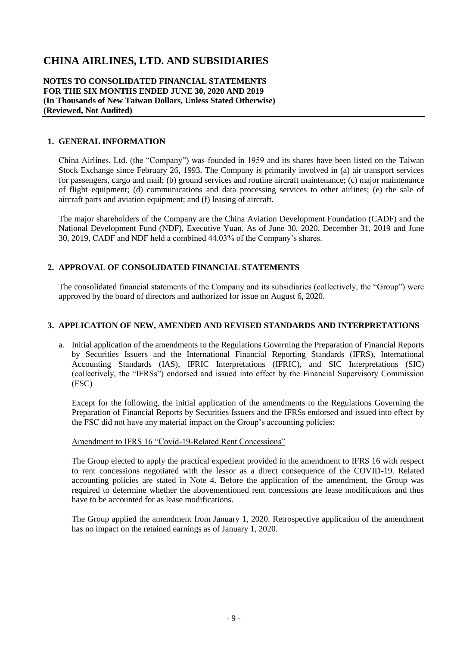**NOTES TO CONSOLIDATED FINANCIAL STATEMENTS FOR THE SIX MONTHS ENDED JUNE 30, 2020 AND 2019 (In Thousands of New Taiwan Dollars, Unless Stated Otherwise) (Reviewed, Not Audited)**

#### **1. GENERAL INFORMATION**

China Airlines, Ltd. (the "Company") was founded in 1959 and its shares have been listed on the Taiwan Stock Exchange since February 26, 1993. The Company is primarily involved in (a) air transport services for passengers, cargo and mail; (b) ground services and routine aircraft maintenance; (c) major maintenance of flight equipment; (d) communications and data processing services to other airlines; (e) the sale of aircraft parts and aviation equipment; and (f) leasing of aircraft.

The major shareholders of the Company are the China Aviation Development Foundation (CADF) and the National Development Fund (NDF), Executive Yuan. As of June 30, 2020, December 31, 2019 and June 30, 2019, CADF and NDF held a combined 44.03% of the Company's shares.

## **2. APPROVAL OF CONSOLIDATED FINANCIAL STATEMENTS**

The consolidated financial statements of the Company and its subsidiaries (collectively, the "Group") were approved by the board of directors and authorized for issue on August 6, 2020.

#### **3. APPLICATION OF NEW, AMENDED AND REVISED STANDARDS AND INTERPRETATIONS**

a. Initial application of the amendments to the Regulations Governing the Preparation of Financial Reports by Securities Issuers and the International Financial Reporting Standards (IFRS), International Accounting Standards (IAS), IFRIC Interpretations (IFRIC), and SIC Interpretations (SIC) (collectively, the "IFRSs") endorsed and issued into effect by the Financial Supervisory Commission (FSC)

Except for the following, the initial application of the amendments to the Regulations Governing the Preparation of Financial Reports by Securities Issuers and the IFRSs endorsed and issued into effect by the FSC did not have any material impact on the Group's accounting policies:

#### Amendment to IFRS 16 "Covid-19-Related Rent Concessions"

The Group elected to apply the practical expedient provided in the amendment to IFRS 16 with respect to rent concessions negotiated with the lessor as a direct consequence of the COVID-19. Related accounting policies are stated in Note 4. Before the application of the amendment, the Group was required to determine whether the abovementioned rent concessions are lease modifications and thus have to be accounted for as lease modifications.

The Group applied the amendment from January 1, 2020. Retrospective application of the amendment has no impact on the retained earnings as of January 1, 2020.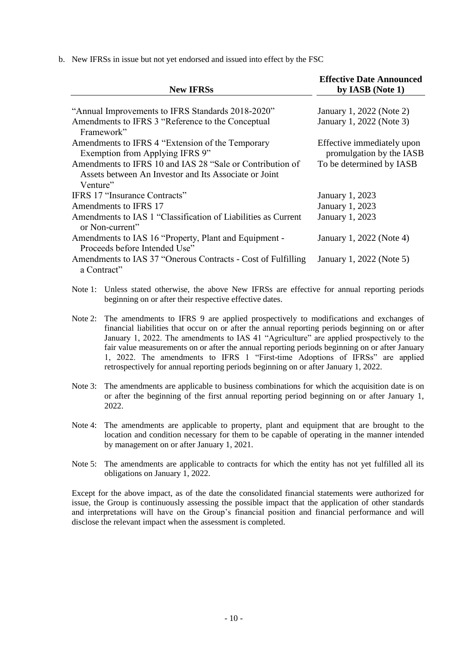b. New IFRSs in issue but not yet endorsed and issued into effect by the FSC

| <b>New IFRSs</b>                                                                                                   | <b>Effective Date Announced</b><br>by IASB (Note 1)    |
|--------------------------------------------------------------------------------------------------------------------|--------------------------------------------------------|
| "Annual Improvements to IFRS Standards 2018-2020"                                                                  | January 1, 2022 (Note 2)                               |
| Amendments to IFRS 3 "Reference to the Conceptual<br>Framework"                                                    | January 1, 2022 (Note 3)                               |
| Amendments to IFRS 4 "Extension of the Temporary<br>Exemption from Applying IFRS 9"                                | Effective immediately upon<br>promulgation by the IASB |
| Amendments to IFRS 10 and IAS 28 "Sale or Contribution of<br>Assets between An Investor and Its Associate or Joint | To be determined by IASB                               |
| Venture"                                                                                                           |                                                        |
| IFRS 17 "Insurance Contracts"                                                                                      | January 1, 2023                                        |
| Amendments to IFRS 17                                                                                              | January 1, 2023                                        |
| Amendments to IAS 1 "Classification of Liabilities as Current<br>or Non-current"                                   | <b>January 1, 2023</b>                                 |
| Amendments to IAS 16 "Property, Plant and Equipment -<br>Proceeds before Intended Use"                             | January 1, 2022 (Note 4)                               |
| Amendments to IAS 37 "Onerous Contracts - Cost of Fulfilling<br>a Contract"                                        | January 1, 2022 (Note 5)                               |

Note 1: Unless stated otherwise, the above New IFRSs are effective for annual reporting periods beginning on or after their respective effective dates.

- Note 2: The amendments to IFRS 9 are applied prospectively to modifications and exchanges of financial liabilities that occur on or after the annual reporting periods beginning on or after January 1, 2022. The amendments to IAS 41 "Agriculture" are applied prospectively to the fair value measurements on or after the annual reporting periods beginning on or after January 1, 2022. The amendments to IFRS 1 "First-time Adoptions of IFRSs" are applied retrospectively for annual reporting periods beginning on or after January 1, 2022.
- Note 3: The amendments are applicable to business combinations for which the acquisition date is on or after the beginning of the first annual reporting period beginning on or after January 1, 2022.
- Note 4: The amendments are applicable to property, plant and equipment that are brought to the location and condition necessary for them to be capable of operating in the manner intended by management on or after January 1, 2021.
- Note 5: The amendments are applicable to contracts for which the entity has not yet fulfilled all its obligations on January 1, 2022.

Except for the above impact, as of the date the consolidated financial statements were authorized for issue, the Group is continuously assessing the possible impact that the application of other standards and interpretations will have on the Group's financial position and financial performance and will disclose the relevant impact when the assessment is completed.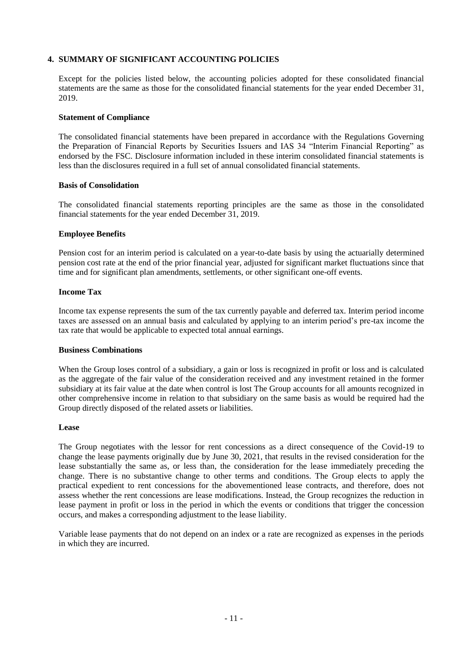#### **4. SUMMARY OF SIGNIFICANT ACCOUNTING POLICIES**

Except for the policies listed below, the accounting policies adopted for these consolidated financial statements are the same as those for the consolidated financial statements for the year ended December 31, 2019.

#### **Statement of Compliance**

The consolidated financial statements have been prepared in accordance with the Regulations Governing the Preparation of Financial Reports by Securities Issuers and IAS 34 "Interim Financial Reporting" as endorsed by the FSC. Disclosure information included in these interim consolidated financial statements is less than the disclosures required in a full set of annual consolidated financial statements.

#### **Basis of Consolidation**

The consolidated financial statements reporting principles are the same as those in the consolidated financial statements for the year ended December 31, 2019.

#### **Employee Benefits**

Pension cost for an interim period is calculated on a year-to-date basis by using the actuarially determined pension cost rate at the end of the prior financial year, adjusted for significant market fluctuations since that time and for significant plan amendments, settlements, or other significant one-off events.

#### **Income Tax**

Income tax expense represents the sum of the tax currently payable and deferred tax. Interim period income taxes are assessed on an annual basis and calculated by applying to an interim period's pre-tax income the tax rate that would be applicable to expected total annual earnings.

#### **Business Combinations**

When the Group loses control of a subsidiary, a gain or loss is recognized in profit or loss and is calculated as the aggregate of the fair value of the consideration received and any investment retained in the former subsidiary at its fair value at the date when control is lost The Group accounts for all amounts recognized in other comprehensive income in relation to that subsidiary on the same basis as would be required had the Group directly disposed of the related assets or liabilities.

#### **Lease**

The Group negotiates with the lessor for rent concessions as a direct consequence of the Covid-19 to change the lease payments originally due by June 30, 2021, that results in the revised consideration for the lease substantially the same as, or less than, the consideration for the lease immediately preceding the change. There is no substantive change to other terms and conditions. The Group elects to apply the practical expedient to rent concessions for the abovementioned lease contracts, and therefore, does not assess whether the rent concessions are lease modifications. Instead, the Group recognizes the reduction in lease payment in profit or loss in the period in which the events or conditions that trigger the concession occurs, and makes a corresponding adjustment to the lease liability.

Variable lease payments that do not depend on an index or a rate are recognized as expenses in the periods in which they are incurred.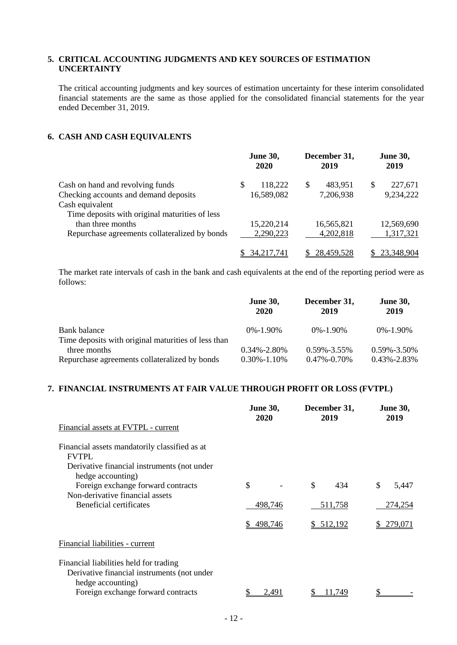## **5. CRITICAL ACCOUNTING JUDGMENTS AND KEY SOURCES OF ESTIMATION UNCERTAINTY**

The critical accounting judgments and key sources of estimation uncertainty for these interim consolidated financial statements are the same as those applied for the consolidated financial statements for the year ended December 31, 2019.

#### **6. CASH AND CASH EQUIVALENTS**

|                                                | <b>June 30,</b><br>2020 | December 31,<br>2019 | <b>June 30,</b><br>2019 |
|------------------------------------------------|-------------------------|----------------------|-------------------------|
| Cash on hand and revolving funds               | 118,222<br>\$.          | 483,951<br>S         | 227,671<br>S            |
| Checking accounts and demand deposits          | 16,589,082              | 7,206,938            | 9,234,222               |
| Cash equivalent                                |                         |                      |                         |
| Time deposits with original maturities of less |                         |                      |                         |
| than three months                              | 15,220,214              | 16,565,821           | 12,569,690              |
| Repurchase agreements collateralized by bonds  | 2,290,223               | 4,202,818            | 1,317,321               |
|                                                | 34, 217, 741            | 28,459,528           | 23,348,904              |

The market rate intervals of cash in the bank and cash equivalents at the end of the reporting period were as follows:

|                                                                                                                      | <b>June 30,</b><br>2020                | December 31,<br>2019                 | <b>June 30,</b><br>2019                |
|----------------------------------------------------------------------------------------------------------------------|----------------------------------------|--------------------------------------|----------------------------------------|
| Bank balance                                                                                                         | $0\% - 1.90\%$                         | $0\% - 1.90\%$                       | $0\% - 1.90\%$                         |
| Time deposits with original maturities of less than<br>three months<br>Repurchase agreements collateralized by bonds | $0.34\% - 2.80\%$<br>$0.30\% - 1.10\%$ | $0.59\% - 3.55\%$<br>$0.47\%$ -0.70% | $0.59\% - 3.50\%$<br>$0.43\% - 2.83\%$ |

#### **7. FINANCIAL INSTRUMENTS AT FAIR VALUE THROUGH PROFIT OR LOSS (FVTPL)**

|                                                                                                            | <b>June 30,</b><br>2020 | December 31,<br>2019 | <b>June 30,</b><br>2019 |
|------------------------------------------------------------------------------------------------------------|-------------------------|----------------------|-------------------------|
| Financial assets at FVTPL - current                                                                        |                         |                      |                         |
| Financial assets mandatorily classified as at<br><b>FVTPL</b>                                              |                         |                      |                         |
| Derivative financial instruments (not under<br>hedge accounting)                                           |                         |                      |                         |
| Foreign exchange forward contracts                                                                         | \$                      | \$<br>434            | \$<br>5,447             |
| Non-derivative financial assets                                                                            |                         |                      |                         |
| Beneficial certificates                                                                                    | 498,746                 | 511,758              | 274,254                 |
|                                                                                                            | \$498,746               | \$ 512,192           | 279,071                 |
| Financial liabilities - current                                                                            |                         |                      |                         |
| Financial liabilities held for trading<br>Derivative financial instruments (not under<br>hedge accounting) |                         |                      |                         |
| Foreign exchange forward contracts                                                                         | 2.491                   | 11.749               |                         |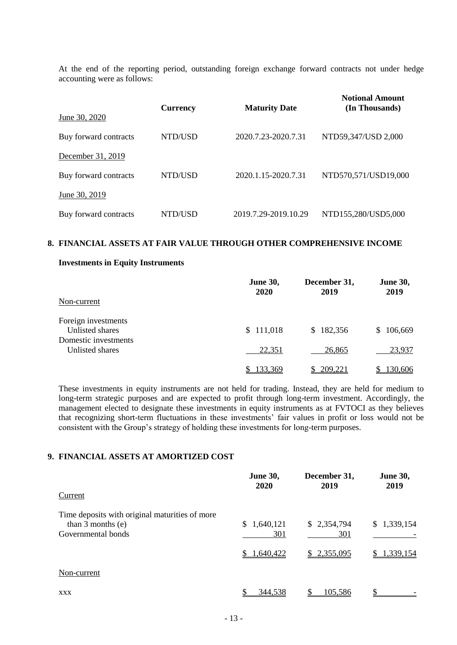At the end of the reporting period, outstanding foreign exchange forward contracts not under hedge accounting were as follows:

|                       | <b>Currency</b> | <b>Maturity Date</b> | <b>Notional Amount</b><br>(In Thousands) |
|-----------------------|-----------------|----------------------|------------------------------------------|
| June 30, 2020         |                 |                      |                                          |
| Buy forward contracts | NTD/USD         | 2020.7.23-2020.7.31  | NTD59,347/USD 2,000                      |
| December 31, 2019     |                 |                      |                                          |
| Buy forward contracts | NTD/USD         | 2020.1.15-2020.7.31  | NTD570,571/USD19,000                     |
| June 30, 2019         |                 |                      |                                          |
| Buy forward contracts | NTD/USD         | 2019.7.29-2019.10.29 | NTD155,280/USD5,000                      |

#### **8. FINANCIAL ASSETS AT FAIR VALUE THROUGH OTHER COMPREHENSIVE INCOME**

#### **Investments in Equity Instruments**

|                      | <b>June 30,</b><br><b>2020</b> | December 31,<br>2019 | <b>June 30,</b><br>2019 |
|----------------------|--------------------------------|----------------------|-------------------------|
| Non-current          |                                |                      |                         |
| Foreign investments  |                                |                      |                         |
| Unlisted shares      | \$111,018                      | \$182,356            | 106,669<br>S.           |
| Domestic investments |                                |                      |                         |
| Unlisted shares      | 22,351                         | 26,865               | 23,937                  |
|                      | <u>133,369</u>                 | 209,221              | 130,606                 |

These investments in equity instruments are not held for trading. Instead, they are held for medium to long-term strategic purposes and are expected to profit through long-term investment. Accordingly, the management elected to designate these investments in equity instruments as at FVTOCI as they believes that recognizing short-term fluctuations in these investments' fair values in profit or loss would not be consistent with the Group's strategy of holding these investments for long-term purposes.

## **9. FINANCIAL ASSETS AT AMORTIZED COST**

|                                                                       | June 30,<br>2020 | December 31,<br>2019 | <b>June 30,</b><br>2019 |
|-----------------------------------------------------------------------|------------------|----------------------|-------------------------|
| Current                                                               |                  |                      |                         |
| Time deposits with original maturities of more<br>than $3$ months (e) | 1,640,121<br>S.  | \$2,354,794          | \$1,339,154             |
| Governmental bonds                                                    | 301              | 301                  |                         |
|                                                                       | 1,640,422        | 2,355,095<br>S.      | 1,339,154               |
| Non-current                                                           |                  |                      |                         |
| <b>XXX</b>                                                            | 344,538          | 105,586              |                         |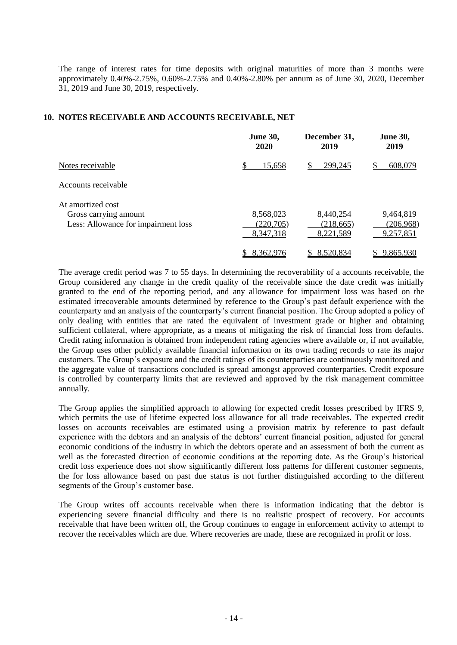The range of interest rates for time deposits with original maturities of more than 3 months were approximately 0.40%-2.75%, 0.60%-2.75% and 0.40%-2.80% per annum as of June 30, 2020, December 31, 2019 and June 30, 2019, respectively.

#### **10. NOTES RECEIVABLE AND ACCOUNTS RECEIVABLE, NET**

|                                     | <b>June 30,</b><br>2020 | December 31,<br>2019 | <b>June 30,</b><br>2019 |
|-------------------------------------|-------------------------|----------------------|-------------------------|
| Notes receivable                    | \$<br>15,658            | 299,245<br>S         | 608,079                 |
| Accounts receivable                 |                         |                      |                         |
| At amortized cost                   |                         |                      |                         |
| Gross carrying amount               | 8,568,023               | 8,440,254            | 9,464,819               |
| Less: Allowance for impairment loss | (220,705)               | (218, 665)           | (206,968)               |
|                                     | 8,347,318               | 8,221,589            | 9,257,851               |
|                                     | 8,362,976               | 8,520,834            | 9,865,930               |

The average credit period was 7 to 55 days. In determining the recoverability of a accounts receivable, the Group considered any change in the credit quality of the receivable since the date credit was initially granted to the end of the reporting period, and any allowance for impairment loss was based on the estimated irrecoverable amounts determined by reference to the Group's past default experience with the counterparty and an analysis of the counterparty's current financial position. The Group adopted a policy of only dealing with entities that are rated the equivalent of investment grade or higher and obtaining sufficient collateral, where appropriate, as a means of mitigating the risk of financial loss from defaults. Credit rating information is obtained from independent rating agencies where available or, if not available, the Group uses other publicly available financial information or its own trading records to rate its major customers. The Group's exposure and the credit ratings of its counterparties are continuously monitored and the aggregate value of transactions concluded is spread amongst approved counterparties. Credit exposure is controlled by counterparty limits that are reviewed and approved by the risk management committee annually.

The Group applies the simplified approach to allowing for expected credit losses prescribed by IFRS 9, which permits the use of lifetime expected loss allowance for all trade receivables. The expected credit losses on accounts receivables are estimated using a provision matrix by reference to past default experience with the debtors and an analysis of the debtors' current financial position, adjusted for general economic conditions of the industry in which the debtors operate and an assessment of both the current as well as the forecasted direction of economic conditions at the reporting date. As the Group's historical credit loss experience does not show significantly different loss patterns for different customer segments, the for loss allowance based on past due status is not further distinguished according to the different segments of the Group's customer base.

The Group writes off accounts receivable when there is information indicating that the debtor is experiencing severe financial difficulty and there is no realistic prospect of recovery. For accounts receivable that have been written off, the Group continues to engage in enforcement activity to attempt to recover the receivables which are due. Where recoveries are made, these are recognized in profit or loss.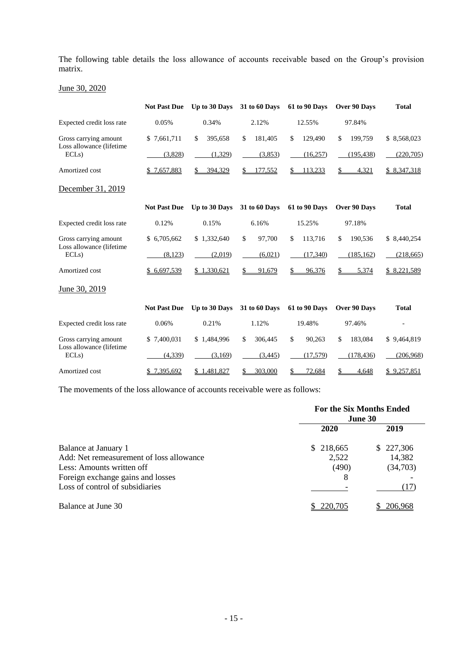The following table details the loss allowance of accounts receivable based on the Group's provision matrix.

June 30, 2020

|                                  | <b>Not Past Due</b> | Up to 30 Days | 31 to 60 Days        | 61 to 90 Days | Over 90 Days  | <b>Total</b> |
|----------------------------------|---------------------|---------------|----------------------|---------------|---------------|--------------|
| Expected credit loss rate        | 0.05%               | 0.34%         | 2.12%                | 12.55%        | 97.84%        |              |
| Gross carrying amount            | \$7,661,711         | \$<br>395,658 | \$<br>181,405        | \$<br>129,490 | \$<br>199,759 | \$8,568,023  |
| Loss allowance (lifetime<br>ECLs | (3,828)             | (1,329)       | (3,853)              | (16,257)      | (195, 438)    | (220, 705)   |
| Amortized cost                   | 7,657,883           | 394,329<br>\$ | 177,552<br>\$        | 113.233<br>\$ | \$<br>4,321   | \$8,347,318  |
| December 31, 2019                |                     |               |                      |               |               |              |
|                                  | <b>Not Past Due</b> | Up to 30 Days | <b>31 to 60 Days</b> | 61 to 90 Days | Over 90 Days  | <b>Total</b> |
| Expected credit loss rate        | 0.12%               | 0.15%         | 6.16%                | 15.25%        | 97.18%        |              |
| Gross carrying amount            | \$ 6,705,662        | \$1,332,640   | \$<br>97,700         | \$<br>113,716 | \$<br>190,536 | \$8,440,254  |
| Loss allowance (lifetime<br>ECLs | (8, 123)            | (2,019)       | (6,021)              | (17,340)      | (185, 162)    | (218, 665)   |
| Amortized cost                   | \$6,697,539         | \$1,330,621   | 91,679<br>S          | 96,376        | 5,374<br>\$   | \$ 8,221,589 |
| June 30, 2019                    |                     |               |                      |               |               |              |
|                                  | <b>Not Past Due</b> | Up to 30 Days | 31 to 60 Days        | 61 to 90 Days | Over 90 Days  | <b>Total</b> |
| Expected credit loss rate        | 0.06%               | 0.21%         | 1.12%                | 19.48%        | 97.46%        |              |
| Gross carrying amount            | \$7,400,031         | \$1.484,996   | \$<br>306,445        | \$<br>90,263  | \$<br>183,084 | \$9,464,819  |
| Loss allowance (lifetime<br>ECLs | (4,339)             | (3,169)       | (3, 445)             | (17,579)      | (178, 436)    | (206,968)    |
| Amortized cost                   | 7,395,692           | \$1,481,827   | 303,000<br>\$        | 72,684        | \$<br>4,648   | \$9,257,851  |

The movements of the loss allowance of accounts receivable were as follows:

|                                          | <b>For the Six Months Ended</b><br>June 30 |           |  |
|------------------------------------------|--------------------------------------------|-----------|--|
|                                          | 2020                                       | 2019      |  |
| Balance at January 1                     | \$218,665                                  | \$227,306 |  |
| Add: Net remeasurement of loss allowance | 2,522                                      | 14,382    |  |
| Less: Amounts written off                | (490)                                      | (34,703)  |  |
| Foreign exchange gains and losses        | 8                                          |           |  |
| Loss of control of subsidiaries          |                                            | (17)      |  |
| Balance at June 30                       | 220,705                                    | 206,968   |  |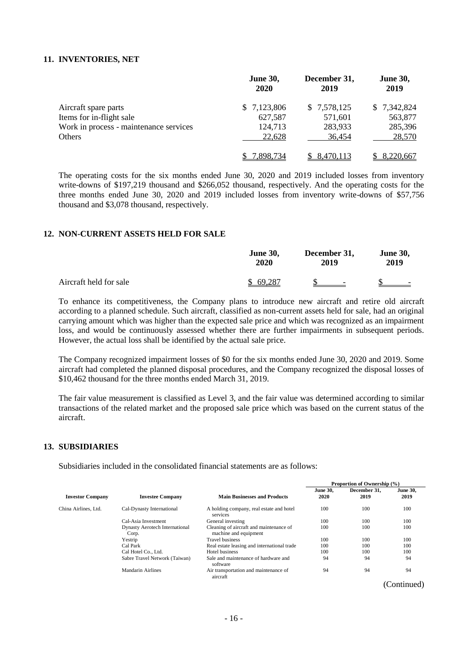#### **11. INVENTORIES, NET**

|                                        | <b>June 30,</b><br><b>2020</b> | December 31,<br>2019 | <b>June 30,</b><br>2019 |
|----------------------------------------|--------------------------------|----------------------|-------------------------|
| Aircraft spare parts                   | \$7,123,806                    | \$7,578,125          | \$7,342,824             |
| Items for in-flight sale               | 627,587                        | 571,601              | 563,877                 |
| Work in process - maintenance services | 124,713                        | 283,933              | 285,396                 |
| Others                                 | 22,628                         | 36,454               | 28,570                  |
|                                        | 7,898,734                      | 8,470,113            | \$8,220,667             |

The operating costs for the six months ended June 30, 2020 and 2019 included losses from inventory write-downs of \$197,219 thousand and \$266,052 thousand, respectively. And the operating costs for the three months ended June 30, 2020 and 2019 included losses from inventory write-downs of \$57,756 thousand and \$3,078 thousand, respectively.

## **12. NON-CURRENT ASSETS HELD FOR SALE**

|                        | <b>June 30,</b> | December 31,                   | <b>June 30,</b>          |
|------------------------|-----------------|--------------------------------|--------------------------|
|                        | 2020            | 2019                           | 2019                     |
| Aircraft held for sale | \$69,287        | <b>Contract Contract State</b> | $\overline{\phantom{0}}$ |

To enhance its competitiveness, the Company plans to introduce new aircraft and retire old aircraft according to a planned schedule. Such aircraft, classified as non-current assets held for sale, had an original carrying amount which was higher than the expected sale price and which was recognized as an impairment loss, and would be continuously assessed whether there are further impairments in subsequent periods. However, the actual loss shall be identified by the actual sale price.

The Company recognized impairment losses of \$0 for the six months ended June 30, 2020 and 2019. Some aircraft had completed the planned disposal procedures, and the Company recognized the disposal losses of \$10,462 thousand for the three months ended March 31, 2019.

The fair value measurement is classified as Level 3, and the fair value was determined according to similar transactions of the related market and the proposed sale price which was based on the current status of the aircraft.

#### **13. SUBSIDIARIES**

Subsidiaries included in the consolidated financial statements are as follows:

|                                                    |                                                |                                                                  | Proportion of Ownership (%) |                      |                                   |
|----------------------------------------------------|------------------------------------------------|------------------------------------------------------------------|-----------------------------|----------------------|-----------------------------------|
| <b>Investor Company</b><br><b>Investee Company</b> |                                                | <b>Main Businesses and Products</b>                              | <b>June 30.</b><br>2020     | December 31.<br>2019 | <b>June 30,</b><br>2019           |
| China Airlines, Ltd.                               | Cal-Dynasty International                      | A holding company, real estate and hotel<br>services             | 100                         | 100                  | 100                               |
|                                                    | Cal-Asia Investment                            | General investing                                                | 100                         | 100                  | 100                               |
|                                                    | <b>Dynasty Aerotech International</b><br>Corp. | Cleaning of aircraft and maintenance of<br>machine and equipment | 100                         | 100                  | 100                               |
|                                                    | Yestrip                                        | <b>Travel business</b>                                           | 100                         | 100                  | 100                               |
|                                                    | Cal Park                                       | Real estate leasing and international trade                      | 100                         | 100                  | 100                               |
|                                                    | Cal Hotel Co., Ltd.                            | Hotel business                                                   | 100                         | 100                  | 100                               |
|                                                    | Sabre Travel Network (Taiwan)                  | Sale and maintenance of hardware and<br>software                 | 94                          | 94                   | 94                                |
|                                                    | <b>Mandarin Airlines</b>                       | Air transportation and maintenance of<br>aircraft                | 94                          | 94                   | 94                                |
|                                                    |                                                |                                                                  |                             |                      | $(\mathcal{C}_{\alpha n}$ tinuad) |

(Continued)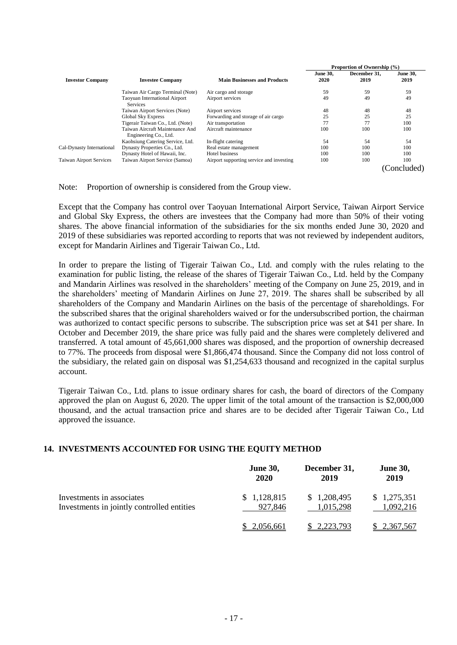|                                |                                                          |                                          | Proportion of Ownership (%) |                      |                         |
|--------------------------------|----------------------------------------------------------|------------------------------------------|-----------------------------|----------------------|-------------------------|
| <b>Investor Company</b>        | <b>Investee Company</b>                                  | <b>Main Businesses and Products</b>      | <b>June 30.</b><br>2020     | December 31.<br>2019 | <b>June 30,</b><br>2019 |
|                                | Taiwan Air Cargo Terminal (Note)                         | Air cargo and storage                    | 59                          | 59                   | 59                      |
|                                | <b>Taoyuan International Airport</b><br><b>Services</b>  | Airport services                         | 49                          | 49                   | 49                      |
|                                | Taiwan Airport Services (Note)                           | Airport services                         | 48                          | 48                   | 48                      |
|                                | <b>Global Sky Express</b>                                | Forwarding and storage of air cargo      | 25                          | 25                   | 25                      |
|                                | Tigerair Taiwan Co., Ltd. (Note)                         | Air transportation                       | 77                          | 77                   | 100                     |
|                                | Taiwan Aircraft Maintenance And<br>Engineering Co., Ltd. | Aircraft maintenance                     | 100                         | 100                  | 100                     |
|                                | Kaohsiung Catering Service, Ltd.                         | In-flight catering                       | 54                          | 54                   | 54                      |
| Cal-Dynasty International      | Dynasty Properties Co., Ltd.                             | Real estate management                   | 100                         | 100                  | 100                     |
|                                | Dynasty Hotel of Hawaii, Inc.                            | Hotel business                           | 100                         | 100                  | 100                     |
| <b>Taiwan Airport Services</b> | Taiwan Airport Service (Samoa)                           | Airport supporting service and investing | 100                         | 100                  | 100                     |
|                                |                                                          |                                          |                             |                      | (Concluded)             |

Note: Proportion of ownership is considered from the Group view.

Except that the Company has control over Taoyuan International Airport Service, Taiwan Airport Service and Global Sky Express, the others are investees that the Company had more than 50% of their voting shares. The above financial information of the subsidiaries for the six months ended June 30, 2020 and 2019 of these subsidiaries was reported according to reports that was not reviewed by independent auditors, except for Mandarin Airlines and Tigerair Taiwan Co., Ltd.

In order to prepare the listing of Tigerair Taiwan Co., Ltd. and comply with the rules relating to the examination for public listing, the release of the shares of Tigerair Taiwan Co., Ltd. held by the Company and Mandarin Airlines was resolved in the shareholders' meeting of the Company on June 25, 2019, and in the shareholders' meeting of Mandarin Airlines on June 27, 2019. The shares shall be subscribed by all shareholders of the Company and Mandarin Airlines on the basis of the percentage of shareholdings. For the subscribed shares that the original shareholders waived or for the undersubscribed portion, the chairman was authorized to contact specific persons to subscribe. The subscription price was set at \$41 per share. In October and December 2019, the share price was fully paid and the shares were completely delivered and transferred. A total amount of 45,661,000 shares was disposed, and the proportion of ownership decreased to 77%. The proceeds from disposal were \$1,866,474 thousand. Since the Company did not loss control of the subsidiary, the related gain on disposal was \$1,254,633 thousand and recognized in the capital surplus account.

Tigerair Taiwan Co., Ltd. plans to issue ordinary shares for cash, the board of directors of the Company approved the plan on August 6, 2020. The upper limit of the total amount of the transaction is \$2,000,000 thousand, and the actual transaction price and shares are to be decided after Tigerair Taiwan Co., Ltd approved the issuance.

## **14. INVESTMENTS ACCOUNTED FOR USING THE EQUITY METHOD**

|                                            | <b>June 30,</b> | December 31, | <b>June 30,</b>    |
|--------------------------------------------|-----------------|--------------|--------------------|
|                                            | 2020            | 2019         | 2019               |
| Investments in associates                  | \$1,128,815     | \$1,208,495  | \$1,275,351        |
| Investments in jointly controlled entities | 927,846         | 1,015,298    | 1,092,216          |
|                                            | 2,056,661       | 2.223.793    | <u>\$2,367,567</u> |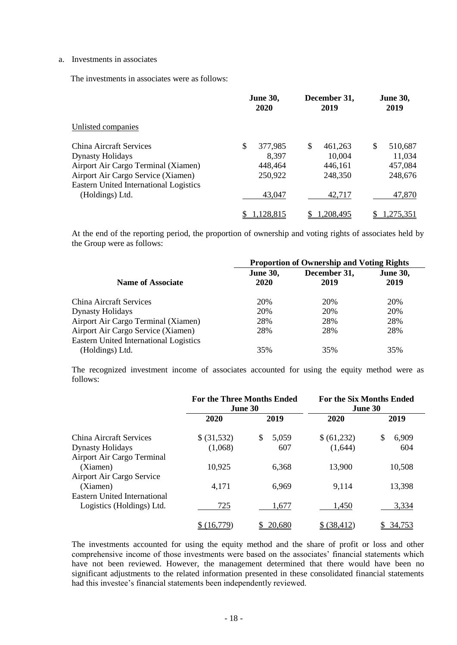#### a. Investments in associates

The investments in associates were as follows:

|                                                                                     | <b>June 30,</b><br>2020 | December 31,<br>2019 | <b>June 30,</b><br>2019 |
|-------------------------------------------------------------------------------------|-------------------------|----------------------|-------------------------|
| Unlisted companies                                                                  |                         |                      |                         |
| China Aircraft Services                                                             | \$<br>377,985           | \$<br>461,263        | \$<br>510,687           |
| <b>Dynasty Holidays</b>                                                             | 8,397                   | 10,004               | 11,034                  |
| Airport Air Cargo Terminal (Xiamen)                                                 | 448,464                 | 446,161              | 457,084                 |
| Airport Air Cargo Service (Xiamen)<br><b>Eastern United International Logistics</b> | 250,922                 | 248,350              | 248,676                 |
| (Holdings) Ltd.                                                                     | 43,047                  | 42,717               | 47,870                  |
|                                                                                     | <u>.128,815</u>         | .208.495             | <u>.275.351</u>         |

At the end of the reporting period, the proportion of ownership and voting rights of associates held by the Group were as follows:

|                                                                  | <b>Proportion of Ownership and Voting Rights</b> |                      |                         |  |
|------------------------------------------------------------------|--------------------------------------------------|----------------------|-------------------------|--|
| <b>Name of Associate</b>                                         | <b>June 30,</b><br>2020                          | December 31,<br>2019 | <b>June 30,</b><br>2019 |  |
| <b>China Aircraft Services</b>                                   | 20%                                              | 20%                  | 20%                     |  |
| <b>Dynasty Holidays</b>                                          | 20%                                              | 20%                  | 20%                     |  |
| Airport Air Cargo Terminal (Xiamen)                              | 28%                                              | 28%                  | 28%                     |  |
| Airport Air Cargo Service (Xiamen)                               | 28%                                              | 28%                  | 28%                     |  |
| <b>Eastern United International Logistics</b><br>(Holdings) Ltd. | 35%                                              | 35%                  | 35%                     |  |

The recognized investment income of associates accounted for using the equity method were as follows:

|                              | <b>For the Three Months Ended</b><br>June 30 |             | <b>For the Six Months Ended</b><br>June 30 |             |
|------------------------------|----------------------------------------------|-------------|--------------------------------------------|-------------|
|                              | 2020                                         | 2019        | 2020                                       | 2019        |
| China Aircraft Services      | \$ (31,532)                                  | \$<br>5,059 | \$(61,232)                                 | \$<br>6,909 |
| <b>Dynasty Holidays</b>      | (1,068)                                      | 607         | (1,644)                                    | 604         |
| Airport Air Cargo Terminal   |                                              |             |                                            |             |
| (Xiamen)                     | 10,925                                       | 6,368       | 13,900                                     | 10,508      |
| Airport Air Cargo Service    |                                              |             |                                            |             |
| (Xiamen)                     | 4,171                                        | 6,969       | 9,114                                      | 13,398      |
| Eastern United International |                                              |             |                                            |             |
| Logistics (Holdings) Ltd.    | 725                                          | 1,677       | 1,450                                      | 3,334       |
|                              | (16,779)                                     | 20,680      | \$ (38, 412)                               | 34,753      |

The investments accounted for using the equity method and the share of profit or loss and other comprehensive income of those investments were based on the associates' financial statements which have not been reviewed. However, the management determined that there would have been no significant adjustments to the related information presented in these consolidated financial statements had this investee's financial statements been independently reviewed.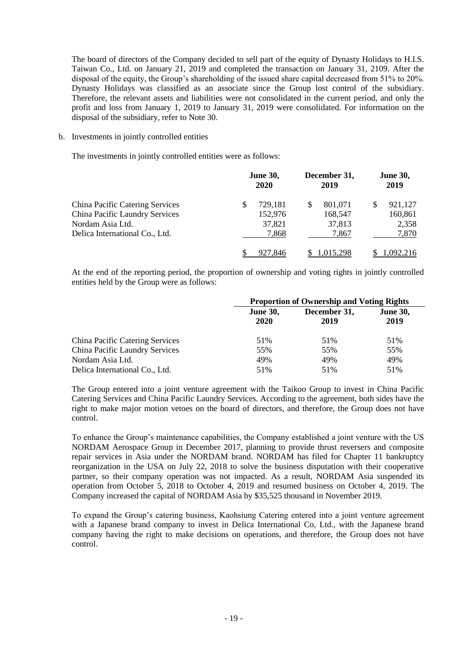The board of directors of the Company decided to sell part of the equity of Dynasty Holidays to H.I.S. Taiwan Co., Ltd. on January 21, 2019 and completed the transaction on January 31, 2109. After the disposal of the equity, the Group's shareholding of the issued share capital decreased from 51% to 20%. Dynasty Holidays was classified as an associate since the Group lost control of the subsidiary. Therefore, the relevant assets and liabilities were not consolidated in the current period, and only the profit and loss from January 1, 2019 to January 31, 2019 were consolidated. For information on the disposal of the subsidiary, refer to Note 30.

#### b. Investments in jointly controlled entities

The investments in jointly controlled entities were as follows:

|                                        | <b>June 30,</b> | December 31, | <b>June 30,</b> |
|----------------------------------------|-----------------|--------------|-----------------|
|                                        | <b>2020</b>     | 2019         | 2019            |
| <b>China Pacific Catering Services</b> | 729,181         | 801,071      | 921,127         |
| China Pacific Laundry Services         | 152,976         | 168,547      | 160,861         |
| Nordam Asia Ltd.                       | 37,821          | 37,813       | 2,358           |
| Delica International Co., Ltd.         | 7,868           | 7,867        | 7,870           |
|                                        | 927,846         | 1.015.298    | 1.092.216       |

At the end of the reporting period, the proportion of ownership and voting rights in jointly controlled entities held by the Group were as follows:

|                                        | <b>Proportion of Ownership and Voting Rights</b> |                      |                         |  |
|----------------------------------------|--------------------------------------------------|----------------------|-------------------------|--|
|                                        | <b>June 30,</b><br>2020                          | December 31,<br>2019 | <b>June 30,</b><br>2019 |  |
| <b>China Pacific Catering Services</b> | 51%                                              | 51%                  | 51%                     |  |
| <b>China Pacific Laundry Services</b>  | 55%                                              | 55%                  | 55%                     |  |
| Nordam Asia Ltd.                       | 49%                                              | 49%                  | 49%                     |  |
| Delica International Co., Ltd.         | 51%                                              | 51%                  | 51%                     |  |

The Group entered into a joint venture agreement with the Taikoo Group to invest in China Pacific Catering Services and China Pacific Laundry Services. According to the agreement, both sides have the right to make major motion vetoes on the board of directors, and therefore, the Group does not have control.

To enhance the Group's maintenance capabilities, the Company established a joint venture with the US NORDAM Aerospace Group in December 2017, planning to provide thrust reversers and composite repair services in Asia under the NORDAM brand. NORDAM has filed for Chapter 11 bankruptcy reorganization in the USA on July 22, 2018 to solve the business disputation with their cooperative partner, so their company operation was not impacted. As a result, NORDAM Asia suspended its operation from October 5, 2018 to October 4, 2019 and resumed business on October 4, 2019. The Company increased the capital of NORDAM Asia by \$35,525 thousand in November 2019.

To expand the Group's catering business, Kaohsiung Catering entered into a joint venture agreement with a Japanese brand company to invest in Delica International Co, Ltd., with the Japanese brand company having the right to make decisions on operations, and therefore, the Group does not have control.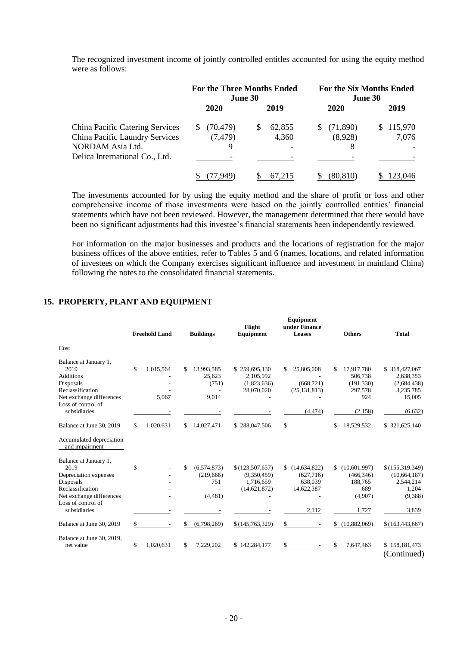|                                        | <b>For the Three Months Ended</b><br><b>June 30</b> |             | <b>For the Six Months Ended</b><br>June 30 |               |
|----------------------------------------|-----------------------------------------------------|-------------|--------------------------------------------|---------------|
|                                        | 2020                                                | 2019        | 2020                                       | 2019          |
| <b>China Pacific Catering Services</b> | (70, 479)                                           | 62,855<br>S | (71,890)<br>S                              | 115,970<br>S. |
| China Pacific Laundry Services         | (7, 479)                                            | 4,360       | (8,928)                                    | 7,076         |
| NORDAM Asia Ltd.                       | 9                                                   |             | 8                                          |               |
| Delica International Co., Ltd.         |                                                     |             |                                            |               |
|                                        | .949                                                | 67.215      | <u>80,810)</u>                             |               |

The recognized investment income of jointly controlled entitles accounted for using the equity method were as follows:

The investments accounted for by using the equity method and the share of profit or loss and other comprehensive income of those investments were based on the jointly controlled entities' financial statements which have not been reviewed. However, the management determined that there would have been no significant adjustments had this investee's financial statements been independently reviewed.

For information on the major businesses and products and the locations of registration for the major business offices of the above entities, refer to Tables 5 and 6 (names, locations, and related information of investees on which the Company exercises significant influence and investment in mainland China) following the notes to the consolidated financial statements.

## **15. PROPERTY, PLANT AND EQUIPMENT**

|                                                                                                                                                           | <b>Freehold Land</b>     | <b>Buildings</b>                                   | Flight<br>Equipment                                           | <b>Equipment</b><br>under Finance<br>Leases                   | <b>Others</b>                                                          | <b>Total</b>                                                                 |
|-----------------------------------------------------------------------------------------------------------------------------------------------------------|--------------------------|----------------------------------------------------|---------------------------------------------------------------|---------------------------------------------------------------|------------------------------------------------------------------------|------------------------------------------------------------------------------|
| Cost                                                                                                                                                      |                          |                                                    |                                                               |                                                               |                                                                        |                                                                              |
| Balance at January 1,<br>2019<br><b>Additions</b><br>Disposals<br>Reclassification<br>Net exchange differences<br>Loss of control of<br>subsidiaries      | 1,015,564<br>\$<br>5,067 | 13,993,585<br>\$<br>25,623<br>(751)<br>9,014       | \$259,695,130<br>2,105,992<br>(1,823,636)<br>28,070,020       | 25,805,008<br>-S<br>(668, 721)<br>(25, 131, 813)<br>(4, 474)  | 17,917,780<br>506,738<br>(191, 330)<br>297,578<br>924<br>(2, 158)      | \$318,427,067<br>2,638,353<br>(2,684,438)<br>3,235,785<br>15,005<br>(6, 632) |
| Balance at June 30, 2019                                                                                                                                  | 1,020,631                | 14,027,471                                         | \$288,047,506                                                 |                                                               | 18,529,532                                                             | \$321,625,140                                                                |
| Accumulated depreciation<br>and impairment                                                                                                                |                          |                                                    |                                                               |                                                               |                                                                        |                                                                              |
| Balance at January 1,<br>2019<br>Depreciation expenses<br>Disposals<br>Reclassification<br>Net exchange differences<br>Loss of control of<br>subsidiaries | \$                       | (6,574,873)<br>\$.<br>(219,666)<br>751<br>(4, 481) | \$(123, 507, 657)<br>(9,350,459)<br>1,716,659<br>(14,621,872) | \$(14,634,822)<br>(627,716)<br>638,039<br>14,622,387<br>2,112 | (10,601,997)<br>\$<br>(466, 346)<br>188,765<br>689<br>(4,907)<br>1,727 | \$(155,319,349)<br>(10,664,187)<br>2,544,214<br>1,204<br>(9,388)<br>3,839    |
| Balance at June 30, 2019                                                                                                                                  | \$                       | (6,798,269)                                        | \$(145,763,329)                                               | \$                                                            | (10,882,069)                                                           | \$(163, 443, 667)                                                            |
| Balance at June 30, 2019,<br>net value                                                                                                                    | .020,631                 | 7.229.202                                          | \$142,284,177                                                 |                                                               | 7,647,463                                                              | \$158,181,473<br>(Continued)                                                 |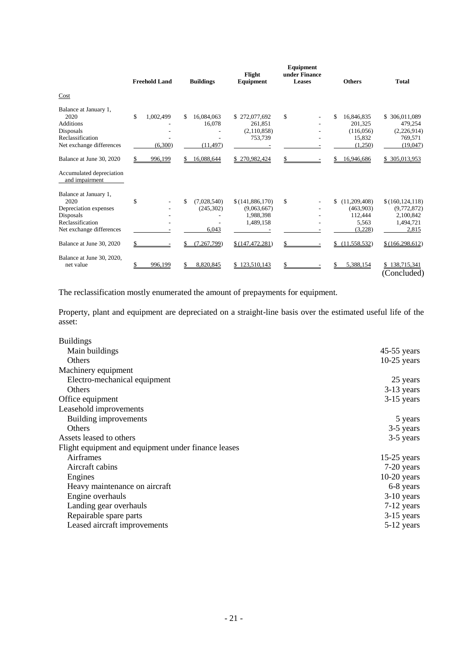|                                                                                                                                                 | <b>Freehold Land</b>       | <b>Buildings</b>                                       | Flight<br>Equipment                                                           | Equipment<br>under Finance<br><b>Leases</b> | <b>Others</b>                                                                    | <b>Total</b>                                                                             |
|-------------------------------------------------------------------------------------------------------------------------------------------------|----------------------------|--------------------------------------------------------|-------------------------------------------------------------------------------|---------------------------------------------|----------------------------------------------------------------------------------|------------------------------------------------------------------------------------------|
| Cost                                                                                                                                            |                            |                                                        |                                                                               |                                             |                                                                                  |                                                                                          |
| Balance at January 1,<br>2020<br><b>Additions</b><br>Disposals<br>Reclassification<br>Net exchange differences                                  | \$<br>1,002,499<br>(6,300) | 16,084,063<br>\$<br>16,078<br>(11, 497)                | \$272,077,692<br>261.851<br>(2,110,858)<br>753,739                            | \$                                          | \$<br>16,846,835<br>201.325<br>(116, 056)<br>15,832<br>(1,250)                   | \$ 306,011,089<br>479,254<br>(2,226,914)<br>769,571<br>(19,047)                          |
| Balance at June 30, 2020                                                                                                                        | 996,199                    | 16,088,644                                             | \$270,982,424                                                                 | \$                                          | 16,946,686                                                                       | \$305,013,953                                                                            |
| Accumulated depreciation<br>and impairment                                                                                                      |                            |                                                        |                                                                               |                                             |                                                                                  |                                                                                          |
| Balance at January 1,<br>2020<br>Depreciation expenses<br>Disposals<br>Reclassification<br>Net exchange differences<br>Balance at June 30, 2020 | \$                         | \$<br>(7,028,540)<br>(245,302)<br>6,043<br>(7,267,799) | \$(141,886,170)<br>(9,063,667)<br>1,988,398<br>1,489,158<br>\$(147, 472, 281) | \$<br>\$                                    | \$<br>(11,209,408)<br>(463,903)<br>112,444<br>5,563<br>(3,228)<br>(11, 558, 532) | \$(160, 124, 118)<br>(9,772,872)<br>2,100,842<br>1,494,721<br>2,815<br>\$(166, 298, 612) |
| Balance at June 30, 2020,<br>net value                                                                                                          | 996,199                    | 8,820,845                                              | \$123,510,143                                                                 | \$                                          | 5,388,154                                                                        | \$138,715,341<br>(Concluded)                                                             |

The reclassification mostly enumerated the amount of prepayments for equipment.

Property, plant and equipment are depreciated on a straight-line basis over the estimated useful life of the asset:

| <b>Buildings</b>                                    |               |
|-----------------------------------------------------|---------------|
| Main buildings                                      | $45-55$ years |
| Others                                              | $10-25$ years |
| Machinery equipment                                 |               |
| Electro-mechanical equipment                        | 25 years      |
| <b>Others</b>                                       | $3-13$ years  |
| Office equipment                                    | $3-15$ years  |
| Leasehold improvements                              |               |
| Building improvements                               | 5 years       |
| <b>Others</b>                                       | 3-5 years     |
| Assets leased to others                             | 3-5 years     |
| Flight equipment and equipment under finance leases |               |
| Airframes                                           | $15-25$ years |
| Aircraft cabins                                     | 7-20 years    |
| Engines                                             | $10-20$ years |
| Heavy maintenance on aircraft                       | 6-8 years     |
| Engine overhauls                                    | $3-10$ years  |
| Landing gear overhauls                              | 7-12 years    |
| Repairable spare parts                              | $3-15$ years  |
| Leased aircraft improvements                        | 5-12 years    |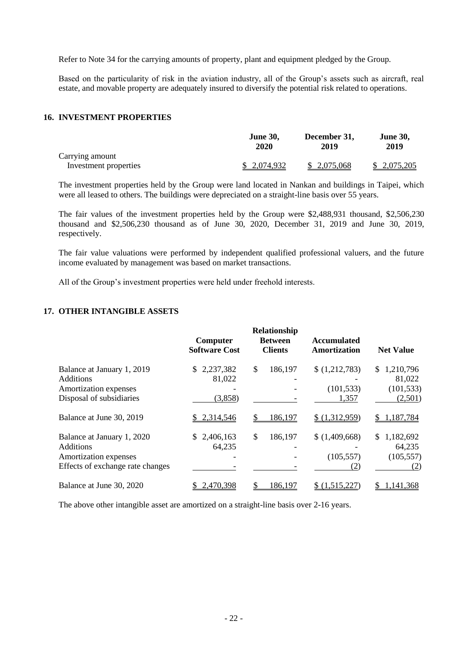Refer to Note 34 for the carrying amounts of property, plant and equipment pledged by the Group.

Based on the particularity of risk in the aviation industry, all of the Group's assets such as aircraft, real estate, and movable property are adequately insured to diversify the potential risk related to operations.

#### **16. INVESTMENT PROPERTIES**

|                       | <b>June 30,</b><br>2020 | December 31,<br>2019 | <b>June 30,</b><br>2019 |
|-----------------------|-------------------------|----------------------|-------------------------|
| Carrying amount       |                         |                      |                         |
| Investment properties | \$ 2,074,932            | \$ 2,075,068         | \$2,075,205             |

The investment properties held by the Group were land located in Nankan and buildings in Taipei, which were all leased to others. The buildings were depreciated on a straight-line basis over 55 years.

The fair values of the investment properties held by the Group were \$2,488,931 thousand, \$2,506,230 thousand and \$2,506,230 thousand as of June 30, 2020, December 31, 2019 and June 30, 2019, respectively.

The fair value valuations were performed by independent qualified professional valuers, and the future income evaluated by management was based on market transactions.

All of the Group's investment properties were held under freehold interests.

#### **17. OTHER INTANGIBLE ASSETS**

|                                                                                                             | Computer<br><b>Software Cost</b> | <b>Relationship</b><br><b>Between</b><br><b>Clients</b> | <b>Accumulated</b><br><b>Amortization</b> | <b>Net Value</b>                                    |
|-------------------------------------------------------------------------------------------------------------|----------------------------------|---------------------------------------------------------|-------------------------------------------|-----------------------------------------------------|
| Balance at January 1, 2019<br><b>Additions</b><br>Amortization expenses<br>Disposal of subsidiaries         | 2,237,382<br>81,022<br>(3,858)   | \$<br>186,197                                           | \$(1,212,783)<br>(101, 533)<br>1,357      | 1,210,796<br>\$.<br>81,022<br>(101, 533)<br>(2,501) |
| Balance at June 30, 2019                                                                                    | 2,314,546                        | 186,197                                                 | \$(1,312,959)                             | 1,187,784<br>\$                                     |
| Balance at January 1, 2020<br><b>Additions</b><br>Amortization expenses<br>Effects of exchange rate changes | 2,406,163<br>S.<br>64,235        | \$<br>186,197                                           | \$(1,409,668)<br>(105, 557)<br>(2)        | 1,182,692<br>S.<br>64,235<br>(105, 557)<br>(2)      |
| Balance at June 30, 2020                                                                                    | 2,470,398                        | 186,197                                                 | \$ (1,515,227)                            | ,141,368                                            |

The above other intangible asset are amortized on a straight-line basis over 2-16 years.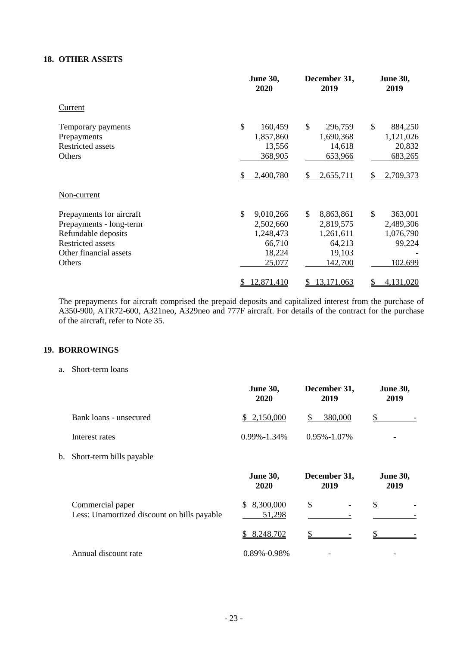#### **18. OTHER ASSETS**

|                          | <b>June 30,</b><br>2020 | December 31,<br>2019 | <b>June 30,</b><br>2019  |
|--------------------------|-------------------------|----------------------|--------------------------|
| Current                  |                         |                      |                          |
| Temporary payments       | \$<br>160,459           | \$<br>296,759        | $\mathbb{S}$<br>884,250  |
| Prepayments              | 1,857,860               | 1,690,368            | 1,121,026                |
| <b>Restricted assets</b> | 13,556                  | 14,618               | 20,832                   |
| Others                   | 368,905                 | 653,966              | 683,265                  |
|                          | 2,400,780               | 2,655,711            | 2,709,373                |
| Non-current              |                         |                      |                          |
| Prepayments for aircraft | \$<br>9,010,266         | \$<br>8,863,861      | $\mathcal{S}$<br>363,001 |
| Prepayments - long-term  | 2,502,660               | 2,819,575            | 2,489,306                |
| Refundable deposits      | 1,248,473               | 1,261,611            | 1,076,790                |
| <b>Restricted assets</b> | 66,710                  | 64,213               | 99,224                   |
| Other financial assets   | 18,224                  | 19,103               |                          |
| Others                   | 25,077                  | 142,700              | 102,699                  |
|                          | 12,871,410<br>\$        | 13,171,063<br>S      | 4,131,020<br>\$          |

The prepayments for aircraft comprised the prepaid deposits and capitalized interest from the purchase of A350-900, ATR72-600, A321neo, A329neo and 777F aircraft. For details of the contract for the purchase of the aircraft, refer to Note 35.

## **19. BORROWINGS**

a. Short-term loans

|    |                                                                 | <b>June 30,</b><br>2020    | December 31,<br>2019 | <b>June 30,</b><br>2019 |
|----|-----------------------------------------------------------------|----------------------------|----------------------|-------------------------|
|    | Bank loans - unsecured                                          | 2,150,000<br>\$            | 380,000<br>S.        |                         |
|    | Interest rates                                                  | $0.99\% - 1.34\%$          | $0.95\% - 1.07\%$    |                         |
| b. | Short-term bills payable                                        |                            |                      |                         |
|    |                                                                 | <b>June 30,</b><br>2020    | December 31,<br>2019 | <b>June 30,</b><br>2019 |
|    | Commercial paper<br>Less: Unamortized discount on bills payable | 8,300,000<br>\$.<br>51,298 | \$                   | \$                      |
|    |                                                                 | 8,248,702<br>S.            |                      |                         |
|    | Annual discount rate                                            | 0.89%-0.98%                |                      |                         |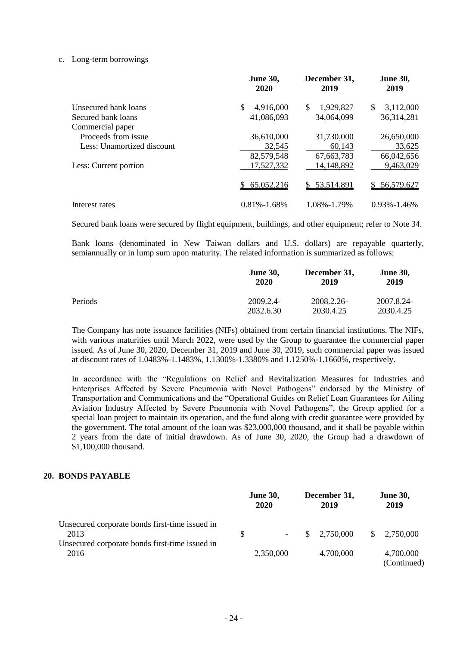#### c. Long-term borrowings

|                            | <b>June 30,</b><br>2020 | December 31,<br>2019 | <b>June 30,</b><br>2019 |
|----------------------------|-------------------------|----------------------|-------------------------|
| Unsecured bank loans       | \$<br>4,916,000         | 1,929,827<br>\$      | 3,112,000<br>\$         |
| Secured bank loans         | 41,086,093              | 34,064,099           | 36,314,281              |
| Commercial paper           |                         |                      |                         |
| Proceeds from issue        | 36,610,000              | 31,730,000           | 26,650,000              |
| Less: Unamortized discount | 32,545                  | 60,143               | 33,625                  |
|                            | 82,579,548              | 67,663,783           | 66,042,656              |
| Less: Current portion      | 17,527,332              | 14,148,892           | 9,463,029               |
|                            | 65,052,216              | \$53,514,891         | 56,579,627<br>S.        |
| Interest rates             | $0.81\% - 1.68\%$       | 1.08%-1.79%          | $0.93\% - 1.46\%$       |

Secured bank loans were secured by flight equipment, buildings, and other equipment; refer to Note 34.

Bank loans (denominated in New Taiwan dollars and U.S. dollars) are repayable quarterly, semiannually or in lump sum upon maturity. The related information is summarized as follows:

|         | <b>June 30,</b><br>2020 | December 31,<br>2019 | <b>June 30,</b><br>2019 |
|---------|-------------------------|----------------------|-------------------------|
| Periods | 2009.2.4-               | 2008.2.26-           | 2007.8.24-              |
|         | 2032.6.30               | 2030.4.25            | 2030.4.25               |

The Company has note issuance facilities (NIFs) obtained from certain financial institutions. The NIFs, with various maturities until March 2022, were used by the Group to guarantee the commercial paper issued. As of June 30, 2020, December 31, 2019 and June 30, 2019, such commercial paper was issued at discount rates of 1.0483%-1.1483%, 1.1300%-1.3380% and 1.1250%-1.1660%, respectively.

In accordance with the "Regulations on Relief and Revitalization Measures for Industries and Enterprises Affected by Severe Pneumonia with Novel Pathogens" endorsed by the Ministry of Transportation and Communications and the "Operational Guides on Relief Loan Guarantees for Ailing Aviation Industry Affected by Severe Pneumonia with Novel Pathogens", the Group applied for a special loan project to maintain its operation, and the fund along with credit guarantee were provided by the government. The total amount of the loan was \$23,000,000 thousand, and it shall be payable within 2 years from the date of initial drawdown. As of June 30, 2020, the Group had a drawdown of \$1,100,000 thousand.

#### **20. BONDS PAYABLE**

|                                                                                                          |               | <b>June 30,</b><br>2020 |              | December 31,<br>2019 |     | <b>June 30,</b><br>2019  |
|----------------------------------------------------------------------------------------------------------|---------------|-------------------------|--------------|----------------------|-----|--------------------------|
| Unsecured corporate bonds first-time issued in<br>2013<br>Unsecured corporate bonds first-time issued in | <sup>\$</sup> | $\sim$ 100 $\mu$        | <sup>S</sup> | 2,750,000            | \$. | 2,750,000                |
| 2016                                                                                                     |               | 2,350,000               |              | 4,700,000            |     | 4,700,000<br>(Continued) |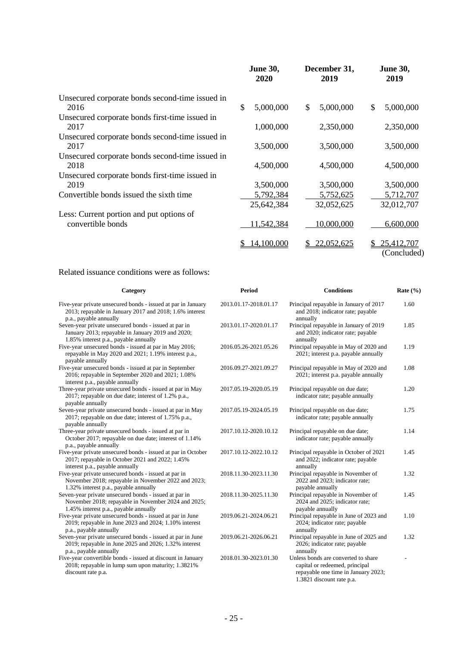|                                                         | <b>June 30,</b><br>2020 | December 31,<br>2019 | <b>June 30,</b><br>2019         |
|---------------------------------------------------------|-------------------------|----------------------|---------------------------------|
| Unsecured corporate bonds second-time issued in<br>2016 | \$<br>5,000,000         | 5,000,000<br>\$      | \$<br>5,000,000                 |
| Unsecured corporate bonds first-time issued in          |                         |                      |                                 |
| 2017                                                    | 1,000,000               | 2,350,000            | 2,350,000                       |
| Unsecured corporate bonds second-time issued in         |                         |                      |                                 |
| 2017                                                    | 3,500,000               | 3,500,000            | 3,500,000                       |
| Unsecured corporate bonds second-time issued in         |                         |                      |                                 |
| 2018                                                    | 4,500,000               | 4,500,000            | 4,500,000                       |
| Unsecured corporate bonds first-time issued in          |                         |                      |                                 |
| 2019                                                    | 3,500,000               | 3,500,000            | 3,500,000                       |
| Convertible bonds issued the sixth time                 | 5,792,384               | 5,752,625            | 5,712,707                       |
|                                                         | 25,642,384              | 32,052,625           | 32,012,707                      |
| Less: Current portion and put options of                |                         |                      |                                 |
| convertible bonds                                       | 11,542,384              | 10,000,000           | 6,600,000                       |
|                                                         | 14,100,000              | 22,052,625           | 25,412,707<br>S.<br>(Concluded) |

## Related issuance conditions were as follows:

| Category                                                                                                                                              | <b>Period</b>         | <b>Conditions</b>                                                                                                                         | Rate $(\% )$ |
|-------------------------------------------------------------------------------------------------------------------------------------------------------|-----------------------|-------------------------------------------------------------------------------------------------------------------------------------------|--------------|
| Five-year private unsecured bonds - issued at par in January<br>2013; repayable in January 2017 and 2018; 1.6% interest<br>p.a., payable annually     | 2013.01.17-2018.01.17 | Principal repayable in January of 2017<br>and 2018; indicator rate; payable<br>annually                                                   | 1.60         |
| Seven-year private unsecured bonds - issued at par in<br>January 2013; repayable in January 2019 and 2020;<br>1.85% interest p.a., payable annually   | 2013.01.17-2020.01.17 | Principal repayable in January of 2019<br>and 2020; indicator rate; payable<br>annually                                                   | 1.85         |
| Five-year unsecured bonds - issued at par in May 2016;<br>repayable in May 2020 and 2021; 1.19% interest p.a.,<br>payable annually                    | 2016.05.26-2021.05.26 | Principal repayable in May of 2020 and<br>2021; interest p.a. payable annually                                                            | 1.19         |
| Five-year unsecured bonds - issued at par in September<br>2016; repayable in September 2020 and 2021; 1.08%<br>interest p.a., payable annually        | 2016.09.27-2021.09.27 | Principal repayable in May of 2020 and<br>2021; interest p.a. payable annually                                                            | 1.08         |
| Three-year private unsecured bonds - issued at par in May<br>2017; repayable on due date; interest of 1.2% p.a.,<br>payable annually                  | 2017.05.19-2020.05.19 | Principal repayable on due date;<br>indicator rate; payable annually                                                                      | 1.20         |
| Seven-year private unsecured bonds - issued at par in May<br>2017; repayable on due date; interest of 1.75% p.a.,<br>payable annually                 | 2017.05.19-2024.05.19 | Principal repayable on due date;<br>indicator rate; payable annually                                                                      | 1.75         |
| Three-year private unsecured bonds - issued at par in<br>October 2017; repayable on due date; interest of 1.14%<br>p.a., payable annually             | 2017.10.12-2020.10.12 | Principal repayable on due date;<br>indicator rate; payable annually                                                                      | 1.14         |
| Five-year private unsecured bonds - issued at par in October<br>2017; repayable in October 2021 and 2022; 1.45%<br>interest p.a., payable annually    | 2017.10.12-2022.10.12 | Principal repayable in October of 2021<br>and 2022; indicator rate; payable<br>annually                                                   | 1.45         |
| Five-year private unsecured bonds - issued at par in<br>November 2018; repayable in November 2022 and 2023;<br>1.32% interest p.a., payable annually  | 2018.11.30-2023.11.30 | Principal repayable in November of<br>2022 and 2023; indicator rate;<br>payable annually                                                  | 1.32         |
| Seven-year private unsecured bonds - issued at par in<br>November 2018; repayable in November 2024 and 2025;<br>1.45% interest p.a., payable annually | 2018.11.30-2025.11.30 | Principal repayable in November of<br>2024 and 2025; indicator rate;<br>payable annually                                                  | 1.45         |
| Five-year private unsecured bonds - issued at par in June<br>2019; repayable in June 2023 and 2024; 1.10% interest<br>p.a., payable annually          | 2019.06.21-2024.06.21 | Principal repayable in June of 2023 and<br>2024; indicator rate; payable<br>annually                                                      | 1.10         |
| Seven-year private unsecured bonds - issued at par in June<br>2019; repayable in June 2025 and 2026; 1.32% interest<br>p.a., payable annually         | 2019.06.21-2026.06.21 | Principal repayable in June of 2025 and<br>2026; indicator rate; payable<br>annually                                                      | 1.32         |
| Five-year convertible bonds - issued at discount in January<br>2018; repayable in lump sum upon maturity; 1.3821%<br>discount rate p.a.               | 2018.01.30-2023.01.30 | Unless bonds are converted to share<br>capital or redeemed, principal<br>repayable one time in January 2023;<br>1.3821 discount rate p.a. |              |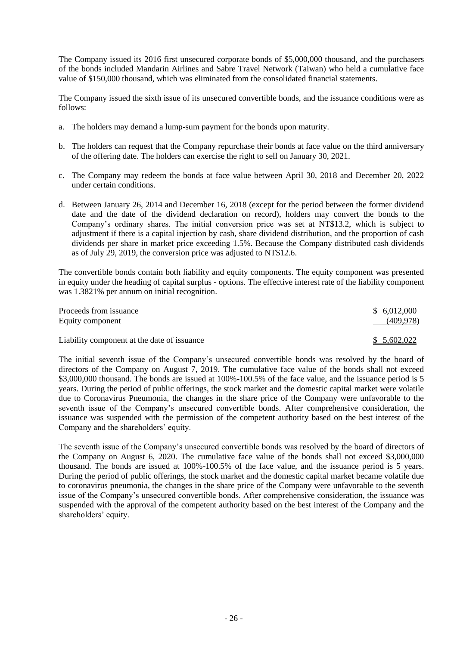The Company issued its 2016 first unsecured corporate bonds of \$5,000,000 thousand, and the purchasers of the bonds included Mandarin Airlines and Sabre Travel Network (Taiwan) who held a cumulative face value of \$150,000 thousand, which was eliminated from the consolidated financial statements.

The Company issued the sixth issue of its unsecured convertible bonds, and the issuance conditions were as follows:

- a. The holders may demand a lump-sum payment for the bonds upon maturity.
- b. The holders can request that the Company repurchase their bonds at face value on the third anniversary of the offering date. The holders can exercise the right to sell on January 30, 2021.
- c. The Company may redeem the bonds at face value between April 30, 2018 and December 20, 2022 under certain conditions.
- d. Between January 26, 2014 and December 16, 2018 (except for the period between the former dividend date and the date of the dividend declaration on record), holders may convert the bonds to the Company's ordinary shares. The initial conversion price was set at NT\$13.2, which is subject to adjustment if there is a capital injection by cash, share dividend distribution, and the proportion of cash dividends per share in market price exceeding 1.5%. Because the Company distributed cash dividends as of July 29, 2019, the conversion price was adjusted to NT\$12.6.

The convertible bonds contain both liability and equity components. The equity component was presented in equity under the heading of capital surplus - options. The effective interest rate of the liability component was 1.3821% per annum on initial recognition.

| Proceeds from issuance<br>Equity component  | \$6,012,000<br>(409, 978) |
|---------------------------------------------|---------------------------|
| Liability component at the date of issuance | \$5,602,022               |

The initial seventh issue of the Company's unsecured convertible bonds was resolved by the board of directors of the Company on August 7, 2019. The cumulative face value of the bonds shall not exceed \$3,000,000 thousand. The bonds are issued at 100%-100.5% of the face value, and the issuance period is 5 years. During the period of public offerings, the stock market and the domestic capital market were volatile due to Coronavirus Pneumonia, the changes in the share price of the Company were unfavorable to the seventh issue of the Company's unsecured convertible bonds. After comprehensive consideration, the issuance was suspended with the permission of the competent authority based on the best interest of the Company and the shareholders' equity.

The seventh issue of the Company's unsecured convertible bonds was resolved by the board of directors of the Company on August 6, 2020. The cumulative face value of the bonds shall not exceed \$3,000,000 thousand. The bonds are issued at 100%-100.5% of the face value, and the issuance period is 5 years. During the period of public offerings, the stock market and the domestic capital market became volatile due to coronavirus pneumonia, the changes in the share price of the Company were unfavorable to the seventh issue of the Company's unsecured convertible bonds. After comprehensive consideration, the issuance was suspended with the approval of the competent authority based on the best interest of the Company and the shareholders' equity.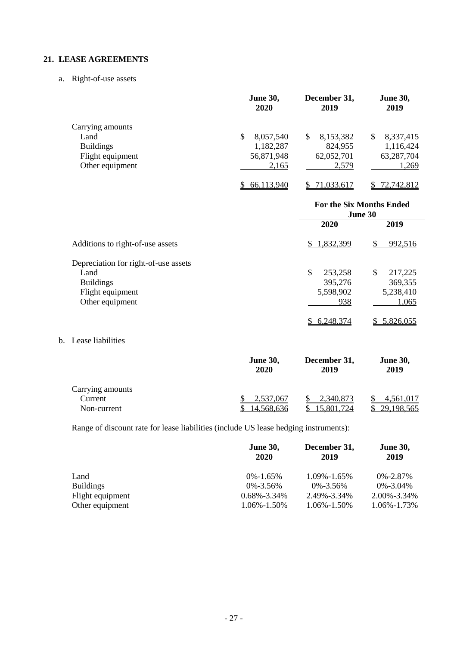## **21. LEASE AGREEMENTS**

a. Right-of-use assets

|                  | <b>June 30,</b><br>2020 | December 31,<br>2019 | <b>June 30,</b><br>2019 |
|------------------|-------------------------|----------------------|-------------------------|
| Carrying amounts |                         |                      |                         |
| Land             | 8,057,540<br>S          | 8,153,382<br>S       | 8,337,415<br>S          |
| <b>Buildings</b> | 1,182,287               | 824,955              | 1,116,424               |
| Flight equipment | 56,871,948              | 62,052,701           | 63,287,704              |
| Other equipment  | 2,165                   | 2,579                | 1,269                   |
|                  | 66,113,940              | 71,033,617           | 72,742,812              |

|                                      | <b>For the Six Months Ended</b><br>June 30 |               |  |
|--------------------------------------|--------------------------------------------|---------------|--|
|                                      | 2020                                       | 2019          |  |
| Additions to right-of-use assets     | 1,832,399<br>\$                            | 992,516       |  |
| Depreciation for right-of-use assets |                                            |               |  |
| Land                                 | \$<br>253,258                              | \$<br>217,225 |  |
| <b>Buildings</b>                     | 395,276                                    | 369,355       |  |
| Flight equipment                     | 5,598,902                                  | 5,238,410     |  |
| Other equipment                      | 938                                        | 1,065         |  |
|                                      | 6,248,374                                  | 5,826,055     |  |

b. Lease liabilities

|                  | <b>June 30,</b><br>2020 | December 31,<br>2019 | <b>June 30,</b><br>2019 |
|------------------|-------------------------|----------------------|-------------------------|
| Carrying amounts |                         |                      |                         |
| Current          | 2,537,067               | 2,340,873            | <u>4,561,017</u>        |
| Non-current      | 14,568,636              | 15.801.724           | 29,198,565              |

Range of discount rate for lease liabilities (include US lease hedging instruments):

|                  | <b>June 30,</b><br>2020 | December 31,<br>2019 | <b>June 30,</b><br>2019 |
|------------------|-------------------------|----------------------|-------------------------|
| Land             | $0\% - 1.65\%$          | $1.09\% - 1.65\%$    | $0\% - 2.87\%$          |
| <b>Buildings</b> | $0\% - 3.56\%$          | $0\% - 3.56\%$       | $0\% - 3.04\%$          |
| Flight equipment | $0.68\% - 3.34\%$       | 2.49%-3.34%          | 2.00%-3.34%             |
| Other equipment  | 1.06%-1.50%             | 1.06%-1.50%          | 1.06%-1.73%             |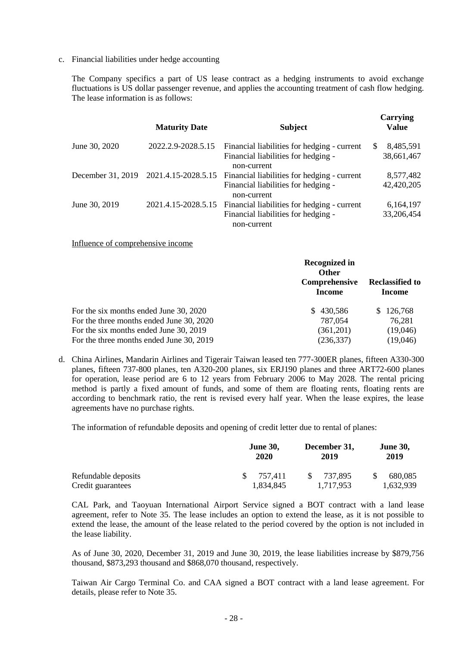c. Financial liabilities under hedge accounting

The Company specifics a part of US lease contract as a hedging instruments to avoid exchange fluctuations is US dollar passenger revenue, and applies the accounting treatment of cash flow hedging. The lease information is as follows:

|                   | <b>Maturity Date</b> | <b>Subject</b>                                                                                    | Carrying<br>Value              |
|-------------------|----------------------|---------------------------------------------------------------------------------------------------|--------------------------------|
| June 30, 2020     | 2022.2.9-2028.5.15   | Financial liabilities for hedging - current<br>Financial liabilities for hedging -<br>non-current | 8,485,591<br>\$.<br>38,661,467 |
| December 31, 2019 | 2021.4.15-2028.5.15  | Financial liabilities for hedging - current<br>Financial liabilities for hedging -<br>non-current | 8,577,482<br>42,420,205        |
| June 30, 2019     | 2021.4.15-2028.5.15  | Financial liabilities for hedging - current<br>Financial liabilities for hedging -<br>non-current | 6,164,197<br>33,206,454        |

Influence of comprehensive income

|                                          | <b>Recognized in</b><br><b>Other</b><br>Comprehensive<br><b>Income</b> | <b>Reclassified to</b><br>Income |
|------------------------------------------|------------------------------------------------------------------------|----------------------------------|
| For the six months ended June 30, 2020   | 430,586<br>S.                                                          | \$126,768                        |
| For the three months ended June 30, 2020 | 787,054                                                                | 76,281                           |
| For the six months ended June 30, 2019   | (361,201)                                                              | (19,046)                         |
| For the three months ended June 30, 2019 | (236, 337)                                                             | (19,046)                         |

d. China Airlines, Mandarin Airlines and Tigerair Taiwan leased ten 777-300ER planes, fifteen A330-300 planes, fifteen 737-800 planes, ten A320-200 planes, six ERJ190 planes and three ART72-600 planes for operation, lease period are 6 to 12 years from February 2006 to May 2028. The rental pricing method is partly a fixed amount of funds, and some of them are floating rents, floating rents are according to benchmark ratio, the rent is revised every half year. When the lease expires, the lease agreements have no purchase rights.

The information of refundable deposits and opening of credit letter due to rental of planes:

|                     | <b>June 30,</b><br>2020 | December 31,<br>2019 | <b>June 30,</b><br>2019 |
|---------------------|-------------------------|----------------------|-------------------------|
| Refundable deposits | 757.411<br>SS.          | 737.895              | 680,085                 |
| Credit guarantees   | 1,834,845               | 1.717.953            | 1,632,939               |

CAL Park, and Taoyuan International Airport Service signed a BOT contract with a land lease agreement, refer to Note 35. The lease includes an option to extend the lease, as it is not possible to extend the lease, the amount of the lease related to the period covered by the option is not included in the lease liability.

As of June 30, 2020, December 31, 2019 and June 30, 2019, the lease liabilities increase by \$879,756 thousand, \$873,293 thousand and \$868,070 thousand, respectively.

Taiwan Air Cargo Terminal Co. and CAA signed a BOT contract with a land lease agreement. For details, please refer to Note 35.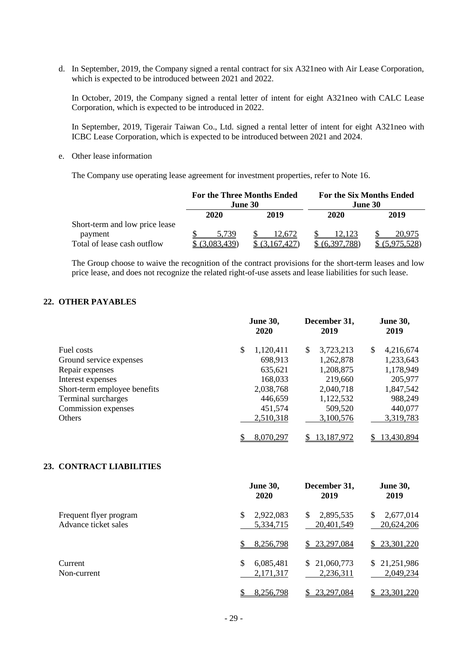d. In September, 2019, the Company signed a rental contract for six A321neo with Air Lease Corporation, which is expected to be introduced between 2021 and 2022.

In October, 2019, the Company signed a rental letter of intent for eight A321neo with CALC Lease Corporation, which is expected to be introduced in 2022.

In September, 2019, Tigerair Taiwan Co., Ltd. signed a rental letter of intent for eight A321neo with ICBC Lease Corporation, which is expected to be introduced between 2021 and 2024.

e. Other lease information

The Company use operating lease agreement for investment properties, refer to Note 16.

|                                                                          | <b>For the Three Months Ended</b><br><b>June 30</b> |                    | <b>For the Six Months Ended</b><br>June 30 |                       |
|--------------------------------------------------------------------------|-----------------------------------------------------|--------------------|--------------------------------------------|-----------------------|
|                                                                          | 2020                                                | 2019               | 2020                                       | 2019                  |
| Short-term and low price lease<br>payment<br>Total of lease cash outflow | 5.739<br>083.439)                                   | 12.672<br>167.427) | 12.123<br>(6,397,788)                      | 20.975<br>(5,975,528) |

The Group choose to waive the recognition of the contract provisions for the short-term leases and low price lease, and does not recognize the related right-of-use assets and lease liabilities for such lease.

## **22. OTHER PAYABLES**

|                              | <b>June 30,</b><br>2020 | December 31,<br>2019 | <b>June 30,</b><br>2019 |
|------------------------------|-------------------------|----------------------|-------------------------|
| Fuel costs                   | \$<br>1,120,411         | 3,723,213<br>\$      | 4,216,674<br>\$         |
| Ground service expenses      | 698,913                 | 1,262,878            | 1,233,643               |
| Repair expenses              | 635,621                 | 1,208,875            | 1,178,949               |
| Interest expenses            | 168,033                 | 219,660              | 205,977                 |
| Short-term employee benefits | 2,038,768               | 2,040,718            | 1,847,542               |
| Terminal surcharges          | 446,659                 | 1,122,532            | 988,249                 |
| Commission expenses          | 451,574                 | 509,520              | 440,077                 |
| <b>Others</b>                | 2,510,318               | 3,100,576            | 3,319,783               |
|                              | 8,070,297               | 13,187,972           | 13,430,894              |

#### **23. CONTRACT LIABILITIES**

|                                                | <b>June 30,</b><br>2020      | December 31,<br>2019         | <b>June 30,</b><br>2019        |
|------------------------------------------------|------------------------------|------------------------------|--------------------------------|
| Frequent flyer program<br>Advance ticket sales | \$<br>2,922,083<br>5,334,715 | 2,895,535<br>S<br>20,401,549 | 2,677,014<br>\$.<br>20,624,206 |
|                                                | 8,256,798                    | \$23,297,084                 | \$23,301,220                   |
| Current<br>Non-current                         | \$<br>6,085,481<br>2,171,317 | \$21,060,773<br>2,236,311    | \$21,251,986<br>2,049,234      |
|                                                | 8,256,798                    | 23,297,084                   | 23,301,220                     |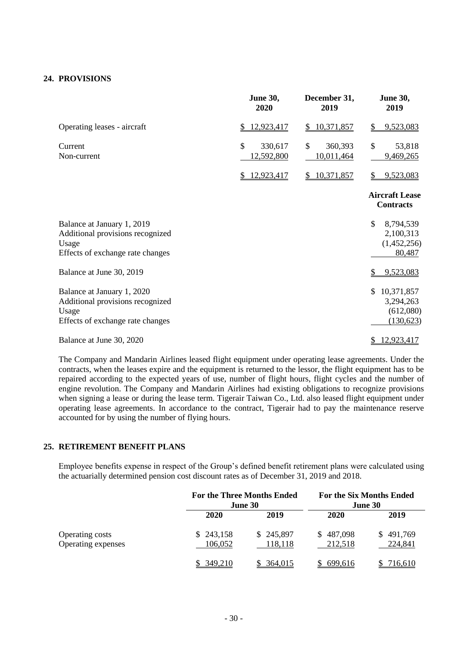### **24. PROVISIONS**

|                                                                                                             | <b>June 30,</b><br>2020                | December 31,<br>2019        | <b>June 30,</b><br>2019                                 |
|-------------------------------------------------------------------------------------------------------------|----------------------------------------|-----------------------------|---------------------------------------------------------|
| Operating leases - aircraft                                                                                 | 12,923,417                             | \$10,371,857                | 9,523,083<br>\$                                         |
| Current<br>Non-current                                                                                      | $\mathcal{S}$<br>330,617<br>12,592,800 | \$<br>360,393<br>10,011,464 | $\mathcal{S}$<br>53,818<br>9,469,265                    |
|                                                                                                             | 12,923,417<br>S.                       | 10,371,857<br>S.            | 9,523,083<br>\$                                         |
|                                                                                                             |                                        |                             | <b>Aircraft Lease</b><br><b>Contracts</b>               |
| Balance at January 1, 2019<br>Additional provisions recognized<br>Usage<br>Effects of exchange rate changes |                                        |                             | \$<br>8,794,539<br>2,100,313<br>(1,452,256)<br>80,487   |
| Balance at June 30, 2019                                                                                    |                                        |                             | 9,523,083                                               |
| Balance at January 1, 2020<br>Additional provisions recognized<br>Usage<br>Effects of exchange rate changes |                                        |                             | 10,371,857<br>\$<br>3,294,263<br>(612,080)<br>(130,623) |
| Balance at June 30, 2020                                                                                    |                                        |                             | 12,923,417                                              |

The Company and Mandarin Airlines leased flight equipment under operating lease agreements. Under the contracts, when the leases expire and the equipment is returned to the lessor, the flight equipment has to be repaired according to the expected years of use, number of flight hours, flight cycles and the number of engine revolution. The Company and Mandarin Airlines had existing obligations to recognize provisions when signing a lease or during the lease term. Tigerair Taiwan Co., Ltd. also leased flight equipment under operating lease agreements. In accordance to the contract, Tigerair had to pay the maintenance reserve accounted for by using the number of flying hours.

#### **25. RETIREMENT BENEFIT PLANS**

Employee benefits expense in respect of the Group's defined benefit retirement plans were calculated using the actuarially determined pension cost discount rates as of December 31, 2019 and 2018.

|                    |           | <b>For the Three Months Ended</b><br><b>June 30</b> |           | <b>For the Six Months Ended</b><br>June 30 |
|--------------------|-----------|-----------------------------------------------------|-----------|--------------------------------------------|
|                    | 2020      | 2019                                                | 2020      | 2019                                       |
| Operating costs    | \$243,158 | \$245,897                                           | \$487,098 | \$491,769                                  |
| Operating expenses | 106,052   | 118,118                                             | 212,518   | 224,841                                    |
|                    | 349,210   | <u>364,015</u>                                      | 699,616   | 716.610                                    |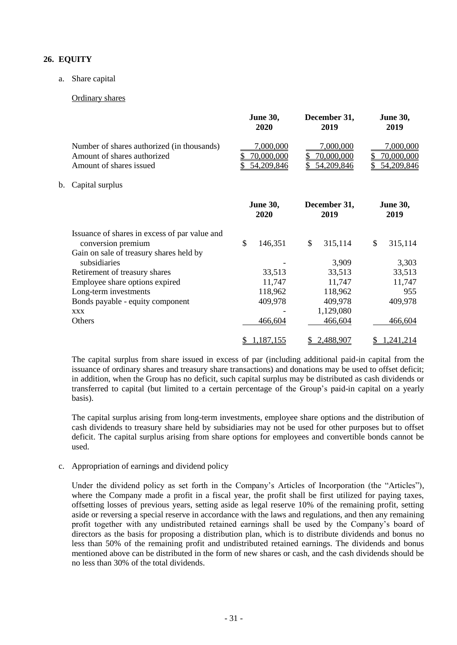## **26. EQUITY**

#### a. Share capital

#### Ordinary shares

|    |                                                                                                      | <b>June 30,</b><br>2020               |              | December 31,<br>2019                  |    | <b>June 30,</b><br>2019               |
|----|------------------------------------------------------------------------------------------------------|---------------------------------------|--------------|---------------------------------------|----|---------------------------------------|
|    | Number of shares authorized (in thousands)<br>Amount of shares authorized<br>Amount of shares issued | 7,000,000<br>70,000,000<br>54,209,846 | \$           | 7,000,000<br>70,000,000<br>54,209,846 | S  | 7,000,000<br>70,000,000<br>54,209,846 |
| b. | Capital surplus                                                                                      |                                       |              |                                       |    |                                       |
|    |                                                                                                      | <b>June 30,</b><br>2020               |              | December 31,<br>2019                  |    | <b>June 30,</b><br>2019               |
|    | Issuance of shares in excess of par value and<br>conversion premium                                  | \$<br>146,351                         | $\mathbb{S}$ | 315,114                               | \$ | 315,114                               |
|    | Gain on sale of treasury shares held by<br>subsidiaries                                              |                                       |              | 3,909                                 |    | 3,303                                 |
|    | Retirement of treasury shares                                                                        | 33,513                                |              | 33,513                                |    | 33,513                                |
|    | Employee share options expired                                                                       | 11,747                                |              | 11,747                                |    | 11,747                                |
|    | Long-term investments                                                                                | 118,962                               |              | 118,962                               |    | 955                                   |
|    | Bonds payable - equity component                                                                     | 409,978                               |              | 409,978                               |    | 409,978                               |
|    | <b>XXX</b>                                                                                           |                                       |              | 1,129,080                             |    |                                       |
|    | Others                                                                                               | 466,604                               |              | 466,604                               |    | 466,604                               |
|    |                                                                                                      | \$<br>1,187,155                       |              | 2,488,907                             |    | 1,241,214                             |

The capital surplus from share issued in excess of par (including additional paid-in capital from the issuance of ordinary shares and treasury share transactions) and donations may be used to offset deficit; in addition, when the Group has no deficit, such capital surplus may be distributed as cash dividends or transferred to capital (but limited to a certain percentage of the Group's paid-in capital on a yearly basis).

The capital surplus arising from long-term investments, employee share options and the distribution of cash dividends to treasury share held by subsidiaries may not be used for other purposes but to offset deficit. The capital surplus arising from share options for employees and convertible bonds cannot be used.

#### c. Appropriation of earnings and dividend policy

Under the dividend policy as set forth in the Company's Articles of Incorporation (the "Articles"), where the Company made a profit in a fiscal year, the profit shall be first utilized for paying taxes, offsetting losses of previous years, setting aside as legal reserve 10% of the remaining profit, setting aside or reversing a special reserve in accordance with the laws and regulations, and then any remaining profit together with any undistributed retained earnings shall be used by the Company's board of directors as the basis for proposing a distribution plan, which is to distribute dividends and bonus no less than 50% of the remaining profit and undistributed retained earnings. The dividends and bonus mentioned above can be distributed in the form of new shares or cash, and the cash dividends should be no less than 30% of the total dividends.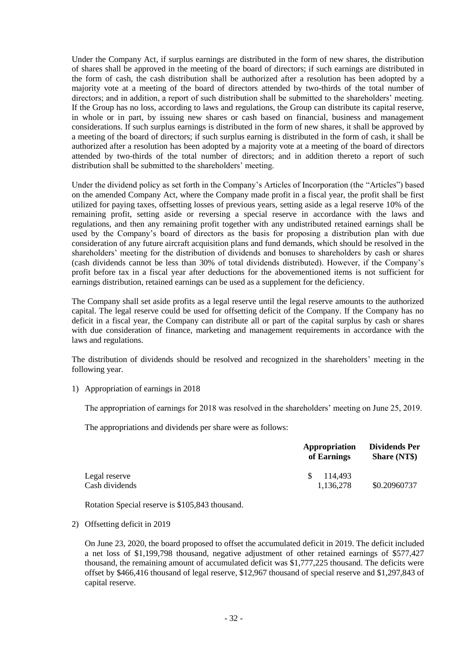Under the Company Act, if surplus earnings are distributed in the form of new shares, the distribution of shares shall be approved in the meeting of the board of directors; if such earnings are distributed in the form of cash, the cash distribution shall be authorized after a resolution has been adopted by a majority vote at a meeting of the board of directors attended by two-thirds of the total number of directors; and in addition, a report of such distribution shall be submitted to the shareholders' meeting. If the Group has no loss, according to laws and regulations, the Group can distribute its capital reserve, in whole or in part, by issuing new shares or cash based on financial, business and management considerations. If such surplus earnings is distributed in the form of new shares, it shall be approved by a meeting of the board of directors; if such surplus earning is distributed in the form of cash, it shall be authorized after a resolution has been adopted by a majority vote at a meeting of the board of directors attended by two-thirds of the total number of directors; and in addition thereto a report of such distribution shall be submitted to the shareholders' meeting.

Under the dividend policy as set forth in the Company's Articles of Incorporation (the "Articles") based on the amended Company Act, where the Company made profit in a fiscal year, the profit shall be first utilized for paying taxes, offsetting losses of previous years, setting aside as a legal reserve 10% of the remaining profit, setting aside or reversing a special reserve in accordance with the laws and regulations, and then any remaining profit together with any undistributed retained earnings shall be used by the Company's board of directors as the basis for proposing a distribution plan with due consideration of any future aircraft acquisition plans and fund demands, which should be resolved in the shareholders' meeting for the distribution of dividends and bonuses to shareholders by cash or shares (cash dividends cannot be less than 30% of total dividends distributed). However, if the Company's profit before tax in a fiscal year after deductions for the abovementioned items is not sufficient for earnings distribution, retained earnings can be used as a supplement for the deficiency.

The Company shall set aside profits as a legal reserve until the legal reserve amounts to the authorized capital. The legal reserve could be used for offsetting deficit of the Company. If the Company has no deficit in a fiscal year, the Company can distribute all or part of the capital surplus by cash or shares with due consideration of finance, marketing and management requirements in accordance with the laws and regulations.

The distribution of dividends should be resolved and recognized in the shareholders' meeting in the following year.

1) Appropriation of earnings in 2018

The appropriation of earnings for 2018 was resolved in the shareholders' meeting on June 25, 2019.

The appropriations and dividends per share were as follows:

|                                 | Appropriation<br>of Earnings | Dividends Per<br><b>Share (NT\$)</b> |  |
|---------------------------------|------------------------------|--------------------------------------|--|
| Legal reserve<br>Cash dividends | 114.493<br>-SS-<br>1.136.278 | \$0.20960737                         |  |

Rotation Special reserve is \$105,843 thousand.

2) Offsetting deficit in 2019

On June 23, 2020, the board proposed to offset the accumulated deficit in 2019. The deficit included a net loss of \$1,199,798 thousand, negative adjustment of other retained earnings of \$577,427 thousand, the remaining amount of accumulated deficit was \$1,777,225 thousand. The deficits were offset by \$466,416 thousand of legal reserve, \$12,967 thousand of special reserve and \$1,297,843 of capital reserve.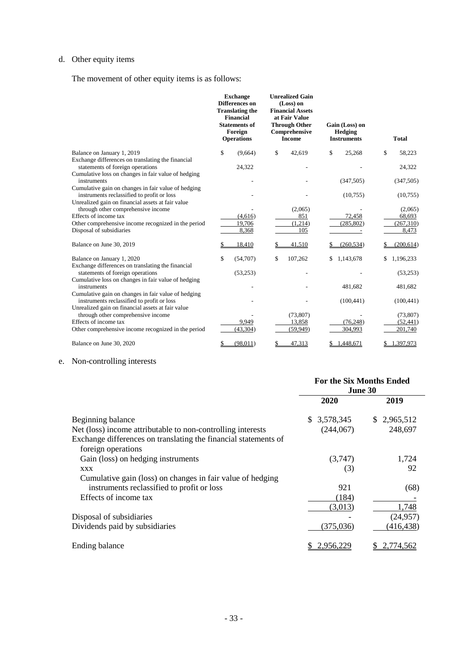# d. Other equity items

The movement of other equity items is as follows:

|                                                                                                                                                        | <b>Exchange</b><br><b>Differences</b> on<br><b>Translating the</b><br>Financial<br><b>Statements of</b><br>Foreign<br><b>Operations</b> | <b>Unrealized Gain</b><br>(Loss) on<br><b>Financial Assets</b><br>at Fair Value<br><b>Through Other</b><br>Comprehensive<br><b>Income</b> | Gain (Loss) on<br><b>Hedging</b><br><b>Instruments</b> | <b>Total</b>       |
|--------------------------------------------------------------------------------------------------------------------------------------------------------|-----------------------------------------------------------------------------------------------------------------------------------------|-------------------------------------------------------------------------------------------------------------------------------------------|--------------------------------------------------------|--------------------|
| Balance on January 1, 2019                                                                                                                             | \$<br>(9,664)                                                                                                                           | \$<br>42,619                                                                                                                              | \$<br>25,268                                           | \$<br>58,223       |
| Exchange differences on translating the financial<br>statements of foreign operations<br>Cumulative loss on changes in fair value of hedging           | 24,322                                                                                                                                  |                                                                                                                                           |                                                        | 24,322             |
| instruments                                                                                                                                            |                                                                                                                                         |                                                                                                                                           | (347, 505)                                             | (347, 505)         |
| Cumulative gain on changes in fair value of hedging<br>instruments reclassified to profit or loss<br>Unrealized gain on financial assets at fair value |                                                                                                                                         |                                                                                                                                           | (10,755)                                               | (10,755)           |
| through other comprehensive income                                                                                                                     |                                                                                                                                         | (2,065)                                                                                                                                   |                                                        | (2,065)            |
| Effects of income tax                                                                                                                                  | (4,616)                                                                                                                                 | 851                                                                                                                                       | 72,458                                                 | 68,693             |
| Other comprehensive income recognized in the period<br>Disposal of subsidiaries                                                                        | 19,706<br>8,368                                                                                                                         | (1,214)<br>105                                                                                                                            | (285, 802)                                             | (267,310)<br>8,473 |
| Balance on June 30, 2019                                                                                                                               | 18,410                                                                                                                                  | 41,510                                                                                                                                    | (260, 534)                                             | (200, 614)         |
| Balance on January 1, 2020<br>Exchange differences on translating the financial                                                                        | \$<br>(54,707)                                                                                                                          | \$<br>107,262                                                                                                                             | 1,143,678                                              | 1,196,233          |
| statements of foreign operations<br>Cumulative loss on changes in fair value of hedging                                                                | (53,253)                                                                                                                                |                                                                                                                                           |                                                        | (53,253)           |
| instruments                                                                                                                                            |                                                                                                                                         |                                                                                                                                           | 481,682                                                | 481,682            |
| Cumulative gain on changes in fair value of hedging<br>instruments reclassified to profit or loss                                                      |                                                                                                                                         |                                                                                                                                           | (100, 441)                                             | (100, 441)         |
| Unrealized gain on financial assets at fair value<br>through other comprehensive income                                                                |                                                                                                                                         | (73, 807)                                                                                                                                 |                                                        | (73,807)           |
| Effects of income tax                                                                                                                                  | 9,949                                                                                                                                   | 13,858                                                                                                                                    | (76, 248)                                              | (52, 441)          |
| Other comprehensive income recognized in the period                                                                                                    | (43, 304)                                                                                                                               | (59.949)                                                                                                                                  | 304,993                                                | 201,740            |
| Balance on June 30, 2020                                                                                                                               | (98, 011)<br>\$                                                                                                                         | \$<br>47,313                                                                                                                              | 1,448,671                                              | 1,397,973<br>\$    |

## e. Non-controlling interests

|                                                                 | <b>For the Six Months Ended</b><br>June 30 |             |  |
|-----------------------------------------------------------------|--------------------------------------------|-------------|--|
|                                                                 | 2020                                       | 2019        |  |
| Beginning balance                                               | 3,578,345<br>S.                            | \$2,965,512 |  |
| Net (loss) income attributable to non-controlling interests     | (244, 067)                                 | 248,697     |  |
| Exchange differences on translating the financial statements of |                                            |             |  |
| foreign operations                                              |                                            |             |  |
| Gain (loss) on hedging instruments                              | (3,747)                                    | 1,724       |  |
| <b>XXX</b>                                                      | (3)                                        | 92          |  |
| Cumulative gain (loss) on changes in fair value of hedging      |                                            |             |  |
| instruments reclassified to profit or loss                      | 921                                        | (68)        |  |
| Effects of income tax                                           | (184)                                      |             |  |
|                                                                 | (3,013)                                    | 1,748       |  |
| Disposal of subsidiaries                                        |                                            | (24,957)    |  |
| Dividends paid by subsidiaries                                  | (375,036)                                  | (416, 438)  |  |
| Ending balance                                                  | 2,956,229                                  | 2,774,562   |  |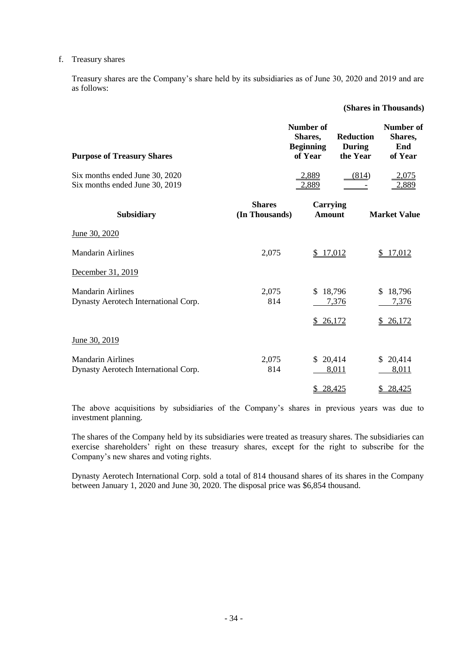#### f. Treasury shares

Treasury shares are the Company's share held by its subsidiaries as of June 30, 2020 and 2019 and are as follows:

#### **(Shares in Thousands)**

| <b>Purpose of Treasury Shares</b>                                |                                 | <b>Number of</b><br>Shares,<br><b>Beginning</b><br>of Year | <b>Reduction</b><br><b>During</b><br>the Year | <b>Number of</b><br>Shares,<br>End<br>of Year |
|------------------------------------------------------------------|---------------------------------|------------------------------------------------------------|-----------------------------------------------|-----------------------------------------------|
| Six months ended June 30, 2020<br>Six months ended June 30, 2019 |                                 | 2,889<br>2,889                                             | (814)                                         | 2,075<br>2,889                                |
| <b>Subsidiary</b>                                                | <b>Shares</b><br>(In Thousands) | <b>Carrying</b><br><b>Amount</b>                           |                                               | <b>Market Value</b>                           |
| June 30, 2020                                                    |                                 |                                                            |                                               |                                               |
| <b>Mandarin Airlines</b>                                         | 2,075                           | \$17,012                                                   |                                               | \$17,012                                      |
| December 31, 2019                                                |                                 |                                                            |                                               |                                               |
| <b>Mandarin Airlines</b><br>Dynasty Aerotech International Corp. | 2,075<br>814                    | \$18,796                                                   | 7,376                                         | \$18,796<br>7,376                             |
|                                                                  |                                 | 26,172<br>$\mathbb{Z}$                                     |                                               | \$26,172                                      |
| June 30, 2019                                                    |                                 |                                                            |                                               |                                               |
| <b>Mandarin Airlines</b><br>Dynasty Aerotech International Corp. | 2,075<br>814                    | \$20,414                                                   | 8,011                                         | \$20,414<br>8,011                             |
|                                                                  |                                 | 28,425                                                     |                                               | 28,425<br>\$.                                 |

The above acquisitions by subsidiaries of the Company's shares in previous years was due to investment planning.

The shares of the Company held by its subsidiaries were treated as treasury shares. The subsidiaries can exercise shareholders' right on these treasury shares, except for the right to subscribe for the Company's new shares and voting rights.

Dynasty Aerotech International Corp. sold a total of 814 thousand shares of its shares in the Company between January 1, 2020 and June 30, 2020. The disposal price was \$6,854 thousand.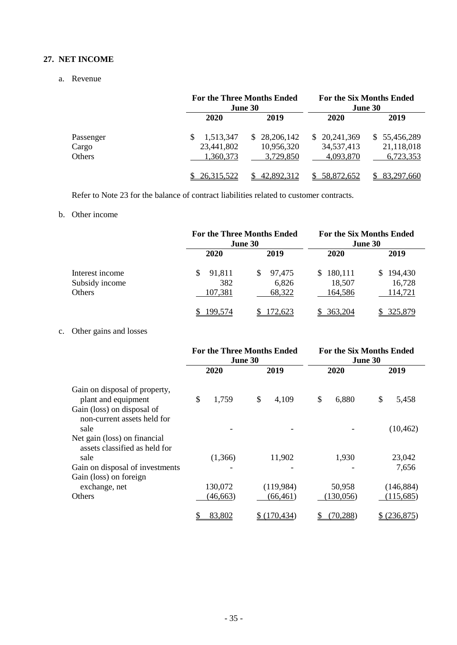## **27. NET INCOME**

#### a. Revenue

|           |            | <b>For the Three Months Ended</b><br>June 30 |              | <b>For the Six Months Ended</b><br>June 30 |
|-----------|------------|----------------------------------------------|--------------|--------------------------------------------|
|           | 2020       | 2019                                         | 2020         | 2019                                       |
| Passenger | 1,513,347  | \$28,206,142                                 | \$20,241,369 | \$55,456,289                               |
| Cargo     | 23,441,802 | 10,956,320                                   | 34,537,413   | 21,118,018                                 |
| Others    | 1,360,373  | 3,729,850                                    | 4,093,870    | 6,723,353                                  |
|           | 26,315,522 | 42,892,312                                   | 58,872,652   | 83,297,660                                 |

Refer to Note 23 for the balance of contract liabilities related to customer contracts.

## b. Other income

|                                             |                                 | <b>For the Three Months Ended</b><br>June 30 |                                    | <b>For the Six Months Ended</b><br>June 30 |
|---------------------------------------------|---------------------------------|----------------------------------------------|------------------------------------|--------------------------------------------|
|                                             | 2020                            | 2019                                         | 2020                               | 2019                                       |
| Interest income<br>Subsidy income<br>Others | 91,811<br>\$.<br>382<br>107,381 | 97,475<br>\$.<br>6,826<br>68,322             | 180,111<br>S.<br>18,507<br>164,586 | 194,430<br>\$.<br>16,728<br>114,721        |
|                                             | 199.574                         | 172,623                                      | 363,204                            | 325,879                                    |

# c. Other gains and losses

|                                                                   |             | <b>For the Three Months Ended</b><br>June 30 |             | <b>For the Six Months Ended</b><br>June 30 |
|-------------------------------------------------------------------|-------------|----------------------------------------------|-------------|--------------------------------------------|
|                                                                   | 2020        | 2019                                         | 2020        | 2019                                       |
| Gain on disposal of property,<br>plant and equipment              | \$<br>1,759 | \$<br>4,109                                  | \$<br>6,880 | \$<br>5,458                                |
| Gain (loss) on disposal of<br>non-current assets held for<br>sale |             |                                              |             | (10, 462)                                  |
| Net gain (loss) on financial<br>assets classified as held for     |             |                                              |             |                                            |
| sale                                                              | (1,366)     | 11,902                                       | 1,930       | 23,042                                     |
| Gain on disposal of investments                                   |             |                                              |             | 7,656                                      |
| Gain (loss) on foreign<br>exchange, net                           | 130,072     | (119,984)                                    | 50,958      | (146, 884)                                 |
| Others                                                            | (46, 663)   | (66, 461)                                    | (130, 056)  | (115,685)                                  |
|                                                                   | 83,802      | (170, 434)                                   | (70, 288)   | (236,875)                                  |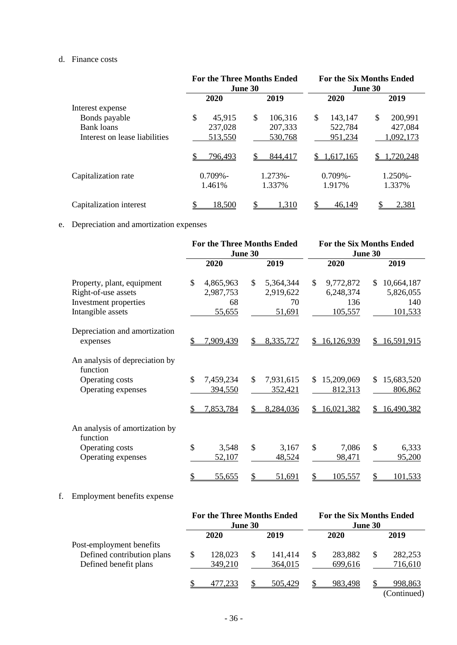## d. Finance costs

|                               | <b>For the Three Months Ended</b><br>June 30 |                | <b>For the Six Months Ended</b><br>June 30 |               |  |
|-------------------------------|----------------------------------------------|----------------|--------------------------------------------|---------------|--|
|                               | 2020                                         | 2019           | 2020                                       | 2019          |  |
| Interest expense              |                                              |                |                                            |               |  |
| Bonds payable                 | \$<br>45,915                                 | \$.<br>106,316 | \$<br>143,147                              | \$<br>200,991 |  |
| Bank loans                    | 237,028                                      | 207,333        | 522,784                                    | 427,084       |  |
| Interest on lease liabilities | 513,550                                      | 530,768        | 951,234                                    | 1,092,173     |  |
|                               | <u>796,493</u>                               | S<br>844,417   | 1,617,165<br>S.                            | .720,248<br>S |  |
| Capitalization rate           | $0.709\%$ -                                  | $1.273% -$     | $0.709\%$ -                                | $1.250% -$    |  |
|                               | 1.461%                                       | 1.337%         | 1.917%                                     | 1.337%        |  |
| Capitalization interest       | 18,500                                       | 1,310          | 46,149                                     | 2,381         |  |

# e. Depreciation and amortization expenses

|                                                                                                 |                                                         | <b>For the Three Months Ended</b><br>June 30 | <b>For the Six Months Ended</b><br>June 30     |                                                  |  |
|-------------------------------------------------------------------------------------------------|---------------------------------------------------------|----------------------------------------------|------------------------------------------------|--------------------------------------------------|--|
|                                                                                                 | 2020                                                    | 2019                                         | 2020                                           | 2019                                             |  |
| Property, plant, equipment<br>Right-of-use assets<br>Investment properties<br>Intangible assets | $\mathcal{S}$<br>4,865,963<br>2,987,753<br>68<br>55,655 | \$<br>5,364,344<br>2,919,622<br>70<br>51,691 | \$<br>9,772,872<br>6,248,374<br>136<br>105,557 | 10,664,187<br>\$.<br>5,826,055<br>140<br>101,533 |  |
| Depreciation and amortization<br>expenses                                                       | 7,909,439<br>\$                                         | 8,335,727<br>\$                              | \$16,126,939                                   | 16,591,915<br>\$                                 |  |
| An analysis of depreciation by<br>function<br>Operating costs<br>Operating expenses             | $\mathcal{S}$<br>7,459,234<br>394,550                   | \$<br>7,931,615<br>352,421                   | 15,209,069<br>\$.<br>812,313                   | 15,683,520<br>S.<br>806,862                      |  |
|                                                                                                 | 7,853,784                                               | \$<br>8,284,036                              | \$16,021,382                                   | 16,490,382<br>\$.                                |  |
| An analysis of amortization by<br>function<br>Operating costs<br>Operating expenses             | $\mathcal{S}$<br>3,548<br>52,107                        | $\mathcal{S}$<br>3,167<br>48,524             | \$<br>7,086<br>98,471                          | \$<br>6,333<br>95,200                            |  |
|                                                                                                 | \$<br>55,655                                            | \$<br>51,691                                 | 105,557<br>\$                                  | \$<br><u>101,533</u>                             |  |

# f. Employment benefits expense

|                            | <b>For the Three Months Ended</b><br>June 30 |         |    |         | <b>For the Six Months Ended</b><br>June 30 |         |   |                               |
|----------------------------|----------------------------------------------|---------|----|---------|--------------------------------------------|---------|---|-------------------------------|
|                            |                                              | 2020    |    | 2019    |                                            | 2020    |   | 2019                          |
| Post-employment benefits   |                                              |         |    |         |                                            |         |   |                               |
| Defined contribution plans |                                              | 128,023 | \$ | 141.414 | S.                                         | 283,882 | S | 282,253                       |
| Defined benefit plans      |                                              | 349,210 |    | 364,015 |                                            | 699,616 |   | 716,610                       |
|                            |                                              | 477.233 |    | 505,429 |                                            | 983,498 |   | <u>998,863</u><br>(Continued) |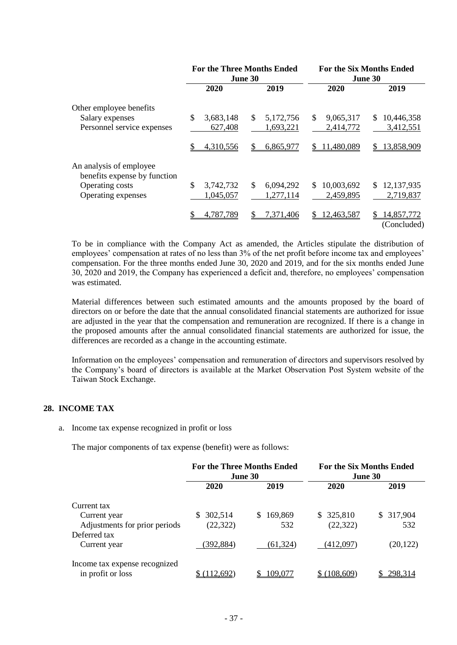|                                                         |                 | <b>For the Three Months Ended</b><br>June 30 | <b>For the Six Months Ended</b><br>June 30 |                                |  |
|---------------------------------------------------------|-----------------|----------------------------------------------|--------------------------------------------|--------------------------------|--|
|                                                         | 2020            | 2019                                         | 2020                                       | 2019                           |  |
| Other employee benefits                                 |                 |                                              |                                            |                                |  |
| Salary expenses                                         | \$<br>3,683,148 | 5,172,756<br>\$                              | \$<br>9,065,317                            | 10,446,358<br>\$.              |  |
| Personnel service expenses                              | 627,408         | 1,693,221                                    | 2,414,772                                  | 3,412,551                      |  |
|                                                         | 4,310,556       | 6,865,977                                    | 11,480,089<br>S.                           | 13,858,909<br>\$               |  |
| An analysis of employee<br>benefits expense by function |                 |                                              |                                            |                                |  |
| <b>Operating costs</b>                                  | \$<br>3,742,732 | \$.<br>6,094,292                             | 10,003,692<br>\$.                          | 12,137,935<br>S.               |  |
| Operating expenses                                      | 1,045,057       | 1,277,114                                    | 2,459,895                                  | 2,719,837                      |  |
|                                                         | 4,787,789       | \$<br>7,371,406                              | 12,463,587<br>\$.                          | 14,857,772<br>S<br>(Concluded) |  |

To be in compliance with the Company Act as amended, the Articles stipulate the distribution of employees' compensation at rates of no less than 3% of the net profit before income tax and employees' compensation. For the three months ended June 30, 2020 and 2019, and for the six months ended June 30, 2020 and 2019, the Company has experienced a deficit and, therefore, no employees' compensation was estimated.

Material differences between such estimated amounts and the amounts proposed by the board of directors on or before the date that the annual consolidated financial statements are authorized for issue are adjusted in the year that the compensation and remuneration are recognized. If there is a change in the proposed amounts after the annual consolidated financial statements are authorized for issue, the differences are recorded as a change in the accounting estimate.

Information on the employees' compensation and remuneration of directors and supervisors resolved by the Company's board of directors is available at the Market Observation Post System website of the Taiwan Stock Exchange.

## **28. INCOME TAX**

a. Income tax expense recognized in profit or loss

The major components of tax expense (benefit) were as follows:

|                               | <b>For the Three Months Ended</b><br><b>June 30</b> |               | For the Six Months Ended<br>June 30 |               |  |
|-------------------------------|-----------------------------------------------------|---------------|-------------------------------------|---------------|--|
|                               | 2020                                                | 2019          | 2020                                | 2019          |  |
| Current tax                   |                                                     |               |                                     |               |  |
| Current year                  | 302,514<br>\$.                                      | 169,869<br>S. | \$325,810                           | 317,904<br>S. |  |
| Adjustments for prior periods | (22, 322)                                           | 532           | (22, 322)                           | 532           |  |
| Deferred tax                  |                                                     |               |                                     |               |  |
| Current year                  | (392, 884)                                          | (61, 324)     | (412,097)                           | (20, 122)     |  |
| Income tax expense recognized |                                                     |               |                                     |               |  |
| in profit or loss             | 112,692                                             | 109,077       | (108,609)                           | 298.314       |  |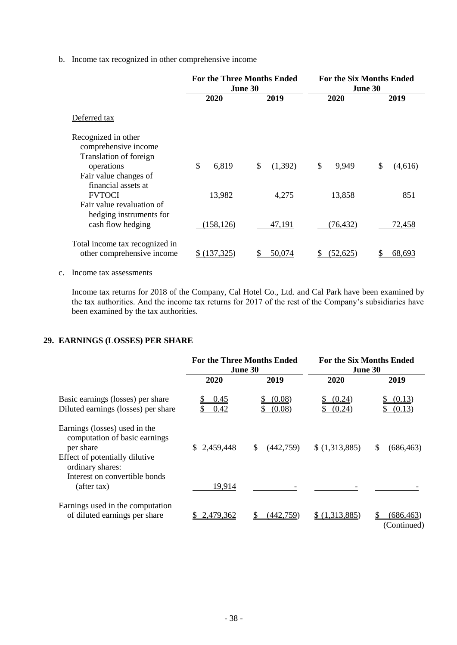b. Income tax recognized in other comprehensive income

|                                                                       | <b>For the Three Months Ended</b><br>June 30 |               | <b>For the Six Months Ended</b><br>June 30 |               |  |
|-----------------------------------------------------------------------|----------------------------------------------|---------------|--------------------------------------------|---------------|--|
|                                                                       | 2020                                         | 2020<br>2019  |                                            | 2019          |  |
| Deferred tax                                                          |                                              |               |                                            |               |  |
| Recognized in other<br>comprehensive income<br>Translation of foreign |                                              |               |                                            |               |  |
| operations<br>Fair value changes of<br>financial assets at            | \$<br>6,819                                  | \$<br>(1,392) | \$<br>9,949                                | \$<br>(4,616) |  |
| <b>FVTOCI</b><br>Fair value revaluation of<br>hedging instruments for | 13,982                                       | 4,275         | 13,858                                     | 851           |  |
| cash flow hedging                                                     | (158, 126)                                   | 47,191        | (76,432)                                   | 72,458        |  |
| Total income tax recognized in<br>other comprehensive income          | (137, 325)                                   | 50,074        | (52.625)                                   | 68,693        |  |

c. Income tax assessments

Income tax returns for 2018 of the Company, Cal Hotel Co., Ltd. and Cal Park have been examined by the tax authorities. And the income tax returns for 2017 of the rest of the Company's subsidiaries have been examined by the tax authorities.

#### **29. EARNINGS (LOSSES) PER SHARE**

|                                                                                                                                   |              | <b>For the Three Months Ended</b><br>June 30 | <b>For the Six Months Ended</b><br>June 30 |                           |  |
|-----------------------------------------------------------------------------------------------------------------------------------|--------------|----------------------------------------------|--------------------------------------------|---------------------------|--|
|                                                                                                                                   | 2020         | 2019                                         | 2020                                       | 2019                      |  |
| Basic earnings (losses) per share<br>Diluted earnings (losses) per share                                                          | 0.45<br>0.42 | (0.08)<br>(0.08)                             | (0.24)<br>(0.24)                           | (0.13)<br>(0.13)          |  |
| Earnings (losses) used in the<br>computation of basic earnings<br>per share<br>Effect of potentially dilutive<br>ordinary shares: | \$2,459,448  | \$<br>(442,759)                              | \$(1,313,885)                              | (686, 463)<br>S           |  |
| Interest on convertible bonds<br>(after tax)                                                                                      | 19,914       |                                              |                                            |                           |  |
| Earnings used in the computation<br>of diluted earnings per share                                                                 | 2,479,362    | (442,759)                                    | \$ (1,313,885)                             | (686, 463)<br>(Continued) |  |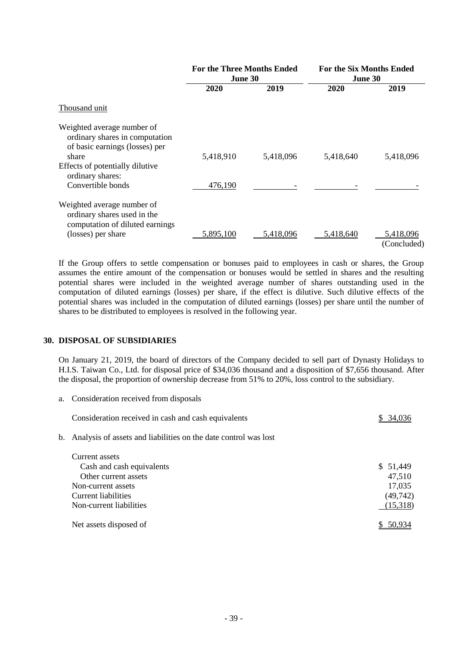|                                                                                                         | <b>For the Three Months Ended</b><br>June 30 |           | <b>For the Six Months Ended</b><br>June 30 |                          |
|---------------------------------------------------------------------------------------------------------|----------------------------------------------|-----------|--------------------------------------------|--------------------------|
|                                                                                                         | 2020                                         | 2019      | 2020                                       | 2019                     |
| Thousand unit                                                                                           |                                              |           |                                            |                          |
| Weighted average number of<br>ordinary shares in computation<br>of basic earnings (losses) per<br>share | 5,418,910                                    | 5,418,096 | 5,418,640                                  | 5,418,096                |
| Effects of potentially dilutive<br>ordinary shares:<br>Convertible bonds                                | 476,190                                      |           |                                            |                          |
| Weighted average number of<br>ordinary shares used in the<br>computation of diluted earnings            |                                              |           |                                            |                          |
| (losses) per share                                                                                      | 5,895,100                                    | 5,418,096 | 5,418,640                                  | 5,418,096<br>(Concluded) |

If the Group offers to settle compensation or bonuses paid to employees in cash or shares, the Group assumes the entire amount of the compensation or bonuses would be settled in shares and the resulting potential shares were included in the weighted average number of shares outstanding used in the computation of diluted earnings (losses) per share, if the effect is dilutive. Such dilutive effects of the potential shares was included in the computation of diluted earnings (losses) per share until the number of shares to be distributed to employees is resolved in the following year.

#### **30. DISPOSAL OF SUBSIDIARIES**

On January 21, 2019, the board of directors of the Company decided to sell part of Dynasty Holidays to H.I.S. Taiwan Co., Ltd. for disposal price of \$34,036 thousand and a disposition of \$7,656 thousand. After the disposal, the proportion of ownership decrease from 51% to 20%, loss control to the subsidiary.

a. Consideration received from disposals

| Consideration received in cash and cash equivalents                | 34.036    |
|--------------------------------------------------------------------|-----------|
| b. Analysis of assets and liabilities on the date control was lost |           |
| Current assets                                                     |           |
| Cash and cash equivalents                                          | \$ 51,449 |
| Other current assets                                               | 47,510    |
| Non-current assets                                                 | 17,035    |
| Current liabilities                                                | (49, 742) |
| Non-current liabilities                                            | (15,318)  |
| Net assets disposed of                                             | 50 9      |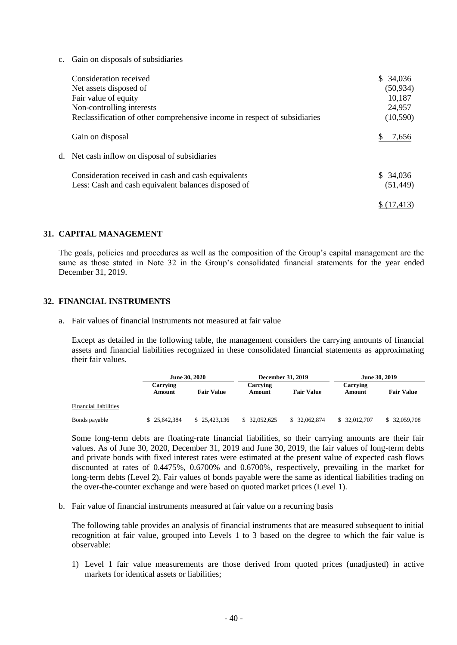c. Gain on disposals of subsidiaries

| Consideration received<br>Net assets disposed of<br>Fair value of equity<br>Non-controlling interests<br>Reclassification of other comprehensive income in respect of subsidiaries | \$34,036<br>(50, 934)<br>10,187<br>24,957<br>(10, 590) |
|------------------------------------------------------------------------------------------------------------------------------------------------------------------------------------|--------------------------------------------------------|
| Gain on disposal                                                                                                                                                                   | 7.656                                                  |
| d. Net cash inflow on disposal of subsidiaries                                                                                                                                     |                                                        |
| Consideration received in cash and cash equivalents<br>Less: Cash and cash equivalent balances disposed of                                                                         | \$ 34,036<br>(51, 449)                                 |
|                                                                                                                                                                                    |                                                        |

#### **31. CAPITAL MANAGEMENT**

The goals, policies and procedures as well as the composition of the Group's capital management are the same as those stated in Note 32 in the Group's consolidated financial statements for the year ended December 31, 2019.

#### **32. FINANCIAL INSTRUMENTS**

a. Fair values of financial instruments not measured at fair value

Except as detailed in the following table, the management considers the carrying amounts of financial assets and financial liabilities recognized in these consolidated financial statements as approximating their fair values.

|                       |                    | June 30, 2020     |                    | <b>December 31, 2019</b> |                    | June 30, 2019     |  |
|-----------------------|--------------------|-------------------|--------------------|--------------------------|--------------------|-------------------|--|
|                       | Carrying<br>Amount | <b>Fair Value</b> | Carrving<br>Amount | <b>Fair Value</b>        | Carrying<br>Amount | <b>Fair Value</b> |  |
| Financial liabilities |                    |                   |                    |                          |                    |                   |  |
| Bonds payable         | \$25,642,384       | \$25,423,136      | \$ 32,052,625      | \$ 32,062,874            | \$ 32,012,707      | \$ 32,059,708     |  |

Some long-term debts are floating-rate financial liabilities, so their carrying amounts are their fair values. As of June 30, 2020, December 31, 2019 and June 30, 2019, the fair values of long-term debts and private bonds with fixed interest rates were estimated at the present value of expected cash flows discounted at rates of 0.4475%, 0.6700% and 0.6700%, respectively, prevailing in the market for long-term debts (Level 2). Fair values of bonds payable were the same as identical liabilities trading on the over-the-counter exchange and were based on quoted market prices (Level 1).

b. Fair value of financial instruments measured at fair value on a recurring basis

The following table provides an analysis of financial instruments that are measured subsequent to initial recognition at fair value, grouped into Levels 1 to 3 based on the degree to which the fair value is observable:

1) Level 1 fair value measurements are those derived from quoted prices (unadjusted) in active markets for identical assets or liabilities;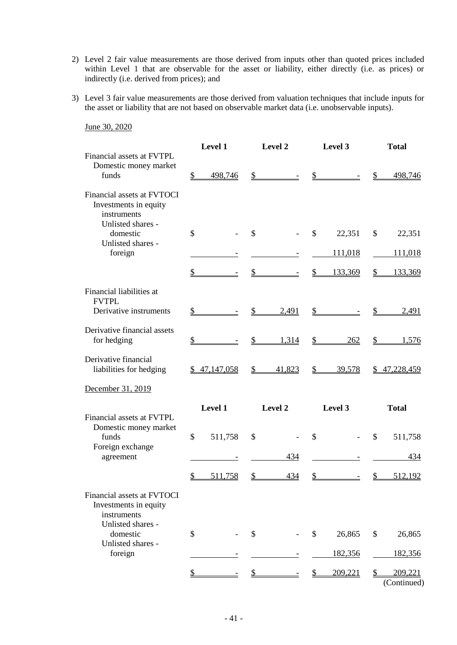- 2) Level 2 fair value measurements are those derived from inputs other than quoted prices included within Level 1 that are observable for the asset or liability, either directly (i.e. as prices) or indirectly (i.e. derived from prices); and
- 3) Level 3 fair value measurements are those derived from valuation techniques that include inputs for the asset or liability that are not based on observable market data (i.e. unobservable inputs).

|                                                                    | Level 1                        | <b>Level 2</b>         | Level 3                                  | <b>Total</b>                 |
|--------------------------------------------------------------------|--------------------------------|------------------------|------------------------------------------|------------------------------|
| Financial assets at FVTPL<br>Domestic money market<br>funds        | 498,746<br>\$                  | $\mathbb{S}$           | $\mathbb{S}$                             | \$<br>498,746                |
| Financial assets at FVTOCI<br>Investments in equity<br>instruments |                                |                        |                                          |                              |
| Unlisted shares -<br>domestic<br>Unlisted shares -                 | \$                             | $\mathbb{S}$           | \$<br>22,351                             | \$<br>22,351                 |
| foreign                                                            |                                |                        | <u>111,018</u>                           | 111,018                      |
|                                                                    | \$                             | $\frac{1}{2}$          | $\frac{1}{2}$<br>133,369                 | \$<br>133,369                |
| Financial liabilities at<br><b>FVTPL</b>                           |                                |                        |                                          |                              |
| Derivative instruments                                             | \$<br>$\sim 10^{11}$ m $^{-1}$ | $\frac{1}{2}$<br>2,491 | $\frac{\text{S}}{\text{S}}$              | $\mathbb{S}$<br>2,491        |
| Derivative financial assets<br>for hedging                         | \$                             | $\frac{1}{2}$<br>1,314 | $\frac{1}{2}$<br>262                     | \$<br>1,576                  |
| Derivative financial<br>liabilities for hedging                    | \$47,147,058                   | 41,823<br>$\mathbb{S}$ | $\mathbb{S}$<br>39,578                   | \$47,228,459                 |
| December 31, 2019                                                  |                                |                        |                                          |                              |
| Financial assets at FVTPL                                          | Level 1                        | Level 2                | Level 3                                  | <b>Total</b>                 |
| Domestic money market<br>funds<br>Foreign exchange                 | \$<br>511,758                  | \$                     | \$                                       | $\mathcal{S}$<br>511,758     |
| agreement                                                          |                                | 434                    |                                          | 434                          |
|                                                                    | $\mathbb{S}$<br>511,758        | $\mathbb{S}$<br>434    | $\mathbb{S}$<br>$\overline{\phantom{a}}$ | $\mathcal{S}$<br>512,192     |
| Financial assets at FVTOCI<br>Investments in equity<br>instruments |                                |                        |                                          |                              |
| Unlisted shares -<br>domestic                                      | \$                             | $\mathcal{S}$          | \$<br>26,865                             | \$<br>26,865                 |
| Unlisted shares -<br>foreign                                       |                                |                        | 182,356                                  | <u>182,356</u>               |
|                                                                    |                                | \$                     | 209,221<br>S                             | 209,221<br>\$<br>(Continued) |

#### June 30, 2020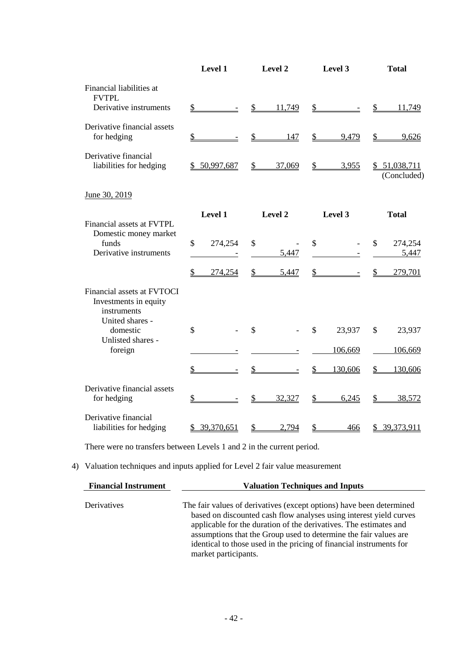|                                                                                       | Level 1                           | Level 2                 | Level 3                        | <b>Total</b>                |
|---------------------------------------------------------------------------------------|-----------------------------------|-------------------------|--------------------------------|-----------------------------|
| Financial liabilities at<br><b>FVTPL</b>                                              |                                   |                         |                                |                             |
| Derivative instruments                                                                | $\frac{1}{2}$                     | 11,749<br>$\mathcal{S}$ | $\frac{1}{2}$                  | $\frac{1}{2}$<br>11,749     |
| Derivative financial assets<br>for hedging                                            | $\mathcal{S}$                     | $\mathcal{S}$<br>147    | \$<br>9,479                    | $\mathcal{S}$<br>9,626      |
| Derivative financial<br>liabilities for hedging                                       | 50,997,687                        | $\mathcal{L}$<br>37,069 | $\mathbb{S}$<br>3,955          | \$51,038,711<br>(Concluded) |
| June 30, 2019                                                                         |                                   |                         |                                |                             |
| Financial assets at FVTPL                                                             | Level 1                           | Level 2                 | Level 3                        | <b>Total</b>                |
| Domestic money market<br>funds<br>Derivative instruments                              | \$<br>274,254                     | \$<br>5,447             | \$<br>$\overline{\phantom{a}}$ | \$<br>274,254<br>5,447      |
|                                                                                       | $\mathbf{\mathcal{L}}$<br>274,254 | $\frac{1}{2}$<br>5,447  | $\frac{1}{2}$                  | $\frac{1}{2}$<br>279,701    |
| Financial assets at FVTOCI<br>Investments in equity<br>instruments<br>United shares - |                                   |                         |                                |                             |
| domestic<br>Unlisted shares -                                                         | \$                                | $\mathbb{S}$            | $\mathcal{S}$<br>23,937        | \$<br>23,937                |
| foreign                                                                               |                                   |                         | 106,669                        | 106,669                     |
|                                                                                       | $\mathcal{S}$                     | $\frac{1}{2}$           | \$<br>130,606                  | $\mathcal{P}$<br>130,606    |
| Derivative financial assets<br>for hedging                                            | \$                                | \$<br>32,327            | 6,245<br>\$                    | 38,572<br>\$                |
| Derivative financial<br>liabilities for hedging                                       | \$39,370,651                      | 2,794<br>$\mathcal{P}$  | $\mathcal{P}$<br>466           | \$39,373,911                |

There were no transfers between Levels 1 and 2 in the current period.

## 4) Valuation techniques and inputs applied for Level 2 fair value measurement

| <b>Financial Instrument</b> | <b>Valuation Techniques and Inputs</b>                                                                                                                                                                                                                                                                                                                                             |  |  |  |
|-----------------------------|------------------------------------------------------------------------------------------------------------------------------------------------------------------------------------------------------------------------------------------------------------------------------------------------------------------------------------------------------------------------------------|--|--|--|
| Derivatives                 | The fair values of derivatives (except options) have been determined<br>based on discounted cash flow analyses using interest yield curves<br>applicable for the duration of the derivatives. The estimates and<br>assumptions that the Group used to determine the fair values are<br>identical to those used in the pricing of financial instruments for<br>market participants. |  |  |  |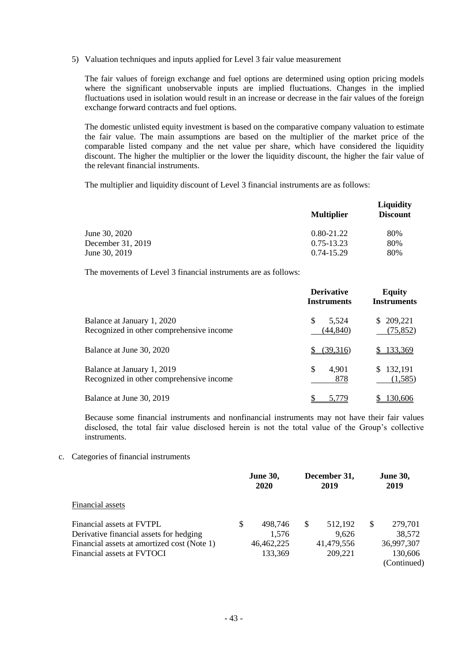5) Valuation techniques and inputs applied for Level 3 fair value measurement

The fair values of foreign exchange and fuel options are determined using option pricing models where the significant unobservable inputs are implied fluctuations. Changes in the implied fluctuations used in isolation would result in an increase or decrease in the fair values of the foreign exchange forward contracts and fuel options.

The domestic unlisted equity investment is based on the comparative company valuation to estimate the fair value. The main assumptions are based on the multiplier of the market price of the comparable listed company and the net value per share, which have considered the liquidity discount. The higher the multiplier or the lower the liquidity discount, the higher the fair value of the relevant financial instruments.

The multiplier and liquidity discount of Level 3 financial instruments are as follows:

|                   | <b>Multiplier</b> | <b>Liquidity</b><br><b>Discount</b> |
|-------------------|-------------------|-------------------------------------|
| June 30, 2020     | $0.80 - 21.22$    | 80%                                 |
| December 31, 2019 | 0.75-13.23        | 80%                                 |
| June 30, 2019     | $0.74 - 15.29$    | 80%                                 |

The movements of Level 3 financial instruments are as follows:

|                                                                        | <b>Derivative</b><br><b>Instruments</b> | <b>Equity</b><br><b>Instruments</b> |
|------------------------------------------------------------------------|-----------------------------------------|-------------------------------------|
| Balance at January 1, 2020<br>Recognized in other comprehensive income | 5,524<br>\$.<br>(44, 840)               | \$209,221<br>(75, 852)              |
| Balance at June 30, 2020                                               | (39.316)                                | 133,369                             |
| Balance at January 1, 2019<br>Recognized in other comprehensive income | \$<br>4,901<br>878                      | \$132,191<br>(1,585)                |
| Balance at June 30, 2019                                               | 5.779                                   | 130,606                             |

Because some financial instruments and nonfinancial instruments may not have their fair values disclosed, the total fair value disclosed herein is not the total value of the Group's collective instruments.

#### c. Categories of financial instruments

|                                                                           |   | <b>June 30,</b><br>2020 | December 31,<br>2019   |   | <b>June 30,</b><br>2019 |
|---------------------------------------------------------------------------|---|-------------------------|------------------------|---|-------------------------|
| Financial assets                                                          |   |                         |                        |   |                         |
| Financial assets at FVTPL<br>Derivative financial assets for hedging      | S | 498,746<br>1,576        | \$<br>512,192<br>9,626 | S | 279,701<br>38,572       |
| Financial assets at amortized cost (Note 1)<br>Financial assets at FVTOCI |   | 46,462,225<br>133,369   | 41,479,556<br>209,221  |   | 36,997,307<br>130,606   |
|                                                                           |   |                         |                        |   | (Continued)             |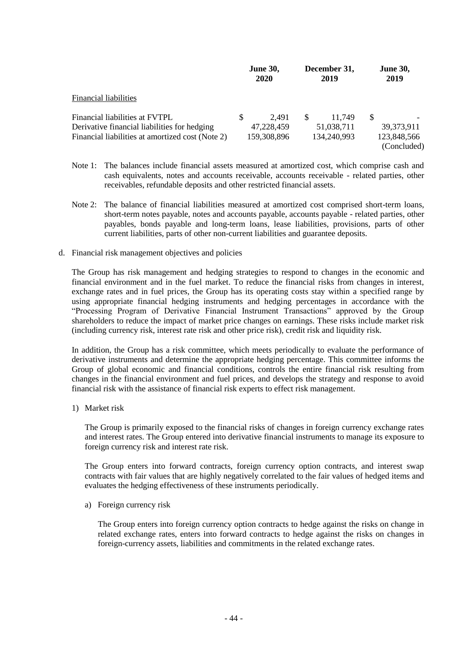|                                                                                                                                    |     | <b>June 30,</b><br><b>2020</b>     |     | December 31,<br>2019                |          | <b>June 30,</b><br>2019                    |
|------------------------------------------------------------------------------------------------------------------------------------|-----|------------------------------------|-----|-------------------------------------|----------|--------------------------------------------|
| <b>Financial liabilities</b>                                                                                                       |     |                                    |     |                                     |          |                                            |
| Financial liabilities at FVTPL<br>Derivative financial liabilities for hedging<br>Financial liabilities at amortized cost (Note 2) | \$. | 2.491<br>47,228,459<br>159,308,896 | \$. | 11.749<br>51,038,711<br>134,240,993 | <b>S</b> | 39, 373, 911<br>123,848,566<br>(Concluded) |

- Note 1: The balances include financial assets measured at amortized cost, which comprise cash and cash equivalents, notes and accounts receivable, accounts receivable - related parties, other receivables, refundable deposits and other restricted financial assets.
- Note 2: The balance of financial liabilities measured at amortized cost comprised short-term loans, short-term notes payable, notes and accounts payable, accounts payable - related parties, other payables, bonds payable and long-term loans, lease liabilities, provisions, parts of other current liabilities, parts of other non-current liabilities and guarantee deposits.
- d. Financial risk management objectives and policies

The Group has risk management and hedging strategies to respond to changes in the economic and financial environment and in the fuel market. To reduce the financial risks from changes in interest, exchange rates and in fuel prices, the Group has its operating costs stay within a specified range by using appropriate financial hedging instruments and hedging percentages in accordance with the "Processing Program of Derivative Financial Instrument Transactions" approved by the Group shareholders to reduce the impact of market price changes on earnings. These risks include market risk (including currency risk, interest rate risk and other price risk), credit risk and liquidity risk.

In addition, the Group has a risk committee, which meets periodically to evaluate the performance of derivative instruments and determine the appropriate hedging percentage. This committee informs the Group of global economic and financial conditions, controls the entire financial risk resulting from changes in the financial environment and fuel prices, and develops the strategy and response to avoid financial risk with the assistance of financial risk experts to effect risk management.

1) Market risk

The Group is primarily exposed to the financial risks of changes in foreign currency exchange rates and interest rates. The Group entered into derivative financial instruments to manage its exposure to foreign currency risk and interest rate risk.

The Group enters into forward contracts, foreign currency option contracts, and interest swap contracts with fair values that are highly negatively correlated to the fair values of hedged items and evaluates the hedging effectiveness of these instruments periodically.

a) Foreign currency risk

The Group enters into foreign currency option contracts to hedge against the risks on change in related exchange rates, enters into forward contracts to hedge against the risks on changes in foreign-currency assets, liabilities and commitments in the related exchange rates.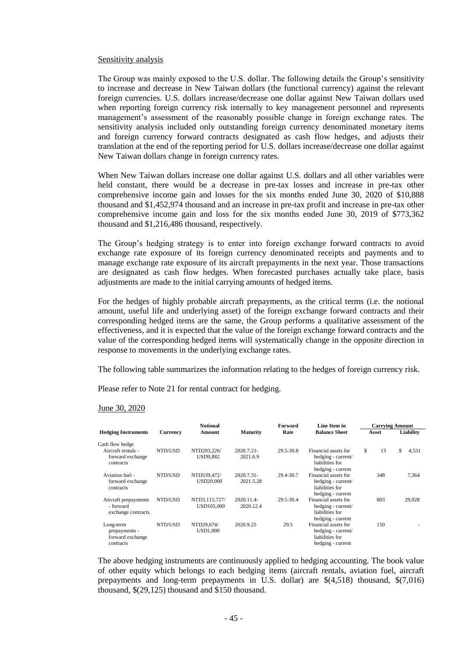#### Sensitivity analysis

The Group was mainly exposed to the U.S. dollar. The following details the Group's sensitivity to increase and decrease in New Taiwan dollars (the functional currency) against the relevant foreign currencies. U.S. dollars increase/decrease one dollar against New Taiwan dollars used when reporting foreign currency risk internally to key management personnel and represents management's assessment of the reasonably possible change in foreign exchange rates. The sensitivity analysis included only outstanding foreign currency denominated monetary items and foreign currency forward contracts designated as cash flow hedges, and adjusts their translation at the end of the reporting period for U.S. dollars increase/decrease one dollar against New Taiwan dollars change in foreign currency rates.

When New Taiwan dollars increase one dollar against U.S. dollars and all other variables were held constant, there would be a decrease in pre-tax losses and increase in pre-tax other comprehensive income gain and losses for the six months ended June 30, 2020 of \$10,888 thousand and \$1,452,974 thousand and an increase in pre-tax profit and increase in pre-tax other comprehensive income gain and loss for the six months ended June 30, 2019 of \$773,362 thousand and \$1,216,486 thousand, respectively.

The Group's hedging strategy is to enter into foreign exchange forward contracts to avoid exchange rate exposure of its foreign currency denominated receipts and payments and to manage exchange rate exposure of its aircraft prepayments in the next year. Those transactions are designated as cash flow hedges. When forecasted purchases actually take place, basis adjustments are made to the initial carrying amounts of hedged items.

For the hedges of highly probable aircraft prepayments, as the critical terms (i.e. the notional amount, useful life and underlying asset) of the foreign exchange forward contracts and their corresponding hedged items are the same, the Group performs a qualitative assessment of the effectiveness, and it is expected that the value of the foreign exchange forward contracts and the value of the corresponding hedged items will systematically change in the opposite direction in response to movements in the underlying exchange rates.

The following table summarizes the information relating to the hedges of foreign currency risk.

Please refer to Note 21 for rental contract for hedging.

#### June 30, 2020

|                                                             |          | <b>Notional</b>                 |                         | Forward   | Line Item in                                                                       |     | <b>Carrying Amount</b> |             |
|-------------------------------------------------------------|----------|---------------------------------|-------------------------|-----------|------------------------------------------------------------------------------------|-----|------------------------|-------------|
| <b>Hedging Instruments</b>                                  | Currency | Amount                          | <b>Maturity</b>         | Rate      | <b>Balance Sheet</b>                                                               |     | Asset                  | Liability   |
| Cash flow hedge                                             |          |                                 |                         |           |                                                                                    |     |                        |             |
| Aircraft rentals -<br>forward exchange<br>contracts         | NTD/USD  | NTD293,226/<br><b>USD9,882</b>  | 2020.7.21-<br>2021.6.9  | 29.5-30.8 | Financial assets for<br>hedging - current/<br>liabilities for<br>hedging - current | \$. | 13                     | \$<br>4,531 |
| Aviation fuel -<br>forward exchange<br>contracts            | NTD/USD  | NTD539.472/<br><b>USD20,000</b> | 2020.7.31-<br>2021.5.28 | 29.4-30.7 | Financial assets for<br>hedging - current/<br>liabilities for<br>hedging - current |     | 348                    | 7,364       |
| Aircraft prepayments<br>- forward<br>exchange contracts     | NTD/USD  | NTD3,115,727/<br>USD105,000     | 2020.11.4-<br>2020.12.4 | 29.5-30.4 | Financial assets for<br>hedging - current/<br>liabilities for<br>hedging - current |     | 803                    | 29,928      |
| Long-term<br>prepayments -<br>forward exchange<br>contracts | NTD/USD  | NTD29,674/<br><b>USD1,000</b>   | 2020.9.25               | 29.5      | Financial assets for<br>hedging - current/<br>liabilities for<br>hedging - current |     | 150                    |             |

The above hedging instruments are continuously applied to hedging accounting. The book value of other equity which belongs to each hedging items (aircraft rentals, aviation fuel, aircraft prepayments and long-term prepayments in U.S. dollar) are \$(4,518) thousand, \$(7,016) thousand, \$(29,125) thousand and \$150 thousand.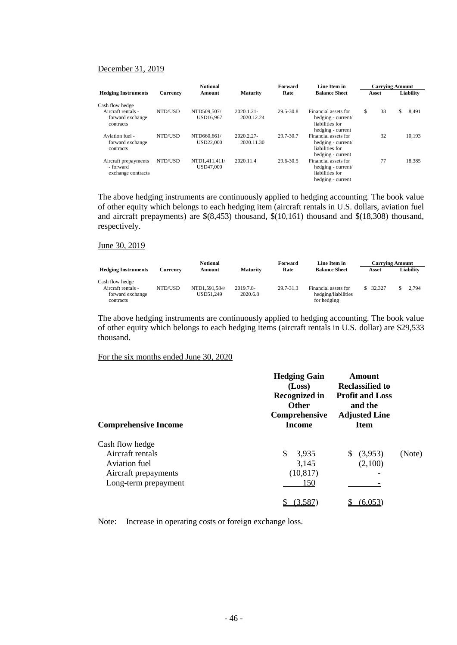#### December 31, 2019

|                                                         |          | <b>Notional</b>            |                             | Forward   | Line Item in                                                                       | <b>Carrying Amount</b> |       |    |           |
|---------------------------------------------------------|----------|----------------------------|-----------------------------|-----------|------------------------------------------------------------------------------------|------------------------|-------|----|-----------|
| <b>Hedging Instruments</b>                              | Currency | Amount                     | <b>Maturity</b>             | Rate      | <b>Balance Sheet</b>                                                               |                        | Asset |    | Liability |
| Cash flow hedge                                         |          |                            |                             |           |                                                                                    |                        |       |    |           |
| Aircraft rentals -<br>forward exchange<br>contracts     | NTD/USD  | NTD509.507/<br>USD16,967   | $2020.1.21 -$<br>2020.12.24 | 29.5-30.8 | Financial assets for<br>hedging - current/<br>liabilities for<br>hedging - current | \$                     | 38    | \$ | 8,491     |
| Aviation fuel -<br>forward exchange<br>contracts        | NTD/USD  | NTD660.661/<br>USD22,000   | 2020.2.27-<br>2020.11.30    | 29.7-30.7 | Financial assets for<br>hedging - current/<br>liabilities for<br>hedging - current |                        | 32    |    | 10,193    |
| Aircraft prepayments<br>- forward<br>exchange contracts | NTD/USD  | NTD1,411,411/<br>USD47,000 | 2020.11.4                   | 29.6-30.5 | Financial assets for<br>hedging - current/<br>liabilities for<br>hedging - current |                        | 77    |    | 18.385    |

The above hedging instruments are continuously applied to hedging accounting. The book value of other equity which belongs to each hedging item (aircraft rentals in U.S. dollars, aviation fuel and aircraft prepayments) are \$(8,453) thousand, \$(10,161) thousand and \$(18,308) thousand, respectively.

#### June 30, 2019

|                                                                        |          | <b>Notional</b>            |                       | Forward   | Line Item in                                               |          | <b>Carrying Amount</b> |
|------------------------------------------------------------------------|----------|----------------------------|-----------------------|-----------|------------------------------------------------------------|----------|------------------------|
| <b>Hedging Instruments</b>                                             | Currencv | Amount                     | <b>Maturity</b>       | Rate      | <b>Balance Sheet</b>                                       | Asset    | Liabilitv              |
| Cash flow hedge<br>Aircraft rentals -<br>forward exchange<br>contracts | NTD/USD  | NTD1.591.584/<br>USD51.249 | 2019.7.8-<br>2020.6.8 | 29.7-31.3 | Financial assets for<br>hedging/liabilities<br>for hedging | \$32.327 | 2.794                  |

The above hedging instruments are continuously applied to hedging accounting. The book value of other equity which belongs to each hedging items (aircraft rentals in U.S. dollar) are \$29,533 thousand.

#### For the six months ended June 30, 2020

| <b>Comprehensive Income</b> | <b>Hedging Gain</b><br>(Loss)<br><b>Recognized in</b><br><b>Other</b><br>Comprehensive<br>Income | Amount<br><b>Reclassified to</b><br><b>Profit and Loss</b><br>and the<br><b>Adjusted Line</b><br><b>Item</b> |        |
|-----------------------------|--------------------------------------------------------------------------------------------------|--------------------------------------------------------------------------------------------------------------|--------|
| Cash flow hedge             |                                                                                                  |                                                                                                              |        |
| Aircraft rentals            | \$<br>3,935                                                                                      | (3,953)<br>S.                                                                                                | (Note) |
| Aviation fuel               | 3,145                                                                                            | (2,100)                                                                                                      |        |
| Aircraft prepayments        | (10, 817)                                                                                        |                                                                                                              |        |
| Long-term prepayment        | 150                                                                                              |                                                                                                              |        |
|                             | (3,587)                                                                                          | 6.053                                                                                                        |        |

Note: Increase in operating costs or foreign exchange loss.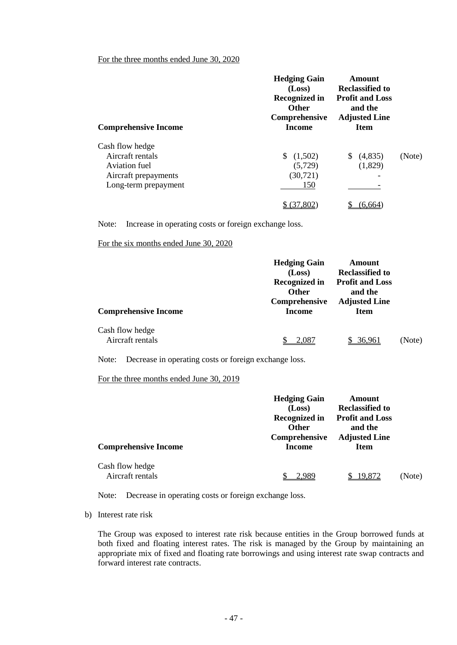## For the three months ended June 30, 2020

| <b>Comprehensive Income</b>                                                                          | <b>Hedging Gain</b><br>(Loss)<br><b>Recognized in</b><br><b>Other</b><br>Comprehensive<br>Income | Amount<br><b>Reclassified to</b><br><b>Profit and Loss</b><br>and the<br><b>Adjusted Line</b><br><b>Item</b> |        |
|------------------------------------------------------------------------------------------------------|--------------------------------------------------------------------------------------------------|--------------------------------------------------------------------------------------------------------------|--------|
| Cash flow hedge<br>Aircraft rentals<br>Aviation fuel<br>Aircraft prepayments<br>Long-term prepayment | (1,502)<br>(5, 729)<br>(30, 721)<br>150                                                          | (4,835)<br>S.<br>(1,829)                                                                                     | (Note) |
|                                                                                                      |                                                                                                  |                                                                                                              |        |

Note: Increase in operating costs or foreign exchange loss.

For the six months ended June 30, 2020

| <b>Comprehensive Income</b>         | <b>Hedging Gain</b><br>(Loss)<br><b>Recognized in</b><br><b>Other</b><br>Comprehensive<br><b>Income</b> | Amount<br><b>Reclassified to</b><br><b>Profit and Loss</b><br>and the<br><b>Adjusted Line</b><br>Item |        |
|-------------------------------------|---------------------------------------------------------------------------------------------------------|-------------------------------------------------------------------------------------------------------|--------|
| Cash flow hedge<br>Aircraft rentals | 2.087                                                                                                   | 36.961                                                                                                | (Note) |

Note: Decrease in operating costs or foreign exchange loss.

For the three months ended June 30, 2019

| <b>Comprehensive Income</b>         | <b>Hedging Gain</b><br>(Loss)<br><b>Recognized in</b><br><b>Other</b><br>Comprehensive<br><b>Income</b> | Amount<br><b>Reclassified to</b><br><b>Profit and Loss</b><br>and the<br><b>Adjusted Line</b><br>Item |        |
|-------------------------------------|---------------------------------------------------------------------------------------------------------|-------------------------------------------------------------------------------------------------------|--------|
| Cash flow hedge<br>Aircraft rentals |                                                                                                         | 19,872                                                                                                | (Note) |

Note: Decrease in operating costs or foreign exchange loss.

b) Interest rate risk

The Group was exposed to interest rate risk because entities in the Group borrowed funds at both fixed and floating interest rates. The risk is managed by the Group by maintaining an appropriate mix of fixed and floating rate borrowings and using interest rate swap contracts and forward interest rate contracts.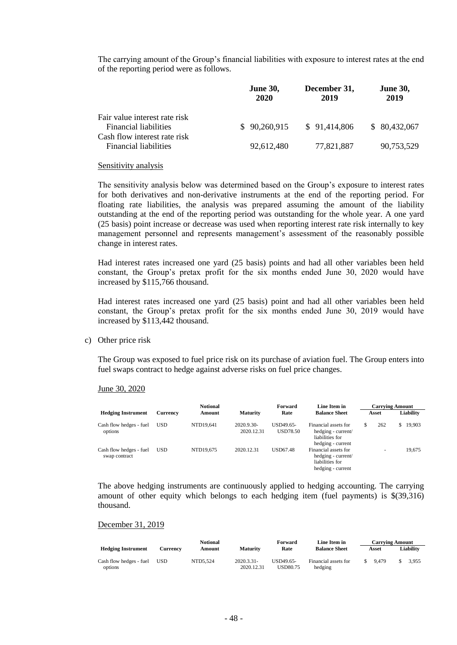The carrying amount of the Group's financial liabilities with exposure to interest rates at the end of the reporting period were as follows.

|                                                               | <b>June 30,</b><br>2020 | December 31,<br>2019 | <b>June 30,</b><br>2019 |
|---------------------------------------------------------------|-------------------------|----------------------|-------------------------|
| Fair value interest rate risk<br><b>Financial liabilities</b> | \$90,260,915            | \$91,414,806         | \$80,432,067            |
| Cash flow interest rate risk<br><b>Financial liabilities</b>  | 92,612,480              | 77,821,887           | 90,753,529              |

#### Sensitivity analysis

The sensitivity analysis below was determined based on the Group's exposure to interest rates for both derivatives and non-derivative instruments at the end of the reporting period. For floating rate liabilities, the analysis was prepared assuming the amount of the liability outstanding at the end of the reporting period was outstanding for the whole year. A one yard (25 basis) point increase or decrease was used when reporting interest rate risk internally to key management personnel and represents management's assessment of the reasonably possible change in interest rates.

Had interest rates increased one yard (25 basis) points and had all other variables been held constant, the Group's pretax profit for the six months ended June 30, 2020 would have increased by \$115,766 thousand.

Had interest rates increased one yard (25 basis) point and had all other variables been held constant, the Group's pretax profit for the six months ended June 30, 2019 would have increased by \$113,442 thousand.

#### c) Other price risk

The Group was exposed to fuel price risk on its purchase of aviation fuel. The Group enters into fuel swaps contract to hedge against adverse risks on fuel price changes.

#### June 30, 2020

|                                          |            | <b>Notional</b> |                          | Forward               | Line Item in                                                                       | <b>Carrying Amount</b>   |     |           |
|------------------------------------------|------------|-----------------|--------------------------|-----------------------|------------------------------------------------------------------------------------|--------------------------|-----|-----------|
| <b>Hedging Instrument</b>                | Currency   | Amount          | <b>Maturity</b>          | Rate                  | <b>Balance Sheet</b>                                                               | Asset                    |     | Liability |
| Cash flow hedges - fuel<br>options       | <b>USD</b> | NTD19.641       | 2020.9.30-<br>2020.12.31 | USD49.65-<br>USD78.50 | Financial assets for<br>hedging - current/<br>liabilities for<br>hedging - current | 262                      | \$. | 19,903    |
| Cash flow hedges - fuel<br>swap contract | <b>USD</b> | NTD19.675       | 2020.12.31               | <b>USD67.48</b>       | Financial assets for<br>hedging - current/<br>liabilities for<br>hedging - current | $\overline{\phantom{a}}$ |     | 19,675    |

The above hedging instruments are continuously applied to hedging accounting. The carrying amount of other equity which belongs to each hedging item (fuel payments) is \$(39,316) thousand.

#### December 31, 2019

|                                    |          | <b>Notional</b> |                             | Forward                      | Line Item in                    |    | <b>Carrying Amount</b> |           |
|------------------------------------|----------|-----------------|-----------------------------|------------------------------|---------------------------------|----|------------------------|-----------|
| <b>Hedging Instrument</b>          | Currencv | Amount          | <b>Maturity</b>             | Rate                         | <b>Balance Sheet</b>            |    | Asset                  | Liability |
| Cash flow hedges - fuel<br>options | USD      | NTD5.524        | $2020.3.31 -$<br>2020.12.31 | USD49.65-<br><b>USD80.75</b> | Financial assets for<br>hedging | S. | 9.479                  | 3.955     |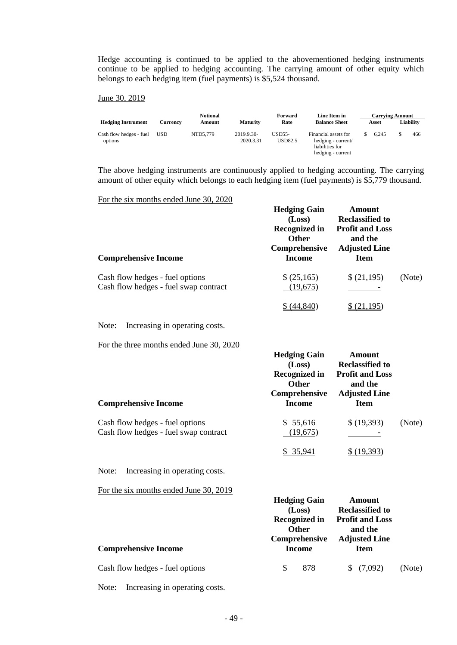Hedge accounting is continued to be applied to the abovementioned hedging instruments continue to be applied to hedging accounting. The carrying amount of other equity which belongs to each hedging item (fuel payments) is \$5,524 thousand.

#### June 30, 2019

|                                    |            | <b>Notional</b> |                         | Forward                    | Line Item in                                                                       | <b>Carrying Amount</b> |           |
|------------------------------------|------------|-----------------|-------------------------|----------------------------|------------------------------------------------------------------------------------|------------------------|-----------|
| <b>Hedging Instrument</b>          | Currencv   | Amount          | <b>Maturity</b>         | Rate                       | <b>Balance Sheet</b>                                                               | Asset                  | Liability |
| Cash flow hedges - fuel<br>options | <b>USD</b> | NTD5,779        | 2019.9.30-<br>2020.3.31 | $USD55-$<br><b>USD82.5</b> | Financial assets for<br>hedging - current/<br>liabilities for<br>hedging - current | 6.245                  | 466       |

The above hedging instruments are continuously applied to hedging accounting. The carrying amount of other equity which belongs to each hedging item (fuel payments) is \$5,779 thousand.

For the six months ended June 30, 2020

| <b>Comprehensive Income</b>                                              | <b>Hedging Gain</b><br>(Loss)<br><b>Recognized in</b><br><b>Other</b><br>Comprehensive<br>Income | <b>Amount</b><br><b>Reclassified to</b><br><b>Profit and Loss</b><br>and the<br><b>Adjusted Line</b><br><b>Item</b> |        |
|--------------------------------------------------------------------------|--------------------------------------------------------------------------------------------------|---------------------------------------------------------------------------------------------------------------------|--------|
| Cash flow hedges - fuel options<br>Cash flow hedges - fuel swap contract | \$ (25,165)<br>(19,675)                                                                          | \$(21,195)                                                                                                          | (Note) |
|                                                                          | 44.840                                                                                           |                                                                                                                     |        |

Note: Increasing in operating costs.

For the three months ended June 30, 2020

| <b>Comprehensive Income</b>                                              | <b>Hedging Gain</b><br>(Loss)<br><b>Recognized in</b><br><b>Other</b><br>Comprehensive<br>Income | Amount<br><b>Reclassified to</b><br><b>Profit and Loss</b><br>and the<br><b>Adjusted Line</b><br><b>Item</b> |        |
|--------------------------------------------------------------------------|--------------------------------------------------------------------------------------------------|--------------------------------------------------------------------------------------------------------------|--------|
| Cash flow hedges - fuel options<br>Cash flow hedges - fuel swap contract | \$55,616<br>(19,675)                                                                             | \$(19,393)                                                                                                   | (Note) |

Note: Increasing in operating costs.

For the six months ended June 30, 2019

|                                 | <b>Hedging Gain</b><br>(Loss)                         | <b>Amount</b><br><b>Reclassified to</b>                   |        |
|---------------------------------|-------------------------------------------------------|-----------------------------------------------------------|--------|
|                                 | <b>Recognized in</b><br><b>Other</b><br>Comprehensive | <b>Profit and Loss</b><br>and the<br><b>Adjusted Line</b> |        |
| <b>Comprehensive Income</b>     | Income                                                | <b>Item</b>                                               |        |
| Cash flow hedges - fuel options | 878<br>S                                              | \$(7,092)                                                 | (Note) |

 $$35,941$   $$(19,393)$ 

Note: Increasing in operating costs.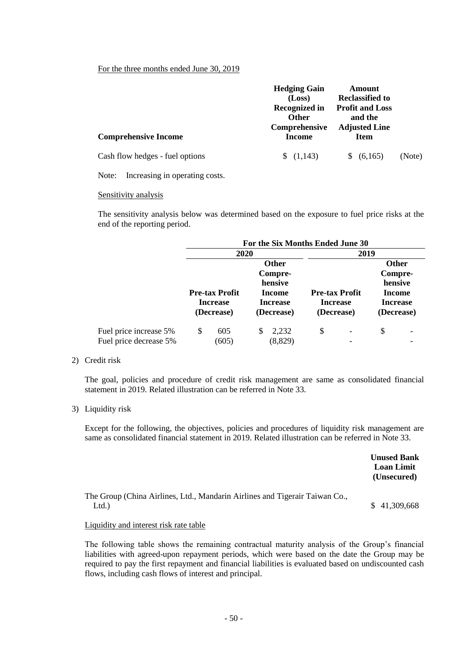#### For the three months ended June 30, 2019

|                                 | <b>Hedging Gain</b><br>(Loss)<br><b>Recognized in</b><br><b>Other</b> | Amount<br><b>Reclassified to</b><br><b>Profit and Loss</b><br>and the |        |
|---------------------------------|-----------------------------------------------------------------------|-----------------------------------------------------------------------|--------|
| <b>Comprehensive Income</b>     | Comprehensive<br>Income                                               | <b>Adjusted Line</b><br><b>Item</b>                                   |        |
| Cash flow hedges - fuel options | (1,143)                                                               | \$ (6,165)                                                            | (Note) |

Note: Increasing in operating costs.

#### Sensitivity analysis

The sensitivity analysis below was determined based on the exposure to fuel price risks at the end of the reporting period.

|                                                  | For the Six Months Ended June 30                       |                                                                               |                                                        |                                                                               |  |  |  |
|--------------------------------------------------|--------------------------------------------------------|-------------------------------------------------------------------------------|--------------------------------------------------------|-------------------------------------------------------------------------------|--|--|--|
|                                                  | 2020                                                   |                                                                               | 2019                                                   |                                                                               |  |  |  |
|                                                  | <b>Pre-tax Profit</b><br><b>Increase</b><br>(Decrease) | <b>Other</b><br>Compre-<br>hensive<br>Income<br><b>Increase</b><br>(Decrease) | <b>Pre-tax Profit</b><br><b>Increase</b><br>(Decrease) | <b>Other</b><br>Compre-<br>hensive<br>Income<br><b>Increase</b><br>(Decrease) |  |  |  |
| Fuel price increase 5%<br>Fuel price decrease 5% | \$<br>605<br>(605)                                     | 2,232<br>S<br>(8,829)                                                         | \$                                                     | \$                                                                            |  |  |  |

#### 2) Credit risk

The goal, policies and procedure of credit risk management are same as consolidated financial statement in 2019. Related illustration can be referred in Note 33.

#### 3) Liquidity risk

Except for the following, the objectives, policies and procedures of liquidity risk management are same as consolidated financial statement in 2019. Related illustration can be referred in Note 33.

|                                                                                     | <b>Unused Bank</b><br><b>Loan Limit</b><br>(Unsecured) |
|-------------------------------------------------------------------------------------|--------------------------------------------------------|
| The Group (China Airlines, Ltd., Mandarin Airlines and Tigerair Taiwan Co.,<br>Ltd. | \$41,309,668                                           |

## Liquidity and interest risk rate table

The following table shows the remaining contractual maturity analysis of the Group's financial liabilities with agreed-upon repayment periods, which were based on the date the Group may be required to pay the first repayment and financial liabilities is evaluated based on undiscounted cash flows, including cash flows of interest and principal.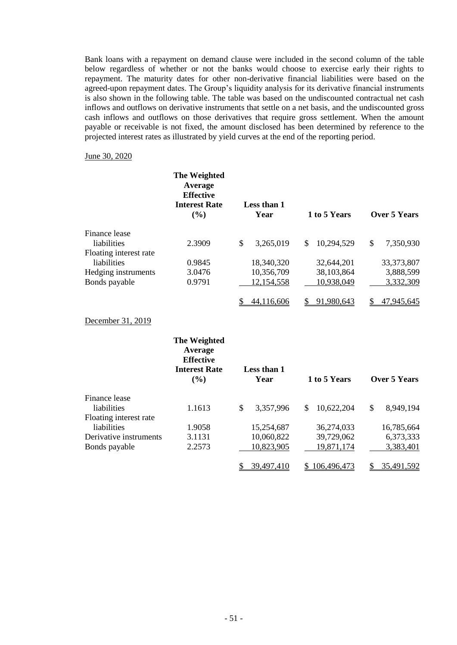Bank loans with a repayment on demand clause were included in the second column of the table below regardless of whether or not the banks would choose to exercise early their rights to repayment. The maturity dates for other non-derivative financial liabilities were based on the agreed-upon repayment dates. The Group's liquidity analysis for its derivative financial instruments is also shown in the following table. The table was based on the undiscounted contractual net cash inflows and outflows on derivative instruments that settle on a net basis, and the undiscounted gross cash inflows and outflows on those derivatives that require gross settlement. When the amount payable or receivable is not fixed, the amount disclosed has been determined by reference to the projected interest rates as illustrated by yield curves at the end of the reporting period.

#### June 30, 2020

|                        | The Weighted<br>Average<br><b>Effective</b><br><b>Interest Rate</b><br>(%) | Less than 1<br>Year       | 1 to 5 Years     | <b>Over 5 Years</b> |
|------------------------|----------------------------------------------------------------------------|---------------------------|------------------|---------------------|
| Finance lease          |                                                                            |                           |                  |                     |
| liabilities            | 2.3909                                                                     | $\mathbb{S}$<br>3,265,019 | \$<br>10,294,529 | \$<br>7,350,930     |
| Floating interest rate |                                                                            |                           |                  |                     |
| liabilities            | 0.9845                                                                     | 18,340,320                | 32,644,201       | 33,373,807          |
| Hedging instruments    | 3.0476                                                                     | 10,356,709                | 38,103,864       | 3,888,599           |
| Bonds payable          | 0.9791                                                                     | 12,154,558                | 10,938,049       | 3,332,309           |
|                        |                                                                            | 44,116,606<br>S           | \$91,980,643     | 47,945,645<br>\$    |
| December 31, 2019      |                                                                            |                           |                  |                     |
|                        | The Weighted<br>Average<br><b>Effective</b><br><b>Interest Rate</b><br>(%) | Less than 1<br>Year       | 1 to 5 Years     | <b>Over 5 Years</b> |
| Finance lease          |                                                                            |                           |                  |                     |
| liabilities            | 1.1613                                                                     | \$<br>3,357,996           | 10,622,204<br>\$ | \$<br>8,949,194     |
| Floating interest rate |                                                                            |                           |                  |                     |
| liabilities            | 1.9058                                                                     | 15,254,687                | 36,274,033       | 16,785,664          |
| Derivative instruments | 3.1131                                                                     | 10,060,822                | 39,729,062       | 6,373,333           |
| Bonds payable          | 2.2573                                                                     | 10,823,905                | 19,871,174       | 3,383,401           |
|                        |                                                                            | 39,497,410<br>\$          | \$106,496,473    | 35,491,592<br>\$    |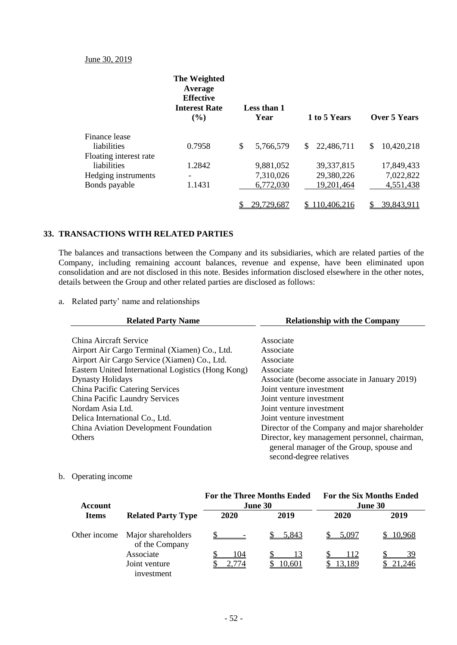## June 30, 2019

|                        | The Weighted<br>Average<br><b>Effective</b><br><b>Interest Rate</b><br>(%) | Less than 1<br>Year |     | 1 to 5 Years | Over 5 Years      |
|------------------------|----------------------------------------------------------------------------|---------------------|-----|--------------|-------------------|
| Finance lease          |                                                                            |                     |     |              |                   |
| liabilities            | 0.7958                                                                     | \$<br>5,766,579     | \$. | 22,486,711   | \$<br>10,420,218  |
| Floating interest rate |                                                                            |                     |     |              |                   |
| liabilities            | 1.2842                                                                     | 9,881,052           |     | 39, 337, 815 | 17,849,433        |
| Hedging instruments    | $\overline{\phantom{0}}$                                                   | 7,310,026           |     | 29,380,226   | 7,022,822         |
| Bonds payable          | 1.1431                                                                     | 6,772,030           |     | 19,201,464   | 4,551,438         |
|                        |                                                                            | 29,729,687          |     | 110,406,216  | <u>39,843,911</u> |

## **33. TRANSACTIONS WITH RELATED PARTIES**

The balances and transactions between the Company and its subsidiaries, which are related parties of the Company, including remaining account balances, revenue and expense, have been eliminated upon consolidation and are not disclosed in this note. Besides information disclosed elsewhere in the other notes, details between the Group and other related parties are disclosed as follows:

a. Related party' name and relationships

| <b>Related Party Name</b>                          | <b>Relationship with the Company</b>                                                                                 |
|----------------------------------------------------|----------------------------------------------------------------------------------------------------------------------|
| China Aircraft Service                             | Associate                                                                                                            |
| Airport Air Cargo Terminal (Xiamen) Co., Ltd.      | Associate                                                                                                            |
| Airport Air Cargo Service (Xiamen) Co., Ltd.       | Associate                                                                                                            |
| Eastern United International Logistics (Hong Kong) | Associate                                                                                                            |
| <b>Dynasty Holidays</b>                            | Associate (become associate in January 2019)                                                                         |
| China Pacific Catering Services                    | Joint venture investment                                                                                             |
| China Pacific Laundry Services                     | Joint venture investment                                                                                             |
| Nordam Asia Ltd.                                   | Joint venture investment                                                                                             |
| Delica International Co., Ltd.                     | Joint venture investment                                                                                             |
| China Aviation Development Foundation              | Director of the Company and major shareholder                                                                        |
| <b>Others</b>                                      | Director, key management personnel, chairman,<br>general manager of the Group, spouse and<br>second-degree relatives |

## b. Operating income

| Account      |                                      | <b>For the Three Months Ended</b><br>June 30 |        | <b>For the Six Months Ended</b><br>June 30 |        |
|--------------|--------------------------------------|----------------------------------------------|--------|--------------------------------------------|--------|
| <b>Items</b> | <b>Related Party Type</b>            | 2020                                         | 2019   | 2020                                       | 2019   |
| Other income | Major shareholders<br>of the Company |                                              | 5,843  | 5.097                                      | 10,968 |
|              | Associate                            | .04                                          |        | 112                                        | 39     |
|              | Joint venture<br>investment          | 2,774                                        | 10,601 | 13,189                                     | .246   |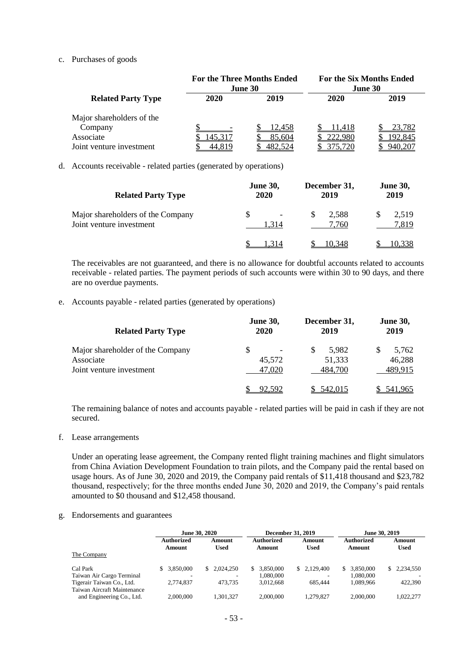#### c. Purchases of goods

|                           | <b>For the Three Months Ended</b><br>June 30 |         | <b>For the Six Months Ended</b><br>June 30 |        |  |
|---------------------------|----------------------------------------------|---------|--------------------------------------------|--------|--|
| <b>Related Party Type</b> | 2020                                         | 2019    | 2020                                       | 2019   |  |
| Major shareholders of the |                                              |         |                                            |        |  |
| Company                   |                                              | 12,458  | 11,418                                     | 23,782 |  |
| Associate                 | 45,317                                       | 85,604  | 222,980                                    | 92,845 |  |
| Joint venture investment  | 44.819                                       | 482.524 | 375.720                                    |        |  |

#### d. Accounts receivable - related parties (generated by operations)

| <b>Related Party Type</b>                                     | <b>June 30,</b><br>2020 | December 31,<br>2019 | <b>June 30,</b><br>2019 |
|---------------------------------------------------------------|-------------------------|----------------------|-------------------------|
| Major shareholders of the Company<br>Joint venture investment | S<br>-<br>1.314         | 2,588<br>S<br>7,760  | 2,519<br>7,819          |
|                                                               |                         | 10.348               |                         |

The receivables are not guaranteed, and there is no allowance for doubtful accounts related to accounts receivable - related parties. The payment periods of such accounts were within 30 to 90 days, and there are no overdue payments.

#### e. Accounts payable - related parties (generated by operations)

| <b>Related Party Type</b>                                                 | <b>June 30,</b><br>2020 | December 31,<br>2019            | <b>June 30,</b><br>2019    |  |
|---------------------------------------------------------------------------|-------------------------|---------------------------------|----------------------------|--|
| Major shareholder of the Company<br>Associate<br>Joint venture investment | S<br>45,572<br>47,020   | S<br>5.982<br>51,333<br>484,700 | 5.762<br>46,288<br>489,915 |  |
|                                                                           | 92.592                  | 542,015                         | 541,965                    |  |

The remaining balance of notes and accounts payable - related parties will be paid in cash if they are not secured.

f. Lease arrangements

Under an operating lease agreement, the Company rented flight training machines and flight simulators from China Aviation Development Foundation to train pilots, and the Company paid the rental based on usage hours. As of June 30, 2020 and 2019, the Company paid rentals of \$11,418 thousand and \$23,782 thousand, respectively; for the three months ended June 30, 2020 and 2019, the Company's paid rentals amounted to \$0 thousand and \$12,458 thousand.

#### g. Endorsements and guarantees

|                                                          |                             | <b>December 31, 2019</b><br>June 30, 2020 |                      |                       | June 30, 2019               |                       |
|----------------------------------------------------------|-----------------------------|-------------------------------------------|----------------------|-----------------------|-----------------------------|-----------------------|
|                                                          | <b>Authorized</b><br>Amount | Amount<br>Used                            | Authorized<br>Amount | Amount<br><b>Used</b> | <b>Authorized</b><br>Amount | Amount<br><b>Used</b> |
| The Company                                              |                             |                                           |                      |                       |                             |                       |
| Cal Park                                                 | 3.850,000                   | \$2.024.250                               | 3.850,000<br>S.      | \$2.129,400           | \$3.850,000                 | \$ 2.234,550          |
| Taiwan Air Cargo Terminal                                | -                           |                                           | 1.080.000            |                       | 1.080.000                   |                       |
| Tigerair Taiwan Co., Ltd.<br>Taiwan Aircraft Maintenance | 2.774.837                   | 473.735                                   | 3.012.668            | 685,444               | 1.089.966                   | 422,390               |
| and Engineering Co., Ltd.                                | 2,000,000                   | 1.301.327                                 | 2,000,000            | 1.279.827             | 2,000,000                   | 1.022.277             |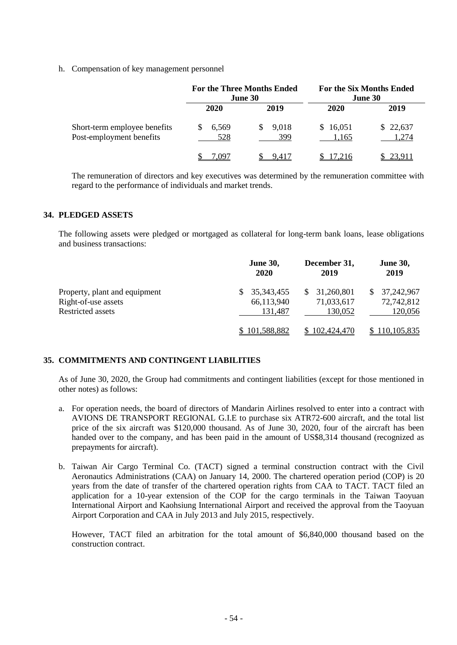h. Compensation of key management personnel

|                                                          | <b>For the Three Months Ended</b><br>June 30 |              | <b>For the Six Months Ended</b><br>June 30 |                   |
|----------------------------------------------------------|----------------------------------------------|--------------|--------------------------------------------|-------------------|
|                                                          | 2020                                         | 2019         | 2020                                       | 2019              |
| Short-term employee benefits<br>Post-employment benefits | 6,569<br>528                                 | 9,018<br>399 | \$16,051<br>1,165                          | \$22,637<br>1,274 |
|                                                          | ' 09′                                        | 9.417        | 17.216                                     | \$23.911          |

The remuneration of directors and key executives was determined by the remuneration committee with regard to the performance of individuals and market trends.

#### **34. PLEDGED ASSETS**

The following assets were pledged or mortgaged as collateral for long-term bank loans, lease obligations and business transactions:

|                               | <b>June 30,</b><br>2020 | December 31,<br>2019 | <b>June 30,</b><br>2019 |
|-------------------------------|-------------------------|----------------------|-------------------------|
| Property, plant and equipment | 35,343,455              | 31,260,801<br>SS.    | 37,242,967              |
| Right-of-use assets           | 66,113,940              | 71,033,617           | 72,742,812              |
| <b>Restricted assets</b>      | 131.487                 | 130,052              | 120,056                 |
|                               | \$101,588,882           | 102,424,470          | <u>110,105,835 </u>     |

## **35. COMMITMENTS AND CONTINGENT LIABILITIES**

As of June 30, 2020, the Group had commitments and contingent liabilities (except for those mentioned in other notes) as follows:

- a. For operation needs, the board of directors of Mandarin Airlines resolved to enter into a contract with AVIONS DE TRANSPORT REGIONAL G.I.E to purchase six ATR72-600 aircraft, and the total list price of the six aircraft was \$120,000 thousand. As of June 30, 2020, four of the aircraft has been handed over to the company, and has been paid in the amount of US\$8,314 thousand (recognized as prepayments for aircraft).
- b. Taiwan Air Cargo Terminal Co. (TACT) signed a terminal construction contract with the Civil Aeronautics Administrations (CAA) on January 14, 2000. The chartered operation period (COP) is 20 years from the date of transfer of the chartered operation rights from CAA to TACT. TACT filed an application for a 10-year extension of the COP for the cargo terminals in the Taiwan Taoyuan International Airport and Kaohsiung International Airport and received the approval from the Taoyuan Airport Corporation and CAA in July 2013 and July 2015, respectively.

However, TACT filed an arbitration for the total amount of \$6,840,000 thousand based on the construction contract.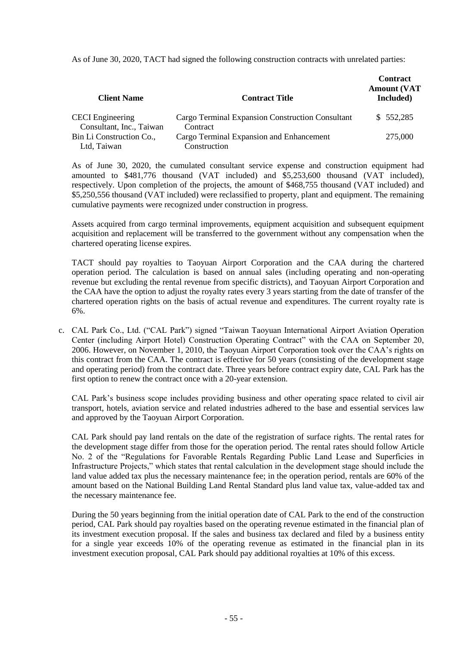As of June 30, 2020, TACT had signed the following construction contracts with unrelated parties:

| <b>Client Name</b>       | <b>Contract Title</b>                            | <b>Contract</b><br><b>Amount (VAT</b><br>Included) |
|--------------------------|--------------------------------------------------|----------------------------------------------------|
| <b>CECI</b> Engineering  | Cargo Terminal Expansion Construction Consultant | \$552,285                                          |
| Consultant, Inc., Taiwan | Contract                                         |                                                    |
| Bin Li Construction Co., | Cargo Terminal Expansion and Enhancement         | 275,000                                            |
| Ltd, Taiwan              | Construction                                     |                                                    |

As of June 30, 2020, the cumulated consultant service expense and construction equipment had amounted to \$481,776 thousand (VAT included) and \$5,253,600 thousand (VAT included), respectively. Upon completion of the projects, the amount of \$468,755 thousand (VAT included) and \$5,250,556 thousand (VAT included) were reclassified to property, plant and equipment. The remaining cumulative payments were recognized under construction in progress.

Assets acquired from cargo terminal improvements, equipment acquisition and subsequent equipment acquisition and replacement will be transferred to the government without any compensation when the chartered operating license expires.

TACT should pay royalties to Taoyuan Airport Corporation and the CAA during the chartered operation period. The calculation is based on annual sales (including operating and non-operating revenue but excluding the rental revenue from specific districts), and Taoyuan Airport Corporation and the CAA have the option to adjust the royalty rates every 3 years starting from the date of transfer of the chartered operation rights on the basis of actual revenue and expenditures. The current royalty rate is 6%.

c. CAL Park Co., Ltd. ("CAL Park") signed "Taiwan Taoyuan International Airport Aviation Operation Center (including Airport Hotel) Construction Operating Contract" with the CAA on September 20, 2006. However, on November 1, 2010, the Taoyuan Airport Corporation took over the CAA's rights on this contract from the CAA. The contract is effective for 50 years (consisting of the development stage and operating period) from the contract date. Three years before contract expiry date, CAL Park has the first option to renew the contract once with a 20-year extension.

CAL Park's business scope includes providing business and other operating space related to civil air transport, hotels, aviation service and related industries adhered to the base and essential services law and approved by the Taoyuan Airport Corporation.

CAL Park should pay land rentals on the date of the registration of surface rights. The rental rates for the development stage differ from those for the operation period. The rental rates should follow Article No. 2 of the "Regulations for Favorable Rentals Regarding Public Land Lease and Superficies in Infrastructure Projects," which states that rental calculation in the development stage should include the land value added tax plus the necessary maintenance fee; in the operation period, rentals are 60% of the amount based on the National Building Land Rental Standard plus land value tax, value-added tax and the necessary maintenance fee.

During the 50 years beginning from the initial operation date of CAL Park to the end of the construction period, CAL Park should pay royalties based on the operating revenue estimated in the financial plan of its investment execution proposal. If the sales and business tax declared and filed by a business entity for a single year exceeds 10% of the operating revenue as estimated in the financial plan in its investment execution proposal, CAL Park should pay additional royalties at 10% of this excess.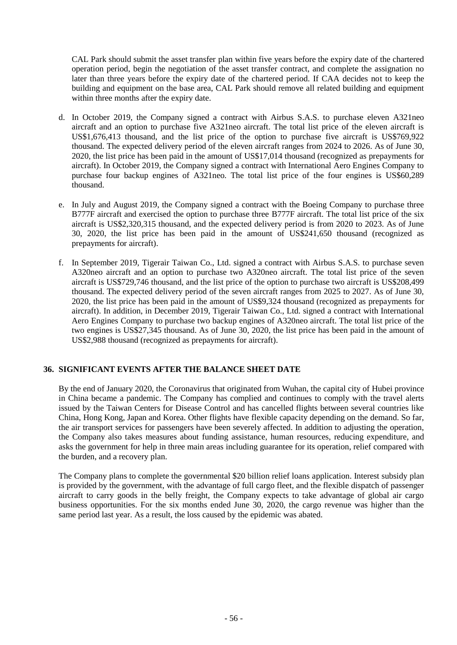CAL Park should submit the asset transfer plan within five years before the expiry date of the chartered operation period, begin the negotiation of the asset transfer contract, and complete the assignation no later than three years before the expiry date of the chartered period. If CAA decides not to keep the building and equipment on the base area, CAL Park should remove all related building and equipment within three months after the expiry date.

- d. In October 2019, the Company signed a contract with Airbus S.A.S. to purchase eleven A321neo aircraft and an option to purchase five A321neo aircraft. The total list price of the eleven aircraft is US\$1,676,413 thousand, and the list price of the option to purchase five aircraft is US\$769,922 thousand. The expected delivery period of the eleven aircraft ranges from 2024 to 2026. As of June 30, 2020, the list price has been paid in the amount of US\$17,014 thousand (recognized as prepayments for aircraft). In October 2019, the Company signed a contract with International Aero Engines Company to purchase four backup engines of A321neo. The total list price of the four engines is US\$60,289 thousand.
- e. In July and August 2019, the Company signed a contract with the Boeing Company to purchase three B777F aircraft and exercised the option to purchase three B777F aircraft. The total list price of the six aircraft is US\$2,320,315 thousand, and the expected delivery period is from 2020 to 2023. As of June 30, 2020, the list price has been paid in the amount of US\$241,650 thousand (recognized as prepayments for aircraft).
- f. In September 2019, Tigerair Taiwan Co., Ltd. signed a contract with Airbus S.A.S. to purchase seven A320neo aircraft and an option to purchase two A320neo aircraft. The total list price of the seven aircraft is US\$729,746 thousand, and the list price of the option to purchase two aircraft is US\$208,499 thousand. The expected delivery period of the seven aircraft ranges from 2025 to 2027. As of June 30, 2020, the list price has been paid in the amount of US\$9,324 thousand (recognized as prepayments for aircraft). In addition, in December 2019, Tigerair Taiwan Co., Ltd. signed a contract with International Aero Engines Company to purchase two backup engines of A320neo aircraft. The total list price of the two engines is US\$27,345 thousand. As of June 30, 2020, the list price has been paid in the amount of US\$2,988 thousand (recognized as prepayments for aircraft).

## **36. SIGNIFICANT EVENTS AFTER THE BALANCE SHEET DATE**

By the end of January 2020, the Coronavirus that originated from Wuhan, the capital city of Hubei province in China became a pandemic. The Company has complied and continues to comply with the travel alerts issued by the Taiwan Centers for Disease Control and has cancelled flights between several countries like China, Hong Kong, Japan and Korea. Other flights have flexible capacity depending on the demand. So far, the air transport services for passengers have been severely affected. In addition to adjusting the operation, the Company also takes measures about funding assistance, human resources, reducing expenditure, and asks the government for help in three main areas including guarantee for its operation, relief compared with the burden, and a recovery plan.

The Company plans to complete the governmental \$20 billion relief loans application. Interest subsidy plan is provided by the government, with the advantage of full cargo fleet, and the flexible dispatch of passenger aircraft to carry goods in the belly freight, the Company expects to take advantage of global air cargo business opportunities. For the six months ended June 30, 2020, the cargo revenue was higher than the same period last year. As a result, the loss caused by the epidemic was abated.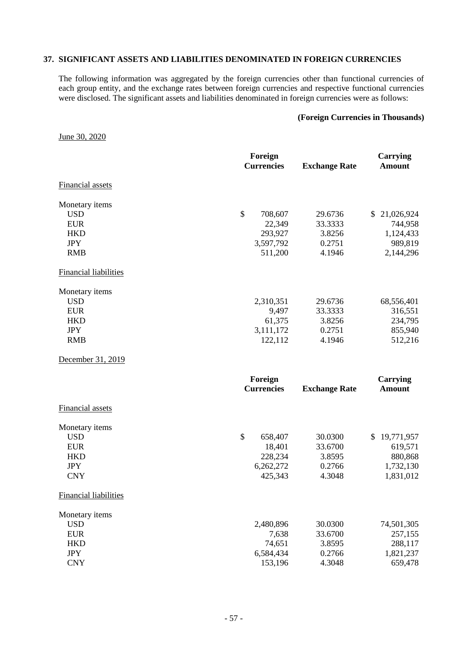#### **37. SIGNIFICANT ASSETS AND LIABILITIES DENOMINATED IN FOREIGN CURRENCIES**

The following information was aggregated by the foreign currencies other than functional currencies of each group entity, and the exchange rates between foreign currencies and respective functional currencies were disclosed. The significant assets and liabilities denominated in foreign currencies were as follows:

#### **(Foreign Currencies in Thousands)**

June 30, 2020

|                              | Foreign<br><b>Currencies</b> | <b>Exchange Rate</b> | <b>Carrying</b><br><b>Amount</b> |
|------------------------------|------------------------------|----------------------|----------------------------------|
| <b>Financial assets</b>      |                              |                      |                                  |
| Monetary items               |                              |                      |                                  |
| <b>USD</b>                   | \$<br>708,607                | 29.6736              | \$21,026,924                     |
| <b>EUR</b>                   | 22,349                       | 33.3333              | 744,958                          |
| <b>HKD</b>                   | 293,927                      | 3.8256               | 1,124,433                        |
| <b>JPY</b>                   | 3,597,792                    | 0.2751               | 989,819                          |
| <b>RMB</b>                   | 511,200                      | 4.1946               | 2,144,296                        |
| <b>Financial liabilities</b> |                              |                      |                                  |
| Monetary items               |                              |                      |                                  |
| <b>USD</b>                   | 2,310,351                    | 29.6736              | 68,556,401                       |
| <b>EUR</b>                   | 9,497                        | 33.3333              | 316,551                          |
| <b>HKD</b>                   | 61,375                       | 3.8256               | 234,795                          |
| <b>JPY</b>                   | 3,111,172                    | 0.2751               | 855,940                          |
| <b>RMB</b>                   | 122,112                      | 4.1946               | 512,216                          |
| December 31, 2019            |                              |                      |                                  |
|                              | Foreign                      |                      | <b>Carrying</b>                  |
|                              | <b>Currencies</b>            | <b>Exchange Rate</b> | <b>Amount</b>                    |
| <b>Financial assets</b>      |                              |                      |                                  |
| Monetary items               |                              |                      |                                  |
| <b>USD</b>                   | $\boldsymbol{\$}$<br>658,407 | 30.0300              | \$19,771,957                     |
| <b>EUR</b>                   | 18,401                       | 33.6700              | 619,571                          |
| <b>HKD</b>                   | 228,234                      | 3.8595               | 880,868                          |
| <b>JPY</b>                   | 6,262,272                    | 0.2766               | 1,732,130                        |
| <b>CNY</b>                   | 425,343                      | 4.3048               | 1,831,012                        |
| <b>Financial liabilities</b> |                              |                      |                                  |
| Monetary items               |                              |                      |                                  |
| <b>USD</b>                   | 2,480,896                    | 30.0300              | 74,501,305                       |
| <b>EUR</b>                   | 7,638                        | 33.6700              | 257,155                          |
| <b>HKD</b>                   | 74,651                       | 3.8595               | 288,117                          |
| <b>JPY</b>                   | 6,584,434                    | 0.2766               | 1,821,237                        |
| <b>CNY</b>                   | 153,196                      | 4.3048               | 659,478                          |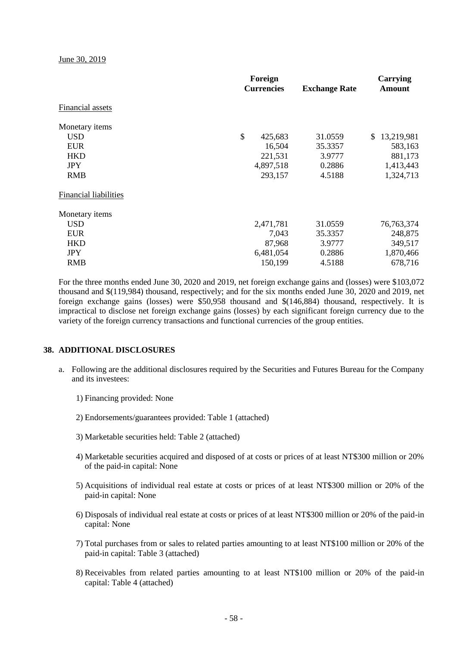June 30, 2019

|                              | Foreign<br><b>Currencies</b> | <b>Exchange Rate</b> | Carrying<br><b>Amount</b> |
|------------------------------|------------------------------|----------------------|---------------------------|
| Financial assets             |                              |                      |                           |
| Monetary items               |                              |                      |                           |
| <b>USD</b>                   | \$                           | 31.0559<br>425,683   | 13,219,981<br>S.          |
| <b>EUR</b>                   |                              | 16,504<br>35.3357    | 583,163                   |
| <b>HKD</b>                   |                              | 221,531<br>3.9777    | 881,173                   |
| <b>JPY</b>                   |                              | 4,897,518<br>0.2886  | 1,413,443                 |
| <b>RMB</b>                   |                              | 293,157<br>4.5188    | 1,324,713                 |
| <b>Financial liabilities</b> |                              |                      |                           |
| Monetary items               |                              |                      |                           |
| <b>USD</b>                   | 2,471,781                    | 31.0559              | 76, 763, 374              |
| <b>EUR</b>                   |                              | 35.3357<br>7,043     | 248,875                   |
| <b>HKD</b>                   |                              | 87,968<br>3.9777     | 349,517                   |
| <b>JPY</b>                   |                              | 6,481,054<br>0.2886  | 1,870,466                 |
| <b>RMB</b>                   |                              | 150,199<br>4.5188    | 678,716                   |

For the three months ended June 30, 2020 and 2019, net foreign exchange gains and (losses) were \$103,072 thousand and \$(119,984) thousand, respectively; and for the six months ended June 30, 2020 and 2019, net foreign exchange gains (losses) were \$50,958 thousand and \$(146,884) thousand, respectively. It is impractical to disclose net foreign exchange gains (losses) by each significant foreign currency due to the variety of the foreign currency transactions and functional currencies of the group entities.

#### **38. ADDITIONAL DISCLOSURES**

- a. Following are the additional disclosures required by the Securities and Futures Bureau for the Company and its investees:
	- 1) Financing provided: None
	- 2) Endorsements/guarantees provided: Table 1 (attached)
	- 3) Marketable securities held: Table 2 (attached)
	- 4) Marketable securities acquired and disposed of at costs or prices of at least NT\$300 million or 20% of the paid-in capital: None
	- 5) Acquisitions of individual real estate at costs or prices of at least NT\$300 million or 20% of the paid-in capital: None
	- 6) Disposals of individual real estate at costs or prices of at least NT\$300 million or 20% of the paid-in capital: None
	- 7) Total purchases from or sales to related parties amounting to at least NT\$100 million or 20% of the paid-in capital: Table 3 (attached)
	- 8) Receivables from related parties amounting to at least NT\$100 million or 20% of the paid-in capital: Table 4 (attached)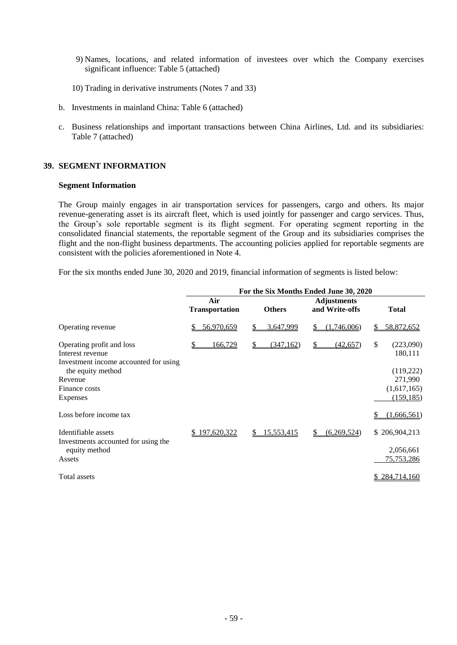- 9) Names, locations, and related information of investees over which the Company exercises significant influence: Table 5 (attached)
- 10) Trading in derivative instruments (Notes 7 and 33)
- b. Investments in mainland China: Table 6 (attached)
- c. Business relationships and important transactions between China Airlines, Ltd. and its subsidiaries: Table 7 (attached)

#### **39. SEGMENT INFORMATION**

#### **Segment Information**

The Group mainly engages in air transportation services for passengers, cargo and others. Its major revenue-generating asset is its aircraft fleet, which is used jointly for passenger and cargo services. Thus, the Group's sole reportable segment is its flight segment. For operating segment reporting in the consolidated financial statements, the reportable segment of the Group and its subsidiaries comprises the flight and the non-flight business departments. The accounting policies applied for reportable segments are consistent with the policies aforementioned in Note 4.

For the six months ended June 30, 2020 and 2019, financial information of segments is listed below:

|                                                                                        |                              |                  | For the Six Months Ended June 30, 2020 |                            |
|----------------------------------------------------------------------------------------|------------------------------|------------------|----------------------------------------|----------------------------|
|                                                                                        | Air<br><b>Transportation</b> | <b>Others</b>    | <b>Adjustments</b><br>and Write-offs   | <b>Total</b>               |
| Operating revenue                                                                      | 56,970,659                   | 3,647,999        | (1,746,006)<br>\$                      | 58,872,652<br>S.           |
| Operating profit and loss<br>Interest revenue<br>Investment income accounted for using | 166,729                      | (347, 162)<br>\$ | \$<br>(42, 657)                        | \$<br>(223,090)<br>180,111 |
| the equity method                                                                      |                              |                  |                                        | (119,222)                  |
| Revenue                                                                                |                              |                  |                                        | 271,990                    |
| Finance costs                                                                          |                              |                  |                                        | (1,617,165)                |
| Expenses                                                                               |                              |                  |                                        | (159, 185)                 |
| Loss before income tax                                                                 |                              |                  |                                        | (1,666,561)                |
| Identifiable assets<br>Investments accounted for using the                             | \$197,620,322                | 15,553,415<br>S. | (6,269,524)<br>S                       | \$206,904,213              |
| equity method                                                                          |                              |                  |                                        | 2,056,661                  |
| Assets                                                                                 |                              |                  |                                        | 75, 753, 286               |
| Total assets                                                                           |                              |                  |                                        | \$284,714,160              |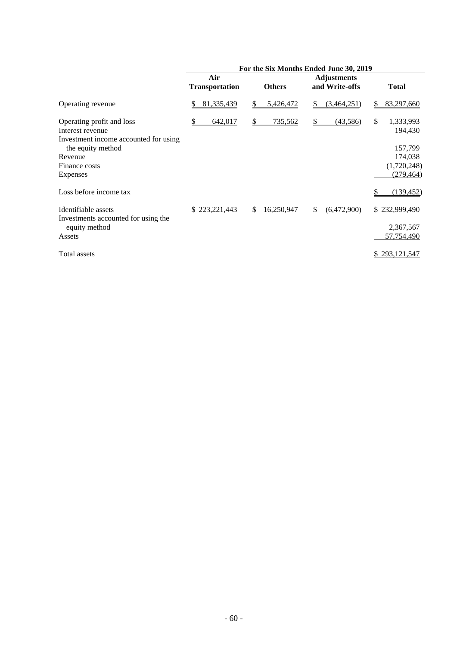|                                                                                                             |                              |                  | For the Six Months Ended June 30, 2019 |                                       |
|-------------------------------------------------------------------------------------------------------------|------------------------------|------------------|----------------------------------------|---------------------------------------|
|                                                                                                             | Air<br><b>Transportation</b> | <b>Others</b>    | <b>Adjustments</b><br>and Write-offs   | <b>Total</b>                          |
| Operating revenue                                                                                           | 81,335,439<br>S              | 5,426,472        | (3,464,251)<br>S                       | 83,297,660<br>\$                      |
| Operating profit and loss<br>Interest revenue<br>Investment income accounted for using<br>the equity method | 642,017                      | 735,562<br>S.    | (43,586)<br>S                          | \$<br>1,333,993<br>194,430<br>157,799 |
| Revenue<br>Finance costs<br>Expenses                                                                        |                              |                  |                                        | 174,038<br>(1,720,248)<br>(279, 464)  |
| Loss before income tax                                                                                      |                              |                  |                                        | (139, 452)                            |
| Identifiable assets<br>Investments accounted for using the<br>equity method                                 | \$223,221,443                | 16,250,947<br>\$ | (6,472,900)<br>\$                      | \$232,999,490<br>2,367,567            |
| Assets                                                                                                      |                              |                  |                                        | 57,754,490                            |
| Total assets                                                                                                |                              |                  |                                        | \$293,121,547                         |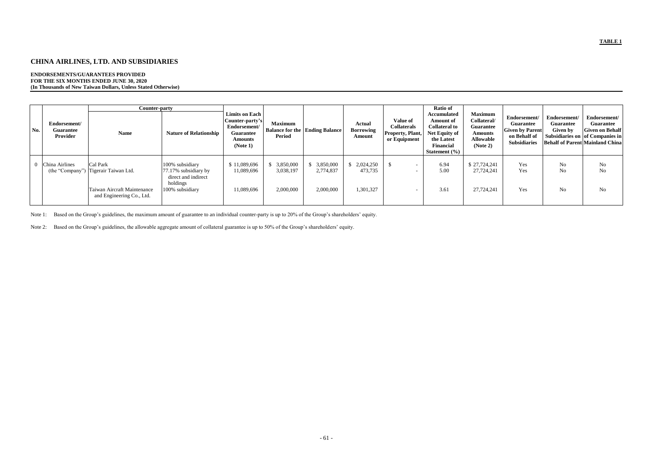# **CHINA AIRLINES, LTD. AND SUBSIDIARIES**

#### **ENDORSEMENTS/GUARANTEES PROVIDED FOR THE SIX MONTHS ENDED JUNE 30, 2020 (In Thousands of New Taiwan Dollars, Unless Stated Otherwise)**

|     |                                              | Counter-party                                                                                                |                                                                                               |                                                                                                            |                                     |                                       |                                             |                                                                           | <b>Ratio of</b>                                                                                                                              |                                                                                                     |                                                                                                   |                                              |                                                                                                                                  |
|-----|----------------------------------------------|--------------------------------------------------------------------------------------------------------------|-----------------------------------------------------------------------------------------------|------------------------------------------------------------------------------------------------------------|-------------------------------------|---------------------------------------|---------------------------------------------|---------------------------------------------------------------------------|----------------------------------------------------------------------------------------------------------------------------------------------|-----------------------------------------------------------------------------------------------------|---------------------------------------------------------------------------------------------------|----------------------------------------------|----------------------------------------------------------------------------------------------------------------------------------|
| No. | Endorsement/<br><b>Guarantee</b><br>Provider | <b>Name</b>                                                                                                  | <b>Nature of Relationship</b>                                                                 | <b>Limits on Each</b><br>Counter-party's<br>Endorsement/<br><b>Guarantee</b><br><b>Amounts</b><br>(Note 1) | <b>Maximum</b><br><b>Period</b>     | <b>Balance for the Ending Balance</b> | <b>Actual</b><br><b>Borrowing</b><br>Amount | <b>Value of</b><br><b>Collaterals</b><br>Property, Plant,<br>or Equipment | <b>Accumulated</b><br><b>Amount of</b><br><b>Collateral to</b><br>Net Equity of<br>the Latest<br><b>Financial</b><br><b>Statement</b> $(\%)$ | <b>Maximum</b><br>Collateral/<br><b>Guarantee</b><br><b>Amounts</b><br><b>Allowable</b><br>(Note 2) | Endorsement/<br><b>Guarantee</b><br><b>Given by Parent</b><br>on Behalf of<br><b>Subsidiaries</b> | Endorsement/<br><b>Guarantee</b><br>Given by | Endorsement/<br>Guarantee<br><b>Given on Behalf</b><br>Subsidiaries on of Companies in<br><b>Behalf of Parent Mainland China</b> |
|     | 0 China Airlines                             | Cal Park<br>(the "Company") Tigerair Taiwan Ltd.<br>Taiwan Aircraft Maintenance<br>and Engineering Co., Ltd. | 100% subsidiary<br>77.17% subsidiary by<br>direct and indirect<br>holdings<br>100% subsidiary | \$11,089,696<br>11,089,696<br>11,089,696                                                                   | 3,850,000<br>3,038,197<br>2,000,000 | 3,850,000<br>2,774,837<br>2,000,000   | \$2,024,250<br>473,735<br>1,301,327         |                                                                           | 6.94<br>5.00<br>3.61                                                                                                                         | \$27,724,241<br>27,724,241<br>27,724,241                                                            | Yes<br>Yes<br>Yes                                                                                 | No<br>No<br>No                               | No<br>No<br>No                                                                                                                   |

Note 1: Based on the Group's guidelines, the maximum amount of guarantee to an individual counter-party is up to 20% of the Group's shareholders' equity.

Note 2: Based on the Group's guidelines, the allowable aggregate amount of collateral guarantee is up to 50% of the Group's shareholders' equity.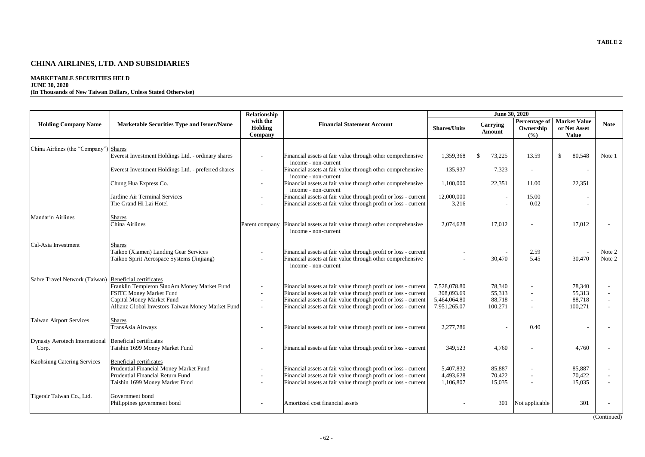# **CHINA AIRLINES, LTD. AND SUBSIDIARIES**

# **MARKETABLE SECURITIES HELD**

## **JUNE 30, 2020**

## **(In Thousands of New Taiwan Dollars, Unless Stated Otherwise)**

|                                                                 |                                                                                                                                                                 | Relationship                   |                                                                                                                                                                                                                                                                          |                                                            | June 30, 2020                         |                                   |                                                     |                        |
|-----------------------------------------------------------------|-----------------------------------------------------------------------------------------------------------------------------------------------------------------|--------------------------------|--------------------------------------------------------------------------------------------------------------------------------------------------------------------------------------------------------------------------------------------------------------------------|------------------------------------------------------------|---------------------------------------|-----------------------------------|-----------------------------------------------------|------------------------|
| <b>Holding Company Name</b>                                     | <b>Marketable Securities Type and Issuer/Name</b>                                                                                                               | with the<br>Holding<br>Company | <b>Financial Statement Account</b>                                                                                                                                                                                                                                       | <b>Shares/Units</b>                                        | Carrying<br><b>Amount</b>             | Percentage of<br>Ownership<br>(%) | <b>Market Value</b><br>or Net Asset<br><b>Value</b> | <b>Note</b>            |
|                                                                 |                                                                                                                                                                 |                                |                                                                                                                                                                                                                                                                          |                                                            |                                       |                                   |                                                     |                        |
| China Airlines (the "Company") Shares                           | Everest Investment Holdings Ltd. - ordinary shares                                                                                                              |                                | Financial assets at fair value through other comprehensive<br>income - non-current                                                                                                                                                                                       | 1,359,368                                                  | $\mathcal{S}$<br>73,225               | 13.59                             | $\mathcal{S}$<br>80,548                             | Note 1                 |
|                                                                 | Everest Investment Holdings Ltd. - preferred shares                                                                                                             | $\sim$                         | Financial assets at fair value through other comprehensive<br>income - non-current                                                                                                                                                                                       | 135,937                                                    | 7,323                                 | $\overline{\phantom{a}}$          | $\overline{\phantom{a}}$                            |                        |
|                                                                 | Chung Hua Express Co.                                                                                                                                           |                                | Financial assets at fair value through other comprehensive<br>income - non-current                                                                                                                                                                                       | 1,100,000                                                  | 22,351                                | 11.00                             | 22,351                                              |                        |
|                                                                 | Jardine Air Terminal Services<br>The Grand Hi Lai Hotel                                                                                                         |                                | Financial assets at fair value through profit or loss - current<br>Financial assets at fair value through profit or loss - current                                                                                                                                       | 12,000,000<br>3,216                                        |                                       | 15.00<br>0.02                     |                                                     |                        |
| <b>Mandarin Airlines</b>                                        | <b>Shares</b><br>China Airlines                                                                                                                                 | Parent company                 | Financial assets at fair value through other comprehensive<br>income - non-current                                                                                                                                                                                       | 2,074,628                                                  | 17,012                                |                                   | 17,012                                              |                        |
| Cal-Asia Investment                                             | <b>Shares</b><br>Taikoo (Xiamen) Landing Gear Services<br>Taikoo Spirit Aerospace Systems (Jinjiang)                                                            |                                | Financial assets at fair value through profit or loss - current<br>Financial assets at fair value through other comprehensive<br>income - non-current                                                                                                                    |                                                            | 30,470                                | 2.59<br>5.45                      | 30,470                                              | Note 2<br>Note 2       |
| Sabre Travel Network (Taiwan) Beneficial certificates           | Franklin Templeton SinoAm Money Market Fund<br><b>FSITC Money Market Fund</b><br>Capital Money Market Fund<br>Allianz Global Investors Taiwan Money Market Fund |                                | Financial assets at fair value through profit or loss - current<br>Financial assets at fair value through profit or loss - current<br>Financial assets at fair value through profit or loss - current<br>Financial assets at fair value through profit or loss - current | 7,528,078.80<br>308,093.69<br>5,464,064.80<br>7,951,265.07 | 78,340<br>55,313<br>88,718<br>100,271 |                                   | 78,340<br>55,313<br>88,718<br>100,271               |                        |
| Taiwan Airport Services                                         | <b>Shares</b><br>TransAsia Airways                                                                                                                              |                                | Financial assets at fair value through profit or loss - current                                                                                                                                                                                                          | 2,277,786                                                  |                                       | 0.40                              |                                                     |                        |
| Dynasty Aerotech International Beneficial certificates<br>Corp. | Taishin 1699 Money Market Fund                                                                                                                                  |                                | Financial assets at fair value through profit or loss - current                                                                                                                                                                                                          | 349,523                                                    | 4,760                                 |                                   | 4,760                                               |                        |
| Kaohsiung Catering Services                                     | <b>Beneficial certificates</b><br>Prudential Financial Money Market Fund<br>Prudential Financial Return Fund<br>Taishin 1699 Money Market Fund                  |                                | Financial assets at fair value through profit or loss - current<br>Financial assets at fair value through profit or loss - current<br>Financial assets at fair value through profit or loss - current                                                                    | 5,407,832<br>4,493,628<br>1,106,807                        | 85,887<br>70,422<br>15,035            |                                   | 85,887<br>70,422<br>15,035                          |                        |
| Tigerair Taiwan Co., Ltd.                                       | Government bond<br>Philippines government bond                                                                                                                  |                                | Amortized cost financial assets                                                                                                                                                                                                                                          |                                                            | 301                                   | Not applicable                    | 301                                                 | $(C_{\text{optimal}})$ |

(Continued)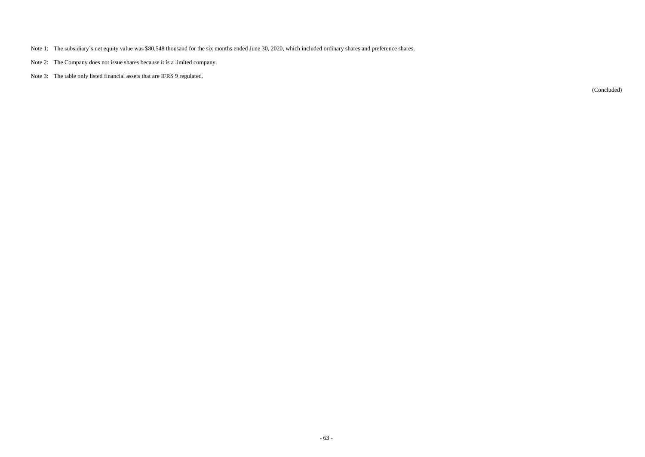- Note 1: The subsidiary's net equity value was \$80,548 thousand for the six months ended June 30, 2020, which included ordinary shares and preference shares.
- Note 2: The Company does not issue shares because it is a limited company.
- Note 3: The table only listed financial assets that are IFRS 9 regulated.

(Concluded)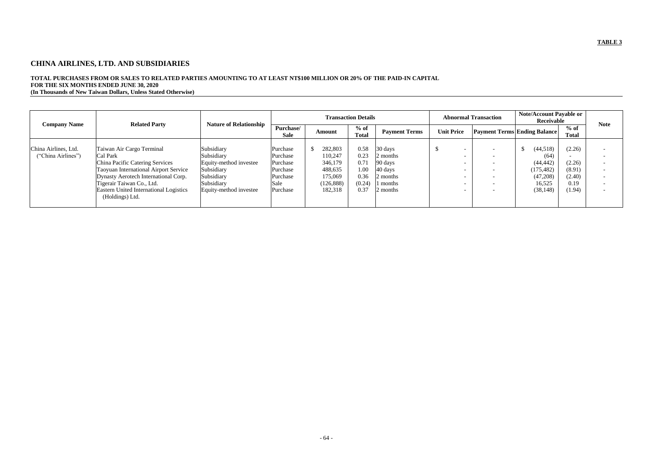# **CHINA AIRLINES, LTD. AND SUBSIDIARIES**

# **TOTAL PURCHASES FROM OR SALES TO RELATED PARTIES AMOUNTING TO AT LEAST NT\$100 MILLION OR 20% OF THE PAID-IN CAPITAL FOR THE SIX MONTHS ENDED JUNE 30, 2020**

**(In Thousands of New Taiwan Dollars, Unless Stated Otherwise)**

|                                            |                                                                                                                                                                                                                                                            |                                                                                                                        |                                                                              |                                                                              | <b>Transaction Details</b>                             |                                                                                         |                   | <b>Abnormal Transaction</b>                                                                                                              | <b>Note/Account Payable or</b><br>Receivable                                   |                                                        | <b>Note</b>                                          |
|--------------------------------------------|------------------------------------------------------------------------------------------------------------------------------------------------------------------------------------------------------------------------------------------------------------|------------------------------------------------------------------------------------------------------------------------|------------------------------------------------------------------------------|------------------------------------------------------------------------------|--------------------------------------------------------|-----------------------------------------------------------------------------------------|-------------------|------------------------------------------------------------------------------------------------------------------------------------------|--------------------------------------------------------------------------------|--------------------------------------------------------|------------------------------------------------------|
| <b>Company Name</b>                        | <b>Related Party</b>                                                                                                                                                                                                                                       | <b>Nature of Relationship</b>                                                                                          | Purchase/<br><b>Sale</b>                                                     | Amount                                                                       | $%$ of<br><b>Total</b>                                 | <b>Payment Terms</b>                                                                    | <b>Unit Price</b> |                                                                                                                                          | <b>Payment Terms Ending Balance</b>                                            | $%$ of<br>Total                                        |                                                      |
| China Airlines, Ltd.<br>("China Airlines") | Taiwan Air Cargo Terminal<br>Cal Park<br><b>China Pacific Catering Services</b><br>Taoyuan International Airport Service<br>Dynasty Aerotech International Corp.<br>Tigerair Taiwan Co., Ltd.<br>Eastern United International Logistics<br>(Holdings) Ltd. | Subsidiary<br>Subsidiary<br>Equity-method investee<br>Subsidiary<br>Subsidiary<br>Subsidiary<br>Equity-method investee | Purchase<br>Purchase<br>Purchase<br>Purchase<br>Purchase<br>Sale<br>Purchase | 282,803<br>110,247<br>346,179<br>488,635<br>175,069<br>(126, 888)<br>182,318 | 0.58<br>0.23<br>0.71<br>1.00<br>0.36<br>(0.24)<br>0.37 | 30 days<br>2 months<br>90 days<br>$40 \text{ days}$<br>2 months<br>l months<br>2 months | - 11              | $\overline{\phantom{0}}$<br>$\overline{\phantom{0}}$<br>$\overline{\phantom{0}}$<br>$\overline{\phantom{0}}$<br>$\overline{\phantom{0}}$ | (44,518)<br>(64)<br>(44, 442)<br>(175, 482)<br>(47,208)<br>16,525<br>(38, 148) | (2.26)<br>(2.26)<br>(8.91)<br>(2.40)<br>0.19<br>(1.94) | $\overline{\phantom{0}}$<br>$\overline{\phantom{0}}$ |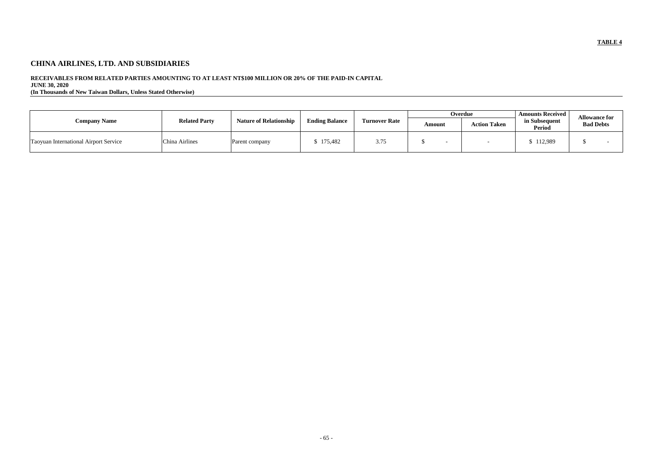# **CHINA AIRLINES, LTD. AND SUBSIDIARIES**

## **RECEIVABLES FROM RELATED PARTIES AMOUNTING TO AT LEAST NT\$100 MILLION OR 20% OF THE PAID-IN CAPITAL**

**JUNE 30, 2020**

**(In Thousands of New Taiwan Dollars, Unless Stated Otherwise)**

|                                              |                      |                               |                       |                      |        | Overdue             | <b>Amounts Received</b> |                                          |
|----------------------------------------------|----------------------|-------------------------------|-----------------------|----------------------|--------|---------------------|-------------------------|------------------------------------------|
| <b>Company Name</b>                          | <b>Related Party</b> | <b>Nature of Relationship</b> | <b>Ending Balance</b> | <b>Turnover Rate</b> | Amount | <b>Action Taken</b> | in Subsequent<br>Period | <b>Allowance for</b><br><b>Bad Debts</b> |
| <b>Taoyuan International Airport Service</b> | China Airlines       | Parent company                | 175,482               | 3.75                 |        |                     | 112,989                 |                                          |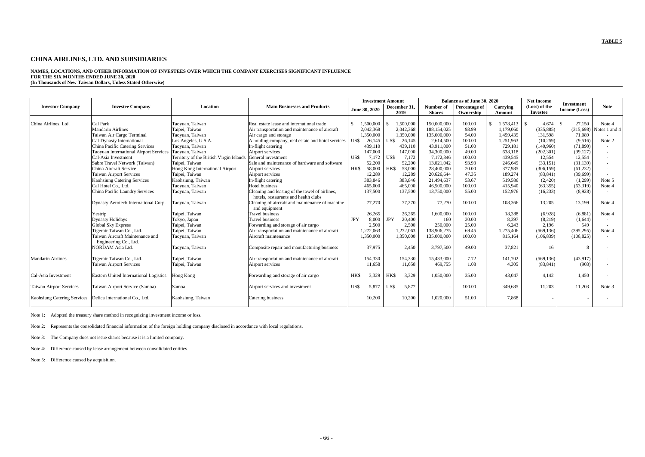## **CHINA AIRLINES, LTD. AND SUBSIDIARIES**

**NAMES, LOCATIONS, AND OTHER INFORMATION OF INVESTEES OVER WHICH THE COMPANY EXERCISES SIGNIFICANT INFLUENCE FOR THE SIX MONTHS ENDED JUNE 30, 2020 (In Thousands of New Taiwan Dollars, Unless Stated Otherwise)**

|                                |                                               |                                         |                                                                  |               | <b>Investment Amount</b> |            |              |               | Balance as of June 30, 2020 |              | <b>Net Income</b> |                                    |               |
|--------------------------------|-----------------------------------------------|-----------------------------------------|------------------------------------------------------------------|---------------|--------------------------|------------|--------------|---------------|-----------------------------|--------------|-------------------|------------------------------------|---------------|
| <b>Investor Company</b>        | <b>Investee Company</b>                       | Location                                | <b>Main Businesses and Products</b>                              |               | June 30, 2020            |            | December 31, | Number of     | <b>Percentage of</b>        | Carrying     | (Loss) of the     | <b>Investment</b><br>Income (Loss) | <b>Note</b>   |
|                                |                                               |                                         |                                                                  |               |                          |            | 2019         | <b>Shares</b> | Ownership                   | Amount       | <b>Investee</b>   |                                    |               |
|                                |                                               |                                         |                                                                  |               |                          |            |              |               |                             |              |                   |                                    |               |
| China Airlines, Ltd.           | Cal Park                                      | Taoyuan, Taiwan                         | Real estate lease and international trade                        | $\mathcal{S}$ | 1,500,000                |            | 1,500,000    | 150,000,000   | 100.00                      | $\mathbb{S}$ | 4,674             | 27,150                             | Note 4        |
|                                | <b>Mandarin Airlines</b>                      | Taipei, Taiwan                          | Air transportation and maintenance of aircraft                   |               | 2,042,368                |            | 2,042,368    | 188,154,025   | 93.99                       | 1,179,060    | (335, 885)        | (315, 698)                         | Notes 1 and 4 |
|                                | Taiwan Air Cargo Terminal                     | Taoyuan, Taiwan                         | Air cargo and storage                                            |               | 1,350,000                |            | 1,350,000    | 135,000,000   | 54.00                       | 1,459,435    | 131,598           | 71,089                             |               |
|                                | Cal-Dynasty International                     | Los Angeles, U.S.A.                     | A holding company, real estate and hotel services                | US\$          | 26,145                   | US\$       | 26,145       | 2,614,500     | 100.00                      | 1,251,963    | (10,259)          | (9,516)                            | Note 2        |
|                                | China Pacific Catering Services               | Taoyuan, Taiwan                         | In-flight catering                                               |               | 439,110                  |            | 439,110      | 43,911,000    | 51.00                       | 729,181      | (140,960)         | (71, 890)                          |               |
|                                | <b>Taoyuan International Airport Services</b> | Taoyuan, Taiwan                         | Airport services                                                 |               | 147,000                  |            | 147,000      | 34,300,000    | 49.00                       | 638,118      | (202, 301)        | (99, 127)                          |               |
|                                | Cal-Asia Investment                           | Territory of the British Virgin Islands | General investment                                               | US\$          | 7,172                    | US\$       | 7,172        | 7,172,346     | 100.00                      | 439,545      | 12,554            | 12,554                             | $\sim$        |
|                                | Sabre Travel Network (Taiwan)                 | Taipei, Taiwan                          | Sale and maintenance of hardware and software                    |               | 52,200                   |            | 52,200       | 13,021,042    | 93.93                       | 246,649      | (33, 151)         | (31, 139)                          |               |
|                                | China Aircraft Service                        | Hong Kong International Airport         | Airport services                                                 | HK\$          | 58,000                   | HK\$       | 58,000       | 28,400,000    | 20.00                       | 377,985      | (306, 159)        | (61,232)                           |               |
|                                | <b>Taiwan Airport Services</b>                | Taipei, Taiwan                          | Airport services                                                 |               | 12,289                   |            | 12,289       | 20,626,644    | 47.35                       | 189,274      | (83, 841)         | (39,699)                           |               |
|                                | <b>Kaohsiung Catering Services</b>            | Kaohsiung, Taiwan                       | In-flight catering                                               |               | 383,846                  |            | 383,846      | 21,494,637    | 53.67                       | 519,586      | (2,420)           | (1,299)                            | Note 5        |
|                                | Cal Hotel Co., Ltd.                           | Taoyuan, Taiwan                         | Hotel business                                                   |               | 465,000                  |            | 465,000      | 46,500,000    | 100.00                      | 415,940      | (63,355)          | (63,319)                           | Note 4        |
|                                | China Pacific Laundry Services                | Taoyuan, Taiwan                         | Cleaning and leasing of the towel of airlines,                   |               | 137,500                  |            | 137,500      | 13,750,000    | 55.00                       | 152,976      | (16, 233)         | (8,928)                            |               |
|                                |                                               |                                         | hotels, restaurants and health clubs                             |               |                          |            |              |               |                             |              |                   |                                    |               |
|                                | Dynasty Aerotech International Corp.          | Taoyuan, Taiwan                         | Cleaning of aircraft and maintenance of machine<br>and equipment |               | 77,270                   |            | 77,270       | 77,270        | 100.00                      | 108,366      | 13,205            | 13,199                             | Note 4        |
|                                | Yestrip                                       | Taipei, Taiwan                          | <b>Travel business</b>                                           |               | 26,265                   |            | 26,265       | 1,600,000     | 100.00                      | 18,388       | (6,928)           | (6,881)                            | Note 4        |
|                                | <b>Dynasty Holidays</b>                       | Tokyo, Japan                            | <b>Travel business</b>                                           | <b>JPY</b>    | 8,000                    | <b>JPY</b> | 20,400       | 160           | 20.00                       | 8,397        | (8,219)           | (1,644)                            |               |
|                                | <b>Global Sky Express</b>                     | Taipei, Taiwan                          | Forwarding and storage of air cargo                              |               | 2,500                    |            | 2,500        | 250,000       | 25.00                       | 6,243        | 2,196             | 549                                |               |
|                                | Tigerair Taiwan Co., Ltd.                     | Taipei, Taiwan                          | Air transportation and maintenance of aircraft                   |               | 1,272,063                |            | 1,272,063    | 138,906,275   | 69.45                       | 1,275,406    | (569, 136)        | (395, 295)                         | Note 4        |
|                                | Taiwan Aircraft Maintenance and               | Taoyuan, Taiwan                         | Aircraft maintenance                                             |               | 1,350,000                |            | 1,350,000    | 135,000,000   | 100.00                      | 815,164      | (106, 839)        | (106, 825)                         |               |
|                                | Engineering Co., Ltd.                         |                                         |                                                                  |               |                          |            |              |               |                             |              |                   |                                    |               |
|                                | NORDAM Asia Ltd.                              | Taoyuan, Taiwan                         | Composite repair and manufacturing business                      |               | 37,975                   |            | 2,450        | 3,797,500     | 49.00                       | 37,821       | 16                | 8                                  |               |
| <b>Mandarin Airlines</b>       | Tigerair Taiwan Co., Ltd.                     | Taipei, Taiwan                          | Air transportation and maintenance of aircraft                   |               | 154,330                  |            | 154,330      | 15,433,000    | 7.72                        | 141,702      | (569, 136)        | (43,917)                           |               |
|                                | <b>Taiwan Airport Services</b>                | Taipei, Taiwan                          | Airport services                                                 |               | 11,658                   |            | 11,658       | 469,755       | 1.08                        | 4,305        | (83, 841)         | (903)                              |               |
| Cal-Asia Investment            | Eastern United International Logistics        | Hong Kong                               | Forwarding and storage of air cargo                              | HK\$          | 3,329                    | HK\$       | 3,329        | 1,050,000     | 35.00                       | 43,047       | 4,142             | 1,450                              |               |
| <b>Taiwan Airport Services</b> | Taiwan Airport Service (Samoa)                | Samoa                                   | Airport services and investment                                  | US\$          | 5,877                    | US\$       | 5,877        |               | 100.00                      | 349,685      | 11,203            | 11,203                             | Note 3        |
| Kaohsiung Catering Services    | Delica International Co., Ltd.                | Kaohsiung, Taiwan                       | Catering business                                                |               | 10,200                   |            | 10,200       | 1,020,000     | 51.00                       | 7,868        |                   |                                    |               |

Note 1: Adopted the treasury share method in recognizing investment income or loss.

Note 2: Represents the consolidated financial information of the foreign holding company disclosed in accordance with local regulations.

Note 3: The Company does not issue shares because it is a limited company.

Note 4: Difference caused by lease arrangement between consolidated entities.

Note 5: Difference caused by acquisition.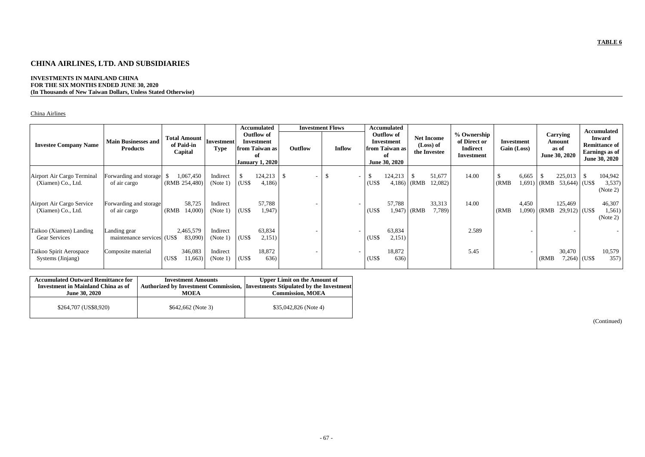# **CHINA AIRLINES, LTD. AND SUBSIDIARIES**

## **INVESTMENTS IN MAINLAND CHINA FOR THE SIX MONTHS ENDED JUNE 30, 2020 (In Thousands of New Taiwan Dollars, Unless Stated Otherwise)**

## China Airlines

| <b>Investee Company Name</b>                     | <b>Main Businesses and</b><br><b>Products</b> | <b>Total Amount</b><br>of Paid-in<br>Capital | Investment<br><b>Type</b> |       | <b>Accumulated</b><br><b>Outflow of</b><br><b>Investment</b><br>from Taiwan as<br>оf<br><b>January 1, 2020</b> | <b>Investment Flows</b><br>Outflow | <b>Inflow</b> |                          |                    | <b>Accumulated</b><br><b>Outflow of</b><br>Investment<br>from Taiwan as<br>of<br>June 30, 2020 |              | <b>Net Income</b><br>(Loss) of<br>the Investee | % Ownership<br>of Direct or<br><b>Indirect</b><br>Investment | Gain (Loss) | Investment      |       | Carrying<br>Amount<br>as of<br>June 30, 2020 |               | <b>Accumulated</b><br><b>Inward</b><br><b>Remittance of</b><br>Earnings as of<br><b>June 30, 2020</b> |
|--------------------------------------------------|-----------------------------------------------|----------------------------------------------|---------------------------|-------|----------------------------------------------------------------------------------------------------------------|------------------------------------|---------------|--------------------------|--------------------|------------------------------------------------------------------------------------------------|--------------|------------------------------------------------|--------------------------------------------------------------|-------------|-----------------|-------|----------------------------------------------|---------------|-------------------------------------------------------------------------------------------------------|
| Airport Air Cargo Terminal<br>(Xiamen) Co., Ltd. | Forwarding and storage<br>of air cargo        | 1,067,450<br>(RMB 254,480)                   | Indirect<br>(Note 1)      | (US\$ | 124,213<br>4,186)                                                                                              | -S                                 |               | $\overline{\phantom{a}}$ | -\$<br>(US\$       | 124,213<br>$4,186$ (RMB                                                                        |              | 51,677<br>12,082)                              | 14.00                                                        | (RMB)       | 6,665<br>1,691) | (RMB) | 225,013<br>$53,644$ (US\$)                   | <sup>\$</sup> | 104,942<br>3,537)<br>(Note 2)                                                                         |
| Airport Air Cargo Service<br>(Xiamen) Co., Ltd.  | Forwarding and storage<br>of air cargo        | 58,725<br>14,000)<br>(RMB)                   | Indirect<br>(Note 1)      | (US\$ | 57,788<br>1,947)                                                                                               |                                    |               |                          | (US <sub>3</sub> ) | 57,788                                                                                         | $1,947$ (RMB | 33,313<br>7,789)                               | 14.00                                                        | (RMB)       | 4,450<br>1,090) | (RMB) | 125,469<br>$29,912$ (US\$)                   |               | 46,307<br>1,561)<br>(Note 2)                                                                          |
| Taikoo (Xiamen) Landing<br>Gear Services         | Landing gear<br>maintenance services (US\$)   | 2,465,579<br>83,090)                         | Indirect<br>(Note 1)      | (US\$ | 63,834<br>2,151)                                                                                               |                                    |               |                          | (USS)              | 63,834<br>2,151)                                                                               |              |                                                | 2.589                                                        |             |                 |       |                                              |               |                                                                                                       |
| Taikoo Spirit Aerospace<br>Systems (Jinjang)     | Composite material                            | 346,083<br>(US\$<br>11,663)                  | Indirect<br>(Note 1)      | (US\$ | 18,872<br>636)                                                                                                 |                                    |               |                          | (US\$              | 18,872<br>636)                                                                                 |              |                                                | 5.45                                                         |             |                 | (RMB) | 30,470<br>7,264)                             | (US\$         | 10,579<br>357)                                                                                        |

| <b>Accumulated Outward Remittance for</b> | <b>Investment Amounts</b>                   | <b>Upper Limit on the Amount of</b>             |
|-------------------------------------------|---------------------------------------------|-------------------------------------------------|
| <b>Investment in Mainland China as of</b> | <b>Authorized by Investment Commission,</b> | <b>Investments Stipulated by the Investment</b> |
| <b>June 30, 2020</b>                      | <b>MOEA</b>                                 | <b>Commission, MOEA</b>                         |
| \$264,707 (US\$8,920)                     | $$642,662$ (Note 3)                         | $$35,042,826$ (Note 4)                          |

(Continued)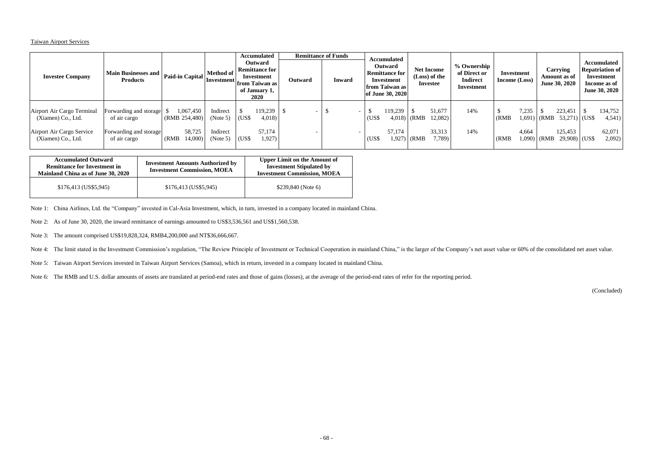## Taiwan Airport Services

| <b>Investee Company</b>                                                                             | Main Businesses and   Paid-in Capital   '''<br><b>Products</b>                   |                                                          | <b>Accumulated</b><br><b>Outward</b><br><b>Remittance for</b><br>Method of<br>Investment<br>Investment from Taiwan as<br>of January 1,<br>2020 |                               | Outward                               | <b>Remittance of Funds</b><br><b>Inward</b> | <b>Accumulated</b><br><b>Outward</b><br><b>Remittance for</b><br>Investment<br>from Taiwan as<br>of June 30, 2020 |                |                   | <b>Net Income</b><br>(Loss) of the<br>Investee | % Ownership<br>of Direct or<br><b>Indirect</b><br>Investment | Investment<br><b>Income</b> (Loss) |                | Carrying<br>Amount as of<br>June 30, 2020 |       | <b>Accumulated</b><br><b>Repatriation of</b><br>Investment<br>Income as of<br><b>June 30, 2020</b> |  |                                       |
|-----------------------------------------------------------------------------------------------------|----------------------------------------------------------------------------------|----------------------------------------------------------|------------------------------------------------------------------------------------------------------------------------------------------------|-------------------------------|---------------------------------------|---------------------------------------------|-------------------------------------------------------------------------------------------------------------------|----------------|-------------------|------------------------------------------------|--------------------------------------------------------------|------------------------------------|----------------|-------------------------------------------|-------|----------------------------------------------------------------------------------------------------|--|---------------------------------------|
| Airport Air Cargo Terminal<br>(Xiamen) Co., Ltd.<br>Airport Air Cargo Service<br>(Xiamen) Co., Ltd. | Forwarding and storage<br>of air cargo<br>Forwarding and storage<br>of air cargo | 1,067,450<br>(RMB 254,480)<br>58,725<br>(RMB)<br>14,000) | Indirect<br>(Note 5)<br>Indirect<br>(Note 5)                                                                                                   | $\overline{C}$ (US\$<br>(US\$ | 119,239<br>4,018)<br>57,174<br>1,927) |                                             | $\overline{\phantom{0}}$                                                                                          | (US\$<br>(US\$ | 119,239<br>57,174 | $4,018$ (RMB<br>$1,927$ (RMB                   | 51,677<br>12,082<br>33,313<br>7,789                          | 14%<br>14%                         | (RMB)<br>(RMB) | 7,235<br>4,664<br>1,090)                  | (RMB) | 223,451<br>$1,691$ (RMB 53,271) (US\$<br>125,453<br>$29,908$ (US\$)                                |  | 134,752<br>4,541)<br>62,071<br>2,092) |

| <b>Accumulated Outward</b><br><b>Remittance for Investment in</b><br>Mainland China as of June 30, 2020 | <b>Investment Amounts Authorized by</b><br><b>Investment Commission, MOEA</b> | <b>Upper Limit on the Amount of</b><br><b>Investment Stipulated by</b><br><b>Investment Commission, MOEA</b> |
|---------------------------------------------------------------------------------------------------------|-------------------------------------------------------------------------------|--------------------------------------------------------------------------------------------------------------|
| $$176,413$ (US\$5,945)                                                                                  | $$176,413$ (US\$5,945)                                                        | $$239,840$ (Note 6)                                                                                          |

Note 1: China Airlines, Ltd. the "Company" invested in Cal-Asia Investment, which, in turn, invested in a company located in mainland China.

Note 2: As of June 30, 2020, the inward remittance of earnings amounted to US\$3,536,561 and US\$1,560,538.

Note 3: The amount comprised US\$19,828,324, RMB4,200,000 and NT\$36,666,667.

Note 4: The limit stated in the Investment Commission's regulation, "The Review Principle of Investment or Technical Cooperation in mainland China," is the larger of the Company's net asset value or 60% of the consolidated

Note 5: Taiwan Airport Services invested in Taiwan Airport Services (Samoa), which in return, invested in a company located in mainland China.

Note 6: The RMB and U.S. dollar amounts of assets are translated at period-end rates and those of gains (losses), at the average of the period-end rates of refer for the reporting period.

(Concluded)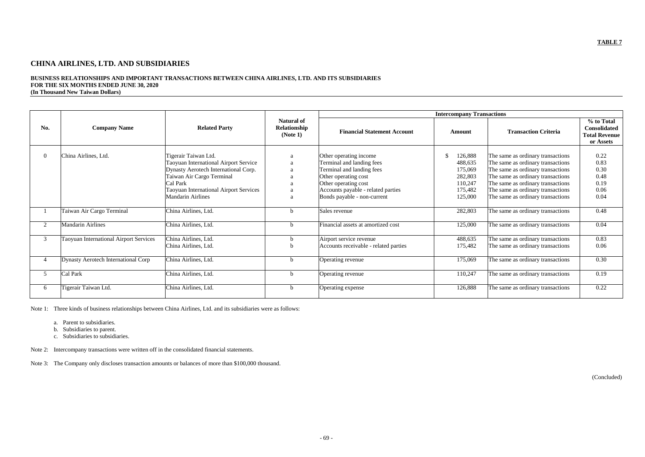# **CHINA AIRLINES, LTD. AND SUBSIDIARIES**

# **BUSINESS RELATIONSHIPS AND IMPORTANT TRANSACTIONS BETWEEN CHINA AIRLINES, LTD. AND ITS SUBSIDIARIES FOR THE SIX MONTHS ENDED JUNE 30, 2020**

| (In Thousand New Taiwan Dollars) |
|----------------------------------|
|----------------------------------|

| No.            | <b>Company Name</b>                           | <b>Related Party</b>                   | <b>Natural of</b><br>Relationship<br>(Note 1) | <b>Intercompany Transactions</b>      |                |                                   |                                                                        |  |
|----------------|-----------------------------------------------|----------------------------------------|-----------------------------------------------|---------------------------------------|----------------|-----------------------------------|------------------------------------------------------------------------|--|
|                |                                               |                                        |                                               | <b>Financial Statement Account</b>    | Amount         | <b>Transaction Criteria</b>       | % to Total<br><b>Consolidated</b><br><b>Total Revenue</b><br>or Assets |  |
| $\overline{0}$ | China Airlines, Ltd.                          | Tigerair Taiwan Ltd.                   | a                                             | Other operating income                | 126,888<br>-\$ | The same as ordinary transactions | 0.22                                                                   |  |
|                |                                               | Taoyuan International Airport Service  |                                               | Terminal and landing fees             | 488,635        | The same as ordinary transactions | 0.83                                                                   |  |
|                |                                               |                                        | a                                             |                                       |                |                                   | 0.30                                                                   |  |
|                |                                               | Dynasty Aerotech International Corp.   | a                                             | Terminal and landing fees             | 175,069        | The same as ordinary transactions |                                                                        |  |
|                |                                               | Taiwan Air Cargo Terminal              | a                                             | Other operating cost                  | 282,803        | The same as ordinary transactions | 0.48                                                                   |  |
|                |                                               | Cal Park                               | a                                             | Other operating cost                  | 110,247        | The same as ordinary transactions | 0.19                                                                   |  |
|                |                                               | Taoyuan International Airport Services | a                                             | Accounts payable - related parties    | 175,482        | The same as ordinary transactions | 0.06                                                                   |  |
|                |                                               | <b>Mandarin Airlines</b>               | a                                             | Bonds payable - non-current           | 125,000        | The same as ordinary transactions | 0.04                                                                   |  |
|                | Taiwan Air Cargo Terminal                     | China Airlines, Ltd.                   | <sub>n</sub>                                  | Sales revenue                         | 282,803        | The same as ordinary transactions | 0.48                                                                   |  |
| 2              | <b>Mandarin Airlines</b>                      | China Airlines, Ltd.                   | <sub>n</sub>                                  | Financial assets at amortized cost    | 125,000        | The same as ordinary transactions | 0.04                                                                   |  |
| 3              | <b>Taoyuan International Airport Services</b> | China Airlines, Ltd.                   |                                               | Airport service revenue               | 488,635        | The same as ordinary transactions | 0.83                                                                   |  |
|                |                                               | China Airlines, Ltd.                   |                                               | Accounts receivable - related parties | 175,482        | The same as ordinary transactions | 0.06                                                                   |  |
|                | <b>Dynasty Aerotech International Corp</b>    | China Airlines, Ltd.                   | <sub>n</sub>                                  | Operating revenue                     | 175,069        | The same as ordinary transactions | 0.30                                                                   |  |
| 5              | Cal Park                                      | China Airlines, Ltd.                   | <sub>b</sub>                                  | Operating revenue                     | 110,247        | The same as ordinary transactions | 0.19                                                                   |  |
| 6              | Tigerair Taiwan Ltd.                          | China Airlines, Ltd.                   | b.                                            | Operating expense                     | 126,888        | The same as ordinary transactions | 0.22                                                                   |  |

Note 1: Three kinds of business relationships between China Airlines, Ltd. and its subsidiaries were as follows:

- a. Parent to subsidiaries.
- b. Subsidiaries to parent.
- c. Subsidiaries to subsidiaries.

Note 2: Intercompany transactions were written off in the consolidated financial statements.

Note 3: The Company only discloses transaction amounts or balances of more than \$100,000 thousand.

(Concluded)